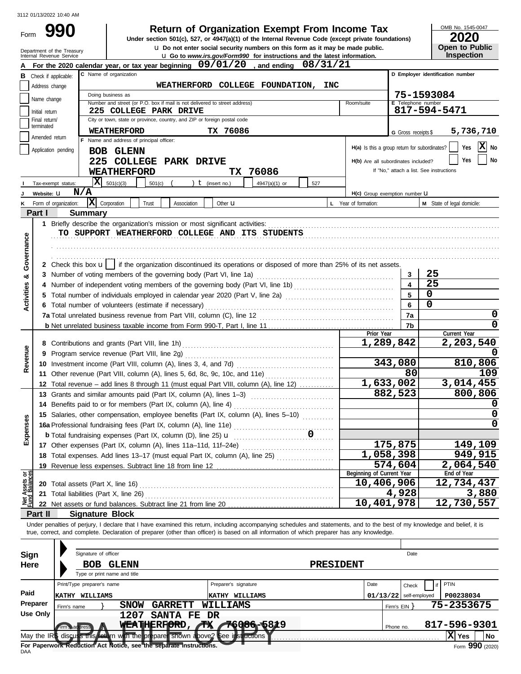#### **Return of Organization Exempt From Income Tax**

**u** Go to *www.irs.gov/Form990* **for instructions and the latest information. u** Do not enter social security numbers on this form as it may be made public. Under section 501(c), 527, or 4947(a)(1) of the Internal Revenue Code (except private founda OMB No. 1545-0047

|                            | FUIII <del>V V</del> V        |  | Under section 501(c), 527, or 4947(a)(1) of the Internal Revenue Code (except private foundations) |                                                                |  |         |                         |  |            | ZUZU              |                |                                  |
|----------------------------|-------------------------------|--|----------------------------------------------------------------------------------------------------|----------------------------------------------------------------|--|---------|-------------------------|--|------------|-------------------|----------------|----------------------------------|
| Department of the Treasury |                               |  | <b>u</b> Do not enter social security numbers on this form as it may be made public.               |                                                                |  |         |                         |  |            |                   | Open to Public |                                  |
|                            | Internal Revenue Service      |  | <b>LI Go to www.irs.gov/Form990 for instructions and the latest information.</b>                   |                                                                |  |         |                         |  |            | <b>Inspection</b> |                |                                  |
|                            |                               |  |                                                                                                    | A For the 2020 calendar year, or tax year beginning $09/01/20$ |  |         | , and ending $08/31/21$ |  |            |                   |                |                                  |
|                            | <b>B</b> Check if applicable: |  | <b>IC</b> Name of organization                                                                     |                                                                |  |         |                         |  |            |                   |                | D Employer identification number |
|                            | Address change                |  |                                                                                                    | <b>WEATHERFORD</b>                                             |  | COLLEGE | <b>FOUNDATION,</b>      |  | <b>INC</b> |                   |                |                                  |
|                            | Name change                   |  | Doing business as                                                                                  |                                                                |  |         |                         |  |            |                   | 75-1593084     |                                  |
|                            |                               |  | .                                                                                                  | --                                                             |  |         |                         |  |            |                   |                |                                  |

|                                 | Address change        |                                                              | WEATHERFORD COLLEGE FOUNDATION, INC                                                                                                                                                  |                       |               |     |           |                                               |                          |                                          |                                   |
|---------------------------------|-----------------------|--------------------------------------------------------------|--------------------------------------------------------------------------------------------------------------------------------------------------------------------------------------|-----------------------|---------------|-----|-----------|-----------------------------------------------|--------------------------|------------------------------------------|-----------------------------------|
| Name change                     |                       | Doing business as                                            |                                                                                                                                                                                      |                       |               |     |           |                                               |                          | 75-1593084                               |                                   |
|                                 |                       |                                                              | Number and street (or P.O. box if mail is not delivered to street address)                                                                                                           |                       |               |     |           | Room/suite                                    | E Telephone number       |                                          |                                   |
| Initial return<br>Final return/ |                       |                                                              | 225 COLLEGE PARK DRIVE<br>City or town, state or province, country, and ZIP or foreign postal code                                                                                   |                       |               |     |           |                                               |                          | 817-594-5471                             |                                   |
| terminated                      |                       |                                                              |                                                                                                                                                                                      |                       |               |     |           |                                               |                          |                                          |                                   |
|                                 | Amended return        | <b>WEATHERFORD</b><br>Name and address of principal officer: |                                                                                                                                                                                      | TX 76086              |               |     |           |                                               | G Gross receipts \$      |                                          | 5,736,710                         |
|                                 | Application pending   |                                                              |                                                                                                                                                                                      |                       |               |     |           | H(a) Is this a group return for subordinates? |                          |                                          | x <br>No<br>Yes                   |
|                                 |                       | <b>BOB GLENN</b>                                             |                                                                                                                                                                                      |                       |               |     |           |                                               |                          |                                          | No<br>Yes                         |
|                                 |                       |                                                              | 225 COLLEGE PARK DRIVE                                                                                                                                                               |                       |               |     |           | H(b) Are all subordinates included?           |                          | If "No," attach a list. See instructions |                                   |
|                                 |                       | <b>WEATHERFORD</b>                                           |                                                                                                                                                                                      | TX.                   | 76086         |     |           |                                               |                          |                                          |                                   |
|                                 | Tax-exempt status:    | $\mathbf x$<br>501(c)(3)                                     | 501(c)                                                                                                                                                                               | $t$ (insert no.)      | 4947(a)(1) or | 527 |           |                                               |                          |                                          |                                   |
| Website: U                      |                       | N/A                                                          |                                                                                                                                                                                      |                       |               |     |           | H(c) Group exemption number LI                |                          |                                          |                                   |
|                                 | Form of organization: | X<br>Corporation                                             | Trust<br>Association                                                                                                                                                                 | Other <b>u</b>        |               |     |           | L Year of formation:                          |                          |                                          | M State of legal domicile:        |
| Part I                          |                       | <b>Summary</b>                                               |                                                                                                                                                                                      |                       |               |     |           |                                               |                          |                                          |                                   |
|                                 |                       |                                                              | 1 Briefly describe the organization's mission or most significant activities:                                                                                                        |                       |               |     |           |                                               |                          |                                          |                                   |
|                                 |                       |                                                              | TO SUPPORT WEATHERFORD COLLEGE AND ITS STUDENTS                                                                                                                                      |                       |               |     |           |                                               |                          |                                          |                                   |
|                                 |                       |                                                              |                                                                                                                                                                                      |                       |               |     |           |                                               |                          |                                          |                                   |
|                                 |                       |                                                              |                                                                                                                                                                                      |                       |               |     |           |                                               |                          |                                          |                                   |
| Governance                      |                       |                                                              | 2 Check this box $\mathbf{u}$   if the organization discontinued its operations or disposed of more than 25% of its net assets.                                                      |                       |               |     |           |                                               |                          |                                          |                                   |
| య                               |                       |                                                              | 3 Number of voting members of the governing body (Part VI, line 1a)                                                                                                                  |                       |               |     |           |                                               | 3                        | 25                                       |                                   |
|                                 |                       |                                                              | 4 Number of independent voting members of the governing body (Part VI, line 1b) [11] [11] Number of independent voting members of the governing body (Part VI, line 1b)              |                       |               |     |           |                                               | $\blacktriangle$         | 25                                       |                                   |
| Activities                      |                       |                                                              | 5 Total number of individuals employed in calendar year 2020 (Part V, line 2a) [11] [11] [11] [11] [11] Total number of individuals employed in calendar year 2020 (Part V, line 2a) |                       |               |     |           |                                               | 5                        | $\mathbf 0$                              |                                   |
|                                 |                       |                                                              | 6 Total number of volunteers (estimate if necessary)                                                                                                                                 |                       |               |     |           |                                               | 6                        | 0                                        |                                   |
|                                 |                       |                                                              | 7a Total unrelated business revenue from Part VIII, column (C), line 12                                                                                                              |                       |               |     |           |                                               | 7a                       |                                          | 0                                 |
|                                 |                       |                                                              |                                                                                                                                                                                      |                       |               |     |           |                                               | 7b                       |                                          | 0                                 |
|                                 |                       |                                                              |                                                                                                                                                                                      |                       |               |     |           | Prior Year                                    |                          |                                          | Current Year                      |
|                                 |                       |                                                              |                                                                                                                                                                                      |                       |               |     |           | 1,289,842                                     |                          |                                          | 2,203,540                         |
|                                 |                       | 9 Program service revenue (Part VIII, line 2g)               |                                                                                                                                                                                      |                       |               |     |           |                                               |                          |                                          |                                   |
| Revenue                         |                       |                                                              |                                                                                                                                                                                      |                       |               |     |           |                                               | 343,080                  |                                          | 810,806                           |
|                                 |                       |                                                              | 11 Other revenue (Part VIII, column (A), lines 5, 6d, 8c, 9c, 10c, and 11e)                                                                                                          |                       |               |     |           |                                               | 80                       |                                          | 109                               |
|                                 |                       |                                                              | 12 Total revenue - add lines 8 through 11 (must equal Part VIII, column (A), line 12)                                                                                                |                       |               |     |           | 1,633,002                                     |                          |                                          | 3,014,455                         |
|                                 |                       |                                                              | 13 Grants and similar amounts paid (Part IX, column (A), lines 1-3)                                                                                                                  |                       |               |     |           |                                               | 882,523                  |                                          | 800,806                           |
|                                 |                       |                                                              | 14 Benefits paid to or for members (Part IX, column (A), line 4)                                                                                                                     |                       |               |     |           |                                               |                          |                                          | O                                 |
|                                 |                       |                                                              | 15 Salaries, other compensation, employee benefits (Part IX, column (A), lines 5-10)                                                                                                 |                       |               |     |           |                                               |                          |                                          | 0                                 |
| Expenses                        |                       |                                                              |                                                                                                                                                                                      |                       |               |     |           |                                               |                          |                                          | 0                                 |
|                                 |                       |                                                              |                                                                                                                                                                                      |                       |               |     |           |                                               |                          |                                          |                                   |
|                                 |                       |                                                              | 17 Other expenses (Part IX, column (A), lines 11a-11d, 11f-24e)                                                                                                                      |                       |               |     |           |                                               | 175,875                  |                                          | 149,109                           |
|                                 |                       |                                                              | 18 Total expenses. Add lines 13-17 (must equal Part IX, column (A), line 25) [                                                                                                       |                       |               |     |           | 1,058,398                                     |                          |                                          | 949,915                           |
|                                 |                       |                                                              | 19 Revenue less expenses. Subtract line 18 from line 12                                                                                                                              |                       |               |     |           |                                               | 574,604                  |                                          | 2,064,540                         |
|                                 |                       |                                                              |                                                                                                                                                                                      |                       |               |     |           | Beginning of Current Year                     |                          |                                          | End of Year                       |
| Net Assets or<br>Fund Balances  |                       | 20 Total assets (Part X, line 16)                            |                                                                                                                                                                                      |                       |               |     |           | 10,406,906                                    |                          |                                          | 12,734,437                        |
|                                 |                       | 21 Total liabilities (Part X, line 26)                       |                                                                                                                                                                                      |                       |               |     |           |                                               | 4,928                    |                                          | 3,880                             |
|                                 |                       |                                                              | 22 Net assets or fund balances. Subtract line 21 from line 20                                                                                                                        |                       |               |     |           | 10,401,978                                    |                          |                                          | 12,730,557                        |
| Part II                         |                       | <b>Signature Block</b>                                       |                                                                                                                                                                                      |                       |               |     |           |                                               |                          |                                          |                                   |
|                                 |                       |                                                              | Under penalties of perjury, I declare that I have examined this return, including accompanying schedules and statements, and to the best of my knowledge and belief, it is           |                       |               |     |           |                                               |                          |                                          |                                   |
|                                 |                       |                                                              | true, correct, and complete. Declaration of preparer (other than officer) is based on all information of which preparer has any knowledge.                                           |                       |               |     |           |                                               |                          |                                          |                                   |
|                                 |                       |                                                              |                                                                                                                                                                                      |                       |               |     |           |                                               |                          |                                          |                                   |
| Sign                            |                       | Signature of officer                                         |                                                                                                                                                                                      |                       |               |     |           |                                               | Date                     |                                          |                                   |
| Here                            |                       | <b>BOB GLENN</b>                                             |                                                                                                                                                                                      |                       |               |     | PRESIDENT |                                               |                          |                                          |                                   |
|                                 |                       | Type or print name and title                                 |                                                                                                                                                                                      |                       |               |     |           |                                               |                          |                                          |                                   |
|                                 |                       | Print/Type preparer's name                                   |                                                                                                                                                                                      | Preparer's signature  |               |     |           | Date                                          | Check                    |                                          | PTIN                              |
| Paid                            |                       | KATHY WILLIAMS                                               |                                                                                                                                                                                      | <b>KATHY WILLIAMS</b> |               |     |           |                                               | $01/13/22$ self-employed |                                          | P00238034                         |
| Preparer                        | Firm's name           | <b>SNOW</b>                                                  | <b>GARRETT</b>                                                                                                                                                                       | <b>WILLIAMS</b>       |               |     |           |                                               | Firm's EIN               |                                          | 75-2353675                        |
| <b>Use Only</b>                 |                       | 1207                                                         | SANTA FE DR                                                                                                                                                                          |                       |               |     |           |                                               |                          |                                          |                                   |
|                                 |                       |                                                              | WEATHERFORD, TX 76086-5819                                                                                                                                                           |                       |               |     |           |                                               | Phone no.                |                                          | 817-596-9301                      |
| May the IR                      | discuss this          |                                                              | Im with the preparer shown above? See in                                                                                                                                             | <b>istructions</b>    |               |     |           |                                               |                          |                                          | $\overline{\mathbf{X}}$ Yes<br>No |
|                                 |                       |                                                              |                                                                                                                                                                                      |                       |               |     |           |                                               |                          |                                          |                                   |

| Sign       |                                                                                                              | Signature of officer       |                              |  |                                                                    |    |                          |                  |      |              | Date          |                 |
|------------|--------------------------------------------------------------------------------------------------------------|----------------------------|------------------------------|--|--------------------------------------------------------------------|----|--------------------------|------------------|------|--------------|---------------|-----------------|
| Here       |                                                                                                              | BOB                        | <b>GLENN</b>                 |  |                                                                    |    |                          | <b>PRESIDENT</b> |      |              |               |                 |
|            |                                                                                                              |                            | Type or print name and title |  |                                                                    |    |                          |                  |      |              |               |                 |
|            |                                                                                                              | Print/Type preparer's name |                              |  |                                                                    |    | Preparer's signature     |                  | Date |              | Check         | PTIN            |
| Paid       | <b>IKATHY</b>                                                                                                | WILLIAMS                   |                              |  |                                                                    |    | WILLIAMS<br><b>KATHY</b> |                  |      | 01/13/22     | self-employed | P00238034       |
| Preparer   |                                                                                                              | Firm's name                | <b>SNOW</b>                  |  | <b>GARRETT</b>                                                     |    | WILLIAMS                 |                  |      | Firm's EIN Y |               | 75-2353675      |
| Use Only   |                                                                                                              |                            | 1207                         |  | SANTA FE DR                                                        |    |                          |                  |      |              |               |                 |
|            |                                                                                                              | <b>Firm's address</b>      |                              |  | <b>WEATHERFORD,</b>                                                | ТХ | 70086-5819               |                  |      | Phone no.    |               | 817-596-9301    |
|            | X Yes<br>discuss this <b>return</b> with the preparer shown above? See instructions<br>  No<br>May the $IR\$ |                            |                              |  |                                                                    |    |                          |                  |      |              |               |                 |
|            |                                                                                                              |                            |                              |  | For Paperwork Reduction Act Notice, see the separate instructions. |    |                          |                  |      |              |               | Form 990 (2020) |
| <b>DAA</b> |                                                                                                              |                            |                              |  |                                                                    |    |                          |                  |      |              |               |                 |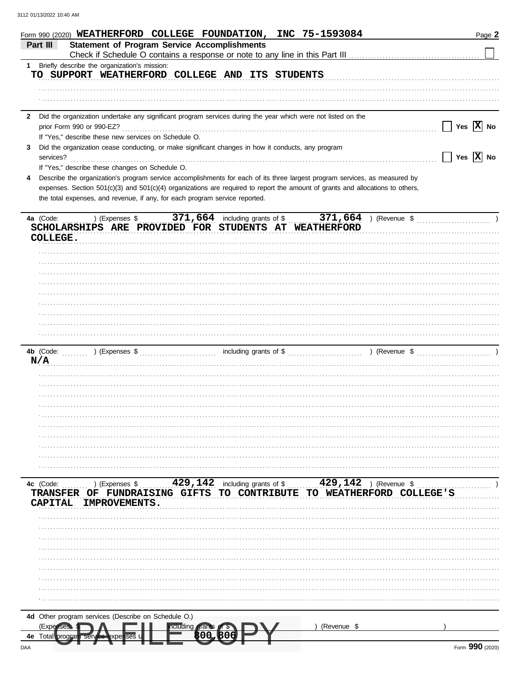| Form 990 (2020) WEATHERFORD COLLEGE FOUNDATION, INC 75-1593084                                                                                                                                                | Page 2                           |
|---------------------------------------------------------------------------------------------------------------------------------------------------------------------------------------------------------------|----------------------------------|
| <b>Statement of Program Service Accomplishments</b><br>Part III                                                                                                                                               |                                  |
| 1 Briefly describe the organization's mission:<br>TO SUPPORT WEATHERFORD COLLEGE AND ITS STUDENTS                                                                                                             |                                  |
|                                                                                                                                                                                                               |                                  |
|                                                                                                                                                                                                               |                                  |
| Did the organization undertake any significant program services during the year which were not listed on the<br>$\mathbf{2}$                                                                                  |                                  |
| prior Form 990 or 990-EZ?                                                                                                                                                                                     | Yes $ \mathbf{X} $ No            |
| If "Yes," describe these new services on Schedule O.                                                                                                                                                          |                                  |
| Did the organization cease conducting, or make significant changes in how it conducts, any program<br>3<br>services?                                                                                          | $\Box$ Yes $\boxed{\text{X}}$ No |
| If "Yes," describe these changes on Schedule O.                                                                                                                                                               |                                  |
| Describe the organization's program service accomplishments for each of its three largest program services, as measured by<br>4                                                                               |                                  |
| expenses. Section 501(c)(3) and 501(c)(4) organizations are required to report the amount of grants and allocations to others,<br>the total expenses, and revenue, if any, for each program service reported. |                                  |
|                                                                                                                                                                                                               |                                  |
|                                                                                                                                                                                                               |                                  |
| SCHOLARSHIPS ARE PROVIDED FOR STUDENTS AT WEATHERFORD<br>COLLEGE.                                                                                                                                             |                                  |
|                                                                                                                                                                                                               |                                  |
|                                                                                                                                                                                                               |                                  |
|                                                                                                                                                                                                               |                                  |
|                                                                                                                                                                                                               |                                  |
|                                                                                                                                                                                                               |                                  |
|                                                                                                                                                                                                               |                                  |
|                                                                                                                                                                                                               |                                  |
|                                                                                                                                                                                                               |                                  |
|                                                                                                                                                                                                               |                                  |
| N/A                                                                                                                                                                                                           |                                  |
|                                                                                                                                                                                                               |                                  |
|                                                                                                                                                                                                               |                                  |
|                                                                                                                                                                                                               |                                  |
|                                                                                                                                                                                                               |                                  |
|                                                                                                                                                                                                               |                                  |
|                                                                                                                                                                                                               |                                  |
|                                                                                                                                                                                                               |                                  |
|                                                                                                                                                                                                               |                                  |
| 429, 142 including grants of \$ 429, 142<br>) (Revenue \$<br>) (Expenses \$<br>4c (Code:                                                                                                                      |                                  |
| TO CONTRIBUTE TO WEATHERFORD COLLEGE'S<br>OF FUNDRAISING GIFTS<br><b>TRANSFER</b>                                                                                                                             |                                  |
| <b>IMPROVEMENTS.</b><br><b>CAPITAL</b>                                                                                                                                                                        |                                  |
|                                                                                                                                                                                                               |                                  |
|                                                                                                                                                                                                               |                                  |
|                                                                                                                                                                                                               |                                  |
|                                                                                                                                                                                                               |                                  |
|                                                                                                                                                                                                               |                                  |
|                                                                                                                                                                                                               |                                  |
|                                                                                                                                                                                                               |                                  |
|                                                                                                                                                                                                               |                                  |
| 4d Other program services (Describe on Schedule O.)                                                                                                                                                           |                                  |
| (Revenue \$<br>(Expenses<br>ncluding grants<br>4е<br>l otal                                                                                                                                                   |                                  |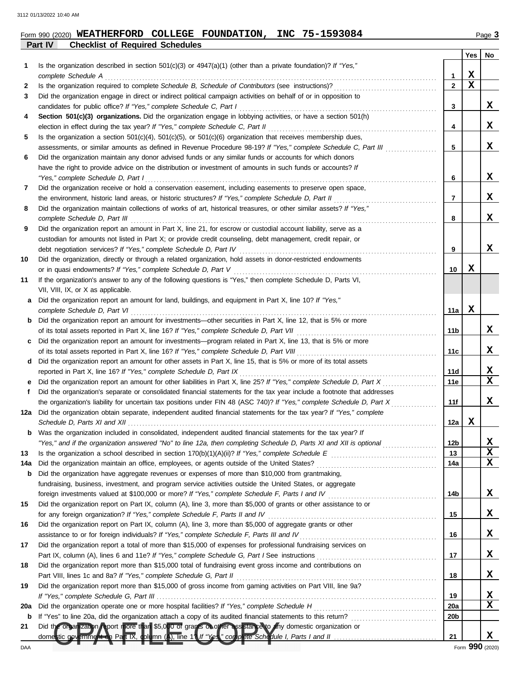**Part IV Checklist of Required Schedules**

#### **Form 990 (2020) WEATHERFORD COLLEGE FOUNDATION, INC 75-1593084** Page 3

|     |                                                                                                                                                                                      |              | Yes              | No          |
|-----|--------------------------------------------------------------------------------------------------------------------------------------------------------------------------------------|--------------|------------------|-------------|
| 1   | Is the organization described in section $501(c)(3)$ or $4947(a)(1)$ (other than a private foundation)? If "Yes,"                                                                    |              |                  |             |
|     | complete Schedule A                                                                                                                                                                  | 1            | х<br>$\mathbf x$ |             |
| 2   |                                                                                                                                                                                      | $\mathbf{2}$ |                  |             |
| 3   | Did the organization engage in direct or indirect political campaign activities on behalf of or in opposition to                                                                     |              |                  | x           |
| 4   | candidates for public office? If "Yes," complete Schedule C, Part I<br>Section 501(c)(3) organizations. Did the organization engage in lobbying activities, or have a section 501(h) | 3            |                  |             |
|     | election in effect during the tax year? If "Yes," complete Schedule C, Part II                                                                                                       | 4            |                  | x           |
| 5   | Is the organization a section $501(c)(4)$ , $501(c)(5)$ , or $501(c)(6)$ organization that receives membership dues,                                                                 |              |                  |             |
|     |                                                                                                                                                                                      | 5            |                  | x           |
| 6   | Did the organization maintain any donor advised funds or any similar funds or accounts for which donors                                                                              |              |                  |             |
|     | have the right to provide advice on the distribution or investment of amounts in such funds or accounts? If                                                                          |              |                  |             |
|     | "Yes," complete Schedule D, Part I                                                                                                                                                   | 6            |                  | x           |
| 7   | Did the organization receive or hold a conservation easement, including easements to preserve open space,                                                                            |              |                  |             |
|     |                                                                                                                                                                                      | 7            |                  | x           |
| 8   | Did the organization maintain collections of works of art, historical treasures, or other similar assets? If "Yes,"                                                                  |              |                  |             |
|     | complete Schedule D, Part III                                                                                                                                                        | 8            |                  | x           |
| 9   | Did the organization report an amount in Part X, line 21, for escrow or custodial account liability, serve as a                                                                      |              |                  |             |
|     | custodian for amounts not listed in Part X; or provide credit counseling, debt management, credit repair, or                                                                         |              |                  |             |
|     |                                                                                                                                                                                      | 9            |                  | x           |
| 10  | Did the organization, directly or through a related organization, hold assets in donor-restricted endowments                                                                         |              |                  |             |
|     | or in quasi endowments? If "Yes," complete Schedule D, Part V                                                                                                                        | 10           | X                |             |
| 11  | If the organization's answer to any of the following questions is "Yes," then complete Schedule D, Parts VI,                                                                         |              |                  |             |
|     | VII, VIII, IX, or X as applicable.                                                                                                                                                   |              |                  |             |
| а   | Did the organization report an amount for land, buildings, and equipment in Part X, line 10? If "Yes,"                                                                               |              |                  |             |
|     | complete Schedule D, Part VI                                                                                                                                                         | 11a          | х                |             |
| b   | Did the organization report an amount for investments—other securities in Part X, line 12, that is 5% or more                                                                        |              |                  |             |
|     | of its total assets reported in Part X, line 16? If "Yes," complete Schedule D, Part VII                                                                                             | 11b          |                  | X           |
| c   | Did the organization report an amount for investments—program related in Part X, line 13, that is 5% or more                                                                         |              |                  |             |
|     | of its total assets reported in Part X, line 16? If "Yes," complete Schedule D, Part VIII                                                                                            | 11c          |                  | x           |
| d   | Did the organization report an amount for other assets in Part X, line 15, that is 5% or more of its total assets                                                                    |              |                  |             |
|     | reported in Part X, line 16? If "Yes," complete Schedule D, Part IX                                                                                                                  | 11d          |                  | X           |
|     |                                                                                                                                                                                      | 11e          |                  | $\mathbf x$ |
| f   | Did the organization's separate or consolidated financial statements for the tax year include a footnote that addresses                                                              |              |                  |             |
|     | the organization's liability for uncertain tax positions under FIN 48 (ASC 740)? If "Yes," complete Schedule D, Part X                                                               | 11f          |                  | x           |
| 12a | Did the organization obtain separate, independent audited financial statements for the tax year? If "Yes," complete                                                                  |              |                  |             |
|     |                                                                                                                                                                                      | 12a          | X                |             |
|     | <b>b</b> Was the organization included in consolidated, independent audited financial statements for the tax year? If                                                                |              |                  |             |
|     | "Yes," and if the organization answered "No" to line 12a, then completing Schedule D, Parts XI and XII is optional                                                                   | 12b          |                  | X           |
| 13  |                                                                                                                                                                                      | 13           |                  | $\mathbf x$ |
| 14a |                                                                                                                                                                                      | 14a          |                  | X           |
| b   | Did the organization have aggregate revenues or expenses of more than \$10,000 from grantmaking,                                                                                     |              |                  |             |
|     | fundraising, business, investment, and program service activities outside the United States, or aggregate                                                                            |              |                  |             |
|     |                                                                                                                                                                                      | 14b          |                  | X           |
| 15  | Did the organization report on Part IX, column (A), line 3, more than \$5,000 of grants or other assistance to or                                                                    |              |                  | X           |
| 16  | Did the organization report on Part IX, column (A), line 3, more than \$5,000 of aggregate grants or other                                                                           | 15           |                  |             |
|     | assistance to or for foreign individuals? If "Yes," complete Schedule F, Parts III and IV [[[[[[[[[[[[[[[[[[[                                                                        | 16           |                  | X           |
| 17  | Did the organization report a total of more than \$15,000 of expenses for professional fundraising services on                                                                       |              |                  |             |
|     |                                                                                                                                                                                      | 17           |                  | X           |
| 18  | Did the organization report more than \$15,000 total of fundraising event gross income and contributions on                                                                          |              |                  |             |
|     |                                                                                                                                                                                      | 18           |                  | X           |
| 19  | Did the organization report more than \$15,000 of gross income from gaming activities on Part VIII, line 9a?                                                                         |              |                  |             |
|     |                                                                                                                                                                                      | 19           |                  | х           |
| 20a |                                                                                                                                                                                      | 20a          |                  | X           |
| b   |                                                                                                                                                                                      | 20b          |                  |             |
| 21  | Did the organization report more than \$5,000 of grants of other assistance to my domestic organization or                                                                           |              |                  |             |
|     |                                                                                                                                                                                      | 21           |                  | x           |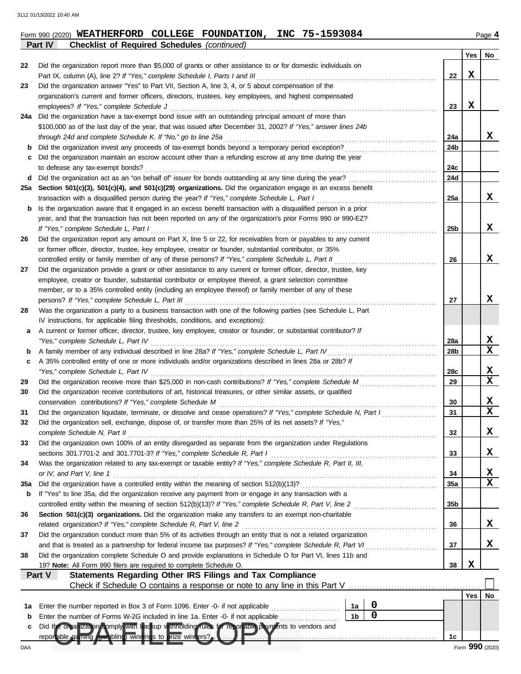|  | Form 990 (2020) WEATHERFORD COLLEGE FOUNDATION, |  | INC 75-1593084 | Page 4 |  |
|--|-------------------------------------------------|--|----------------|--------|--|
|  |                                                 |  |                |        |  |

**Part IV Checklist of Required Schedules** *(continued)*

|        |                                                                                                                                                                             |                |   |                 | Yes | No              |
|--------|-----------------------------------------------------------------------------------------------------------------------------------------------------------------------------|----------------|---|-----------------|-----|-----------------|
| 22     | Did the organization report more than \$5,000 of grants or other assistance to or for domestic individuals on                                                               |                |   |                 |     |                 |
|        | Part IX, column (A), line 2? If "Yes," complete Schedule I, Parts I and III                                                                                                 |                |   | 22              | X   |                 |
| 23     | Did the organization answer "Yes" to Part VII, Section A, line 3, 4, or 5 about compensation of the                                                                         |                |   |                 |     |                 |
|        | organization's current and former officers, directors, trustees, key employees, and highest compensated                                                                     |                |   |                 |     |                 |
|        | employees? If "Yes," complete Schedule J                                                                                                                                    |                |   | 23              | x   |                 |
| 24a    | Did the organization have a tax-exempt bond issue with an outstanding principal amount of more than                                                                         |                |   |                 |     |                 |
|        | \$100,000 as of the last day of the year, that was issued after December 31, 2002? If "Yes," answer lines 24b                                                               |                |   |                 |     |                 |
|        | through 24d and complete Schedule K. If "No," go to line 25a                                                                                                                |                |   | 24a             |     | x               |
| b      | Did the organization invest any proceeds of tax-exempt bonds beyond a temporary period exception?                                                                           |                |   | 24 <sub>b</sub> |     |                 |
| c      | Did the organization maintain an escrow account other than a refunding escrow at any time during the year                                                                   |                |   | 24c             |     |                 |
| d      | to defease any tax-exempt bonds?<br>Did the organization act as an "on behalf of" issuer for bonds outstanding at any time during the year?                                 |                |   | 24d             |     |                 |
| 25a    | Section 501(c)(3), 501(c)(4), and 501(c)(29) organizations. Did the organization engage in an excess benefit                                                                |                |   |                 |     |                 |
|        | transaction with a disqualified person during the year? If "Yes," complete Schedule L, Part I                                                                               |                |   | 25a             |     | x               |
| b      | Is the organization aware that it engaged in an excess benefit transaction with a disqualified person in a prior                                                            |                |   |                 |     |                 |
|        | year, and that the transaction has not been reported on any of the organization's prior Forms 990 or 990-EZ?                                                                |                |   |                 |     |                 |
|        | If "Yes," complete Schedule L, Part I                                                                                                                                       |                |   | 25b             |     | x               |
| 26     | Did the organization report any amount on Part X, line 5 or 22, for receivables from or payables to any current                                                             |                |   |                 |     |                 |
|        | or former officer, director, trustee, key employee, creator or founder, substantial contributor, or 35%                                                                     |                |   |                 |     |                 |
|        | controlled entity or family member of any of these persons? If "Yes," complete Schedule L, Part II                                                                          |                |   | 26              |     | x               |
| 27     | Did the organization provide a grant or other assistance to any current or former officer, director, trustee, key                                                           |                |   |                 |     |                 |
|        | employee, creator or founder, substantial contributor or employee thereof, a grant selection committee                                                                      |                |   |                 |     |                 |
|        | member, or to a 35% controlled entity (including an employee thereof) or family member of any of these                                                                      |                |   |                 |     |                 |
|        | persons? If "Yes," complete Schedule L, Part III                                                                                                                            |                |   | 27              |     | x               |
| 28     | Was the organization a party to a business transaction with one of the following parties (see Schedule L, Part                                                              |                |   |                 |     |                 |
|        | IV instructions, for applicable filing thresholds, conditions, and exceptions):                                                                                             |                |   |                 |     |                 |
| а      | A current or former officer, director, trustee, key employee, creator or founder, or substantial contributor? If                                                            |                |   |                 |     | X               |
|        | "Yes," complete Schedule L, Part IV<br>A family member of any individual described in line 28a? If "Yes," complete Schedule L, Part IV                                      |                |   | 28a<br>28b      |     | X               |
| b<br>c | A 35% controlled entity of one or more individuals and/or organizations described in lines 28a or 28b? If                                                                   |                |   |                 |     |                 |
|        | "Yes," complete Schedule L, Part IV                                                                                                                                         |                |   | 28c             |     | X               |
| 29     |                                                                                                                                                                             |                |   | 29              |     | X               |
| 30     | Did the organization receive contributions of art, historical treasures, or other similar assets, or qualified                                                              |                |   |                 |     |                 |
|        | conservation contributions? If "Yes," complete Schedule M                                                                                                                   |                |   | 30              |     | X               |
| 31     | Did the organization liquidate, terminate, or dissolve and cease operations? If "Yes," complete Schedule N, Part I                                                          |                |   | 31              |     | $\mathbf x$     |
| 32     | Did the organization sell, exchange, dispose of, or transfer more than 25% of its net assets? If "Yes,"                                                                     |                |   |                 |     |                 |
|        | complete Schedule N, Part II                                                                                                                                                |                |   | 32              |     | Х               |
| 33     | Did the organization own 100% of an entity disregarded as separate from the organization under Regulations                                                                  |                |   |                 |     |                 |
|        | sections 301.7701-2 and 301.7701-3? If "Yes," complete Schedule R, Part I                                                                                                   |                |   | 33              |     | X.              |
| 34     | Was the organization related to any tax-exempt or taxable entity? If "Yes," complete Schedule R, Part II, III,                                                              |                |   |                 |     |                 |
|        | or IV, and Part V, line 1                                                                                                                                                   |                |   | 34              |     | X               |
| 35a    |                                                                                                                                                                             |                |   | 35a             |     | X               |
| b      | If "Yes" to line 35a, did the organization receive any payment from or engage in any transaction with a                                                                     |                |   |                 |     |                 |
|        | controlled entity within the meaning of section 512(b)(13)? If "Yes," complete Schedule R, Part V, line 2                                                                   |                |   | 35 <sub>b</sub> |     |                 |
| 36     | Section 501(c)(3) organizations. Did the organization make any transfers to an exempt non-charitable<br>related organization? If "Yes," complete Schedule R, Part V, line 2 |                |   | 36              |     | X,              |
| 37     | Did the organization conduct more than 5% of its activities through an entity that is not a related organization                                                            |                |   |                 |     |                 |
|        | and that is treated as a partnership for federal income tax purposes? If "Yes," complete Schedule R, Part VI                                                                |                |   | 37              |     | X.              |
| 38     | Did the organization complete Schedule O and provide explanations in Schedule O for Part VI, lines 11b and                                                                  |                |   |                 |     |                 |
|        | 19? Note: All Form 990 filers are required to complete Schedule O.                                                                                                          |                |   | 38              | X   |                 |
|        | Statements Regarding Other IRS Filings and Tax Compliance<br>Part V                                                                                                         |                |   |                 |     |                 |
|        | Check if Schedule O contains a response or note to any line in this Part V                                                                                                  |                |   |                 |     |                 |
|        |                                                                                                                                                                             |                |   |                 | Yes | No              |
| 1a     | Enter the number reported in Box 3 of Form 1096. Enter -0- if not applicable                                                                                                | 1a             | 0 |                 |     |                 |
| b      | Enter the number of Forms W-2G included in line 1a. Enter -0- if not applicable                                                                                             | 1 <sub>b</sub> | 0 |                 |     |                 |
| c      | Did the organization comply with backup withholding rules for reportable peyments to vendors and                                                                            |                |   |                 |     |                 |
|        | reportable gaming (gambling) winnings to prize winners?                                                                                                                     |                |   | 1c              |     |                 |
| DAA    |                                                                                                                                                                             |                |   |                 |     | Form 990 (2020) |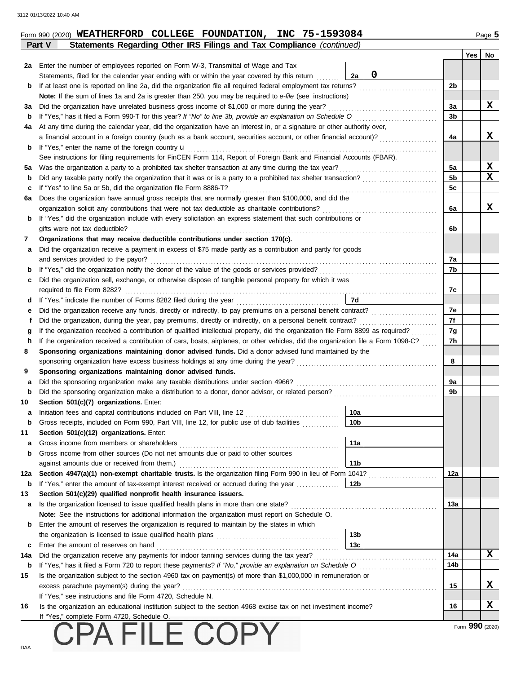| Form 990 (2020) WEATHERFORD COLLEGE FOUNDATION, |  | INC 75-1593084 | Page $5$ |
|-------------------------------------------------|--|----------------|----------|
|                                                 |  |                |          |

|         | Statements Regarding Other IRS Filings and Tax Compliance (continued)<br>Part V                                                                                                                                                                                        |                                    |         |                 |                 |             |
|---------|------------------------------------------------------------------------------------------------------------------------------------------------------------------------------------------------------------------------------------------------------------------------|------------------------------------|---------|-----------------|-----------------|-------------|
|         |                                                                                                                                                                                                                                                                        |                                    |         |                 | Yes             | No          |
| 2a      | Enter the number of employees reported on Form W-3, Transmittal of Wage and Tax                                                                                                                                                                                        |                                    |         |                 |                 |             |
|         | Statements, filed for the calendar year ending with or within the year covered by this return                                                                                                                                                                          | 2a                                 | 0       |                 |                 |             |
| b       | If at least one is reported on line 2a, did the organization file all required federal employment tax returns?                                                                                                                                                         |                                    |         | 2b              |                 |             |
|         | Note: If the sum of lines 1a and 2a is greater than 250, you may be required to e-file (see instructions)                                                                                                                                                              |                                    |         |                 |                 | x           |
| За      | Did the organization have unrelated business gross income of \$1,000 or more during the year?                                                                                                                                                                          |                                    |         | За              |                 |             |
| b       | If "Yes," has it filed a Form 990-T for this year? If "No" to line 3b, provide an explanation on Schedule O consequences consequences                                                                                                                                  |                                    |         | 3b              |                 |             |
| 4a      | At any time during the calendar year, did the organization have an interest in, or a signature or other authority over,<br>a financial account in a foreign country (such as a bank account, securities account, or other financial account)?                          |                                    |         | 4a              |                 | X           |
| b       | If "Yes," enter the name of the foreign country $\mathbf u$                                                                                                                                                                                                            |                                    |         |                 |                 |             |
|         | See instructions for filing requirements for FinCEN Form 114, Report of Foreign Bank and Financial Accounts (FBAR).                                                                                                                                                    |                                    |         |                 |                 |             |
| 5a      | Was the organization a party to a prohibited tax shelter transaction at any time during the tax year?                                                                                                                                                                  |                                    |         | 5a              |                 | X           |
| b       |                                                                                                                                                                                                                                                                        |                                    |         | 5 <sub>b</sub>  |                 | $\mathbf x$ |
| c       | If "Yes" to line 5a or 5b, did the organization file Form 8886-T?                                                                                                                                                                                                      |                                    |         | 5c              |                 |             |
| 6а      | Does the organization have annual gross receipts that are normally greater than \$100,000, and did the                                                                                                                                                                 |                                    |         |                 |                 |             |
|         |                                                                                                                                                                                                                                                                        |                                    |         | 6a              |                 | X           |
| b       | If "Yes," did the organization include with every solicitation an express statement that such contributions or                                                                                                                                                         |                                    |         |                 |                 |             |
|         | gifts were not tax deductible?                                                                                                                                                                                                                                         |                                    |         | 6b              |                 |             |
| 7       | Organizations that may receive deductible contributions under section 170(c).                                                                                                                                                                                          |                                    |         |                 |                 |             |
| а       | Did the organization receive a payment in excess of \$75 made partly as a contribution and partly for goods                                                                                                                                                            |                                    |         |                 |                 |             |
|         | and services provided to the payor?                                                                                                                                                                                                                                    |                                    |         | 7a              |                 |             |
| b       |                                                                                                                                                                                                                                                                        |                                    |         | 7b              |                 |             |
| c       | Did the organization sell, exchange, or otherwise dispose of tangible personal property for which it was                                                                                                                                                               |                                    |         |                 |                 |             |
|         | required to file Form 8282?                                                                                                                                                                                                                                            |                                    |         | 7с              |                 |             |
| d       |                                                                                                                                                                                                                                                                        | 7d                                 |         |                 |                 |             |
| е       |                                                                                                                                                                                                                                                                        |                                    |         | 7e              |                 |             |
| f       | Did the organization, during the year, pay premiums, directly or indirectly, on a personal benefit contract?                                                                                                                                                           |                                    |         | 7f              |                 |             |
| g       | If the organization received a contribution of qualified intellectual property, did the organization file Form 8899 as required?<br>If the organization received a contribution of cars, boats, airplanes, or other vehicles, did the organization file a Form 1098-C? |                                    |         | 7g<br>7h        |                 |             |
| h<br>8  | Sponsoring organizations maintaining donor advised funds. Did a donor advised fund maintained by the                                                                                                                                                                   |                                    | 1.1.1.1 |                 |                 |             |
|         | sponsoring organization have excess business holdings at any time during the year?                                                                                                                                                                                     |                                    |         | 8               |                 |             |
| 9       | Sponsoring organizations maintaining donor advised funds.                                                                                                                                                                                                              |                                    |         |                 |                 |             |
| а       | Did the sponsoring organization make any taxable distributions under section 4966?                                                                                                                                                                                     |                                    |         | 9a              |                 |             |
| b       |                                                                                                                                                                                                                                                                        |                                    |         | 9b              |                 |             |
| 10      | Section 501(c)(7) organizations. Enter:                                                                                                                                                                                                                                |                                    |         |                 |                 |             |
| а       | Initiation fees and capital contributions included on Part VIII, line 12 [11] [11] [12] [11] [12] [11] [12] [1                                                                                                                                                         | 10a                                |         |                 |                 |             |
|         | Gross receipts, included on Form 990, Part VIII, line 12, for public use of club facilities                                                                                                                                                                            | 10 <sub>b</sub>                    |         |                 |                 |             |
| 11      | Section 501(c)(12) organizations. Enter:                                                                                                                                                                                                                               |                                    |         |                 |                 |             |
| a       | Gross income from members or shareholders                                                                                                                                                                                                                              | 11a                                |         |                 |                 |             |
| b       | Gross income from other sources (Do not net amounts due or paid to other sources                                                                                                                                                                                       |                                    |         |                 |                 |             |
|         |                                                                                                                                                                                                                                                                        | 11 <sub>b</sub>                    |         |                 |                 |             |
| 12a     | Section 4947(a)(1) non-exempt charitable trusts. Is the organization filing Form 990 in lieu of Form 1041?                                                                                                                                                             |                                    |         | 12a             |                 |             |
| b       |                                                                                                                                                                                                                                                                        |                                    |         |                 |                 |             |
| 13      | Section 501(c)(29) qualified nonprofit health insurance issuers.                                                                                                                                                                                                       |                                    |         |                 |                 |             |
| a       |                                                                                                                                                                                                                                                                        |                                    |         | 13a             |                 |             |
|         | Note: See the instructions for additional information the organization must report on Schedule O.                                                                                                                                                                      |                                    |         |                 |                 |             |
| b       | Enter the amount of reserves the organization is required to maintain by the states in which                                                                                                                                                                           |                                    |         |                 |                 |             |
|         |                                                                                                                                                                                                                                                                        | 13 <sub>b</sub><br>13 <sub>c</sub> |         |                 |                 |             |
| c       | Enter the amount of reserves on hand                                                                                                                                                                                                                                   |                                    |         | 14a             |                 | X           |
| 14a     | Did the organization receive any payments for indoor tanning services during the tax year?                                                                                                                                                                             |                                    |         | 14 <sub>b</sub> |                 |             |
| b<br>15 | Is the organization subject to the section 4960 tax on payment(s) of more than \$1,000,000 in remuneration or                                                                                                                                                          |                                    |         |                 |                 |             |
|         | excess parachute payment(s) during the year?                                                                                                                                                                                                                           |                                    |         | 15              |                 | x           |
|         | If "Yes," see instructions and file Form 4720, Schedule N.                                                                                                                                                                                                             |                                    |         |                 |                 |             |
| 16      | Is the organization an educational institution subject to the section 4968 excise tax on net investment income?                                                                                                                                                        |                                    |         | 16              |                 | x           |
|         | If "Yes," complete Form 4720, Schedule O.                                                                                                                                                                                                                              |                                    |         |                 |                 |             |
|         | PA FILE COPY                                                                                                                                                                                                                                                           |                                    |         |                 | Form 990 (2020) |             |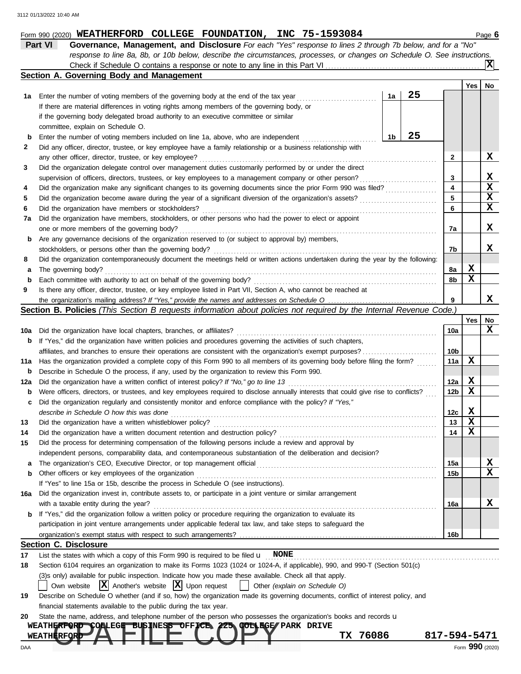| Form 990 (2020) WEATHERFORD COLLEGE FOUNDATION, |  | INC 75-1593084 | Page b |
|-------------------------------------------------|--|----------------|--------|
|                                                 |  |                |        |

| Part VI | <b>Governance, Management, and Disclosure</b> For each "Yes" response to lines 2 through 7b below, and for a "No"         |
|---------|---------------------------------------------------------------------------------------------------------------------------|
|         | response to line 8a, 8b, or 10b below, describe the circumstances, processes, or changes on Schedule O. See instructions. |
|         | $\sqrt{\text{X}}$                                                                                                         |
|         | Section A Coverning Rody and Management                                                                                   |

|              | Secuon A. Governing Body and management                                                                                             |    |    |     |     |             |
|--------------|-------------------------------------------------------------------------------------------------------------------------------------|----|----|-----|-----|-------------|
|              |                                                                                                                                     |    |    |     | Yes | No          |
| 1а           | Enter the number of voting members of the governing body at the end of the tax year                                                 | 1a | 25 |     |     |             |
|              | If there are material differences in voting rights among members of the governing body, or                                          |    |    |     |     |             |
|              | if the governing body delegated broad authority to an executive committee or similar                                                |    |    |     |     |             |
|              | committee, explain on Schedule O.                                                                                                   |    |    |     |     |             |
| b            | Enter the number of voting members included on line 1a, above, who are independent                                                  | 1b | 25 |     |     |             |
| $\mathbf{2}$ | Did any officer, director, trustee, or key employee have a family relationship or a business relationship with                      |    |    |     |     |             |
|              | any other officer, director, trustee, or key employee?                                                                              |    |    | 2   |     | x           |
| 3            | Did the organization delegate control over management duties customarily performed by or under the direct                           |    |    |     |     |             |
|              | supervision of officers, directors, trustees, or key employees to a management company or other person?                             |    |    | 3   |     | X           |
| 4            | Did the organization make any significant changes to its governing documents since the prior Form 990 was filed?                    |    |    | 4   |     | $\mathbf x$ |
| 5            | Did the organization become aware during the year of a significant diversion of the organization's assets?                          |    |    | 5   |     | X           |
| 6            | Did the organization have members or stockholders?                                                                                  |    |    | 6   |     | X           |
| 7а           | Did the organization have members, stockholders, or other persons who had the power to elect or appoint                             |    |    |     |     |             |
|              | one or more members of the governing body?                                                                                          |    |    | 7a  |     | x           |
| b            | Are any governance decisions of the organization reserved to (or subject to approval by) members,                                   |    |    |     |     |             |
|              | stockholders, or persons other than the governing body?                                                                             |    |    | 7b  |     | x           |
| 8            | Did the organization contemporaneously document the meetings held or written actions undertaken during the year by the following:   |    |    |     |     |             |
| а            | The governing body?                                                                                                                 |    |    | 8а  | х   |             |
| b            | Each committee with authority to act on behalf of the governing body?                                                               |    |    | 8b  | х   |             |
| 9            | Is there any officer, director, trustee, or key employee listed in Part VII, Section A, who cannot be reached at                    |    |    |     |     | x           |
|              |                                                                                                                                     |    |    | 9   |     |             |
|              | Section B. Policies (This Section B requests information about policies not required by the Internal Revenue Code.                  |    |    |     | Yes | No          |
| 10a          | Did the organization have local chapters, branches, or affiliates?                                                                  |    |    | 10a |     | x           |
| b            | If "Yes," did the organization have written policies and procedures governing the activities of such chapters,                      |    |    |     |     |             |
|              |                                                                                                                                     |    |    | 10b |     |             |
| 11a          | Has the organization provided a complete copy of this Form 990 to all members of its governing body before filing the form?         |    |    | 11a | х   |             |
| b            | Describe in Schedule O the process, if any, used by the organization to review this Form 990.                                       |    |    |     |     |             |
| 12a          | Did the organization have a written conflict of interest policy? If "No," go to line 13                                             |    |    | 12a | x   |             |
| b            | Were officers, directors, or trustees, and key employees required to disclose annually interests that could give rise to conflicts? |    |    | 12b | X   |             |
| c            | Did the organization regularly and consistently monitor and enforce compliance with the policy? If "Yes,"                           |    |    |     |     |             |
|              | describe in Schedule O how this was done                                                                                            |    |    | 12c | х   |             |
| 13           | Did the organization have a written whistleblower policy?                                                                           |    |    | 13  | X   |             |
| 14           | Did the organization have a written document retention and destruction policy?                                                      |    |    | 14  | X   |             |
| 15           | Did the process for determining compensation of the following persons include a review and approval by                              |    |    |     |     |             |
|              | independent persons, comparability data, and contemporaneous substantiation of the deliberation and decision?                       |    |    |     |     |             |
| a            |                                                                                                                                     |    |    | 15a |     | х           |
| b            | Other officers or key employees of the organization                                                                                 |    |    | 15b |     | X           |
|              | If "Yes" to line 15a or 15b, describe the process in Schedule O (see instructions).                                                 |    |    |     |     |             |
| 16a          | Did the organization invest in, contribute assets to, or participate in a joint venture or similar arrangement                      |    |    |     |     |             |
|              | with a taxable entity during the year?                                                                                              |    |    | 16a |     | x           |
| b            | If "Yes," did the organization follow a written policy or procedure requiring the organization to evaluate its                      |    |    |     |     |             |
|              | participation in joint venture arrangements under applicable federal tax law, and take steps to safeguard the                       |    |    |     |     |             |
|              |                                                                                                                                     |    |    | 16b |     |             |
|              | <b>Section C. Disclosure</b>                                                                                                        |    |    |     |     |             |
| 17           | List the states with which a copy of this Form 990 is required to be filed $\mathbf u$ NONE                                         |    |    |     |     |             |
| 18           | Section 6104 requires an organization to make its Forms 1023 (1024 or 1024-A, if applicable), 990, and 990-T (Section 501(c)        |    |    |     |     |             |
|              |                                                                                                                                     |    |    |     |     |             |

Own website  $\boxed{\mathbf{X}}$  Another's website  $\boxed{\mathbf{X}}$  Upon request Other *(explain on Schedule O)*

**19** Describe on Schedule O whether (and if so, how) the organization made its governing documents, conflict of interest policy, and financial statements available to the public during the tax year.

#### **20** State the name, address, and telephone number of the person who possesses the organization's books and records u

### **WEATHERFORD COLLEGE BUSINESS OFFICE 225 COLLEGE PARK DRIVE**

**WEATHERFORD A FILE R. PY** TX 76086 817-594-5471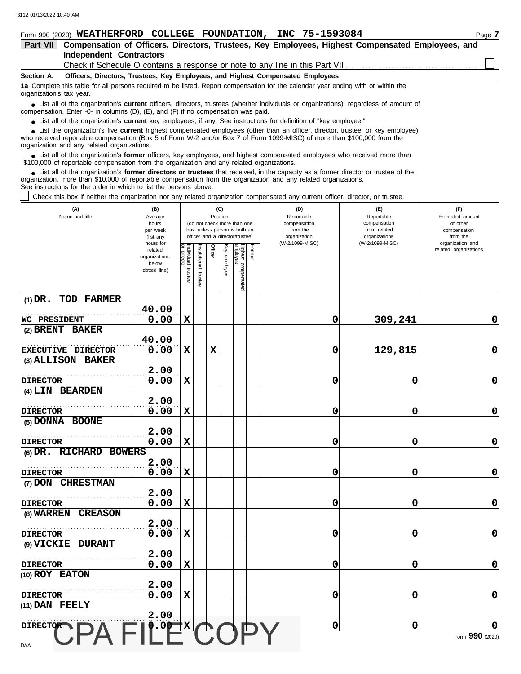#### **Section A. Independent Contractors Part VII Compensation of Officers, Directors, Trustees, Key Employees, Highest Compensated Employees, and Form 990 (2020) WEATHERFORD COLLEGE FOUNDATION, INC 75-1593084** Page 7 **Officers, Directors, Trustees, Key Employees, and Highest Compensated Employees 1a** Complete this table for all persons required to be listed. Report compensation for the calendar year ending with or within the ■ List all of the organization's **current** officers, directors, trustees (whether individuals or organizations), regardless of amount of compensation. Enter -0- in columns (D), (E), and (F) if no compensation was paid. ● List all of the organization's **current** key employees, if any. See instructions for definition of "key employee." organization's tax year. Check if Schedule O contains a response or note to any line in this Part VII

who received reportable compensation (Box 5 of Form W-2 and/or Box 7 of Form 1099-MISC) of more than \$100,000 from the organization and any related organizations. ■ List the organization's five **current** highest compensated employees (other than an officer, director, trustee, or key employee)<br> **•** Preceived reportable compensation (Box 5 of Form *M*, 2 and/or Box 7 of Form 1000 MIS

● List all of the organization's **former** officers, key employees, and highest compensated employees who received more than<br>00,000 of reportable compensation from the erganization and any related erganizations \$100,000 of reportable compensation from the organization and any related organizations.

■ List all of the organization's **former directors or trustees** that received, in the capacity as a former director or trustee of the<br>enization, more than \$10,000 of reportable compensation from the organization and any r organization, more than \$10,000 of reportable compensation from the organization and any related organizations. See instructions for the order in which to list the persons above.

Check this box if neither the organization nor any related organization compensated any current officer, director, or trustee.

| (A)<br>Name and title           | (B)<br>Average<br>hours<br>per week<br>(list any               |                                      |                          | Position    | (C)          | (do not check more than one<br>box, unless person is both an<br>officer and a director/trustee) | (D)<br>Reportable<br>compensation<br>from the<br>organization | (E)<br>Reportable<br>compensation<br>from related<br>organizations | (F)<br>Estimated amount<br>of other<br>compensation<br>from the |
|---------------------------------|----------------------------------------------------------------|--------------------------------------|--------------------------|-------------|--------------|-------------------------------------------------------------------------------------------------|---------------------------------------------------------------|--------------------------------------------------------------------|-----------------------------------------------------------------|
|                                 | hours for<br>related<br>organizations<br>below<br>dotted line) | Individual<br>or director<br>trustee | Institutional<br>trustee | Officer     | Key employee | Former<br>Highest compensated<br>employee                                                       | (W-2/1099-MISC)                                               | (W-2/1099-MISC)                                                    | organization and<br>related organizations                       |
| TOD FARMER<br>$(1)$ DR.         |                                                                |                                      |                          |             |              |                                                                                                 |                                                               |                                                                    |                                                                 |
|                                 | 40.00                                                          |                                      |                          |             |              |                                                                                                 |                                                               |                                                                    |                                                                 |
| WC PRESIDENT<br>(2) BRENT BAKER | 0.00                                                           | $\mathbf x$                          |                          |             |              |                                                                                                 | 0                                                             | 309,241                                                            | $\mathbf 0$                                                     |
|                                 | 40.00                                                          |                                      |                          |             |              |                                                                                                 |                                                               |                                                                    |                                                                 |
| EXECUTIVE DIRECTOR              | 0.00                                                           | $\mathbf x$                          |                          | $\mathbf x$ |              |                                                                                                 | 0                                                             | 129,815                                                            | 0                                                               |
| (3) ALLISON BAKER               |                                                                |                                      |                          |             |              |                                                                                                 |                                                               |                                                                    |                                                                 |
|                                 | 2.00                                                           |                                      |                          |             |              |                                                                                                 |                                                               |                                                                    |                                                                 |
| <b>DIRECTOR</b>                 | 0.00                                                           | $\mathbf x$                          |                          |             |              |                                                                                                 | 0                                                             | $\mathbf 0$                                                        | $\mathbf 0$                                                     |
| (4) LIN BEARDEN                 |                                                                |                                      |                          |             |              |                                                                                                 |                                                               |                                                                    |                                                                 |
|                                 | 2.00                                                           |                                      |                          |             |              |                                                                                                 |                                                               |                                                                    |                                                                 |
| <b>DIRECTOR</b>                 | 0.00                                                           | $\mathbf x$                          |                          |             |              |                                                                                                 | 0                                                             | 0                                                                  | $\mathbf 0$                                                     |
| (5) DONNA BOONE                 |                                                                |                                      |                          |             |              |                                                                                                 |                                                               |                                                                    |                                                                 |
|                                 | 2.00                                                           |                                      |                          |             |              |                                                                                                 |                                                               |                                                                    |                                                                 |
| <b>DIRECTOR</b>                 | 0.00                                                           | X                                    |                          |             |              |                                                                                                 | 0                                                             | 0                                                                  | 0                                                               |
| (6) DR. RICHARD BOWERS          |                                                                |                                      |                          |             |              |                                                                                                 |                                                               |                                                                    |                                                                 |
|                                 | 2.00                                                           |                                      |                          |             |              |                                                                                                 |                                                               |                                                                    |                                                                 |
| <b>DIRECTOR</b>                 | 0.00                                                           | $\mathbf x$                          |                          |             |              |                                                                                                 | 0                                                             | 0                                                                  | $\pmb{0}$                                                       |
| (7) DON CHRESTMAN               |                                                                |                                      |                          |             |              |                                                                                                 |                                                               |                                                                    |                                                                 |
|                                 | 2.00                                                           |                                      |                          |             |              |                                                                                                 |                                                               |                                                                    |                                                                 |
| <b>DIRECTOR</b>                 | 0.00                                                           | $\mathbf x$                          |                          |             |              |                                                                                                 | 0                                                             | 0                                                                  | 0                                                               |
| <b>CREASON</b><br>(8) WARREN    |                                                                |                                      |                          |             |              |                                                                                                 |                                                               |                                                                    |                                                                 |
|                                 | 2.00                                                           |                                      |                          |             |              |                                                                                                 |                                                               |                                                                    |                                                                 |
| <b>DIRECTOR</b>                 | 0.00                                                           | $\mathbf x$                          |                          |             |              |                                                                                                 | 0                                                             | 0                                                                  | 0                                                               |
| (9) VICKIE DURANT               |                                                                |                                      |                          |             |              |                                                                                                 |                                                               |                                                                    |                                                                 |
|                                 | 2.00                                                           |                                      |                          |             |              |                                                                                                 |                                                               |                                                                    |                                                                 |
| <b>DIRECTOR</b>                 | 0.00                                                           | $\mathbf x$                          |                          |             |              |                                                                                                 | 0                                                             | 0                                                                  | 0                                                               |
| (10) ROY EATON                  |                                                                |                                      |                          |             |              |                                                                                                 |                                                               |                                                                    |                                                                 |
|                                 | 2.00                                                           |                                      |                          |             |              |                                                                                                 |                                                               |                                                                    |                                                                 |
| <b>DIRECTOR</b>                 | 0.00                                                           | $\mathbf x$                          |                          |             |              |                                                                                                 | 0                                                             | $\mathbf 0$                                                        | 0                                                               |
| (11) DAN FEELY                  | 2.00                                                           |                                      |                          |             |              |                                                                                                 |                                                               |                                                                    |                                                                 |
| <b>DIRECTOR</b>                 | . OD                                                           | X                                    |                          |             |              |                                                                                                 | 0                                                             | 0                                                                  | 0                                                               |
|                                 |                                                                |                                      |                          |             |              |                                                                                                 |                                                               |                                                                    | Form 990 (2020)                                                 |
| <b>DAA</b>                      |                                                                |                                      |                          |             |              |                                                                                                 |                                                               |                                                                    |                                                                 |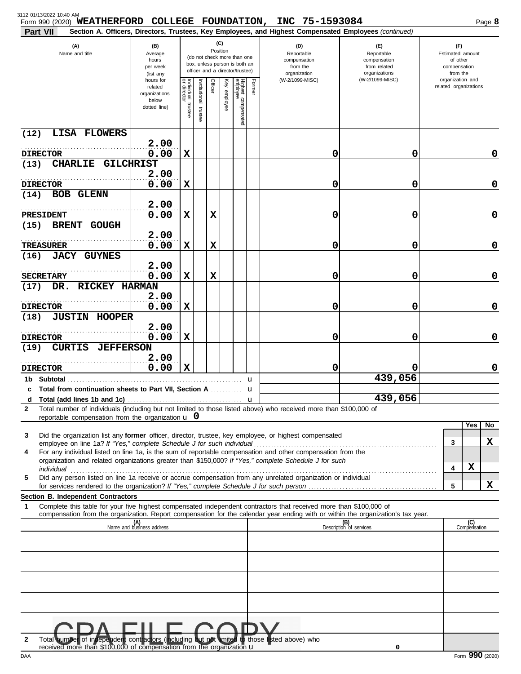| 3112 01/13/2022 10:40 AM<br>Form 990 (2020) WEATHERFORD COLLEGE FOUNDATION, INC 75-1593084<br>Part VII                                                                                                                                                                                                                                            |                                                                |                                      |                         |             |                 |                                                                                                 |             | Section A. Officers, Directors, Trustees, Key Employees, and Highest Compensated Employees (continued) |                                                                    |   |                                                                 | Page 8 |
|---------------------------------------------------------------------------------------------------------------------------------------------------------------------------------------------------------------------------------------------------------------------------------------------------------------------------------------------------|----------------------------------------------------------------|--------------------------------------|-------------------------|-------------|-----------------|-------------------------------------------------------------------------------------------------|-------------|--------------------------------------------------------------------------------------------------------|--------------------------------------------------------------------|---|-----------------------------------------------------------------|--------|
| (A)<br>Name and title                                                                                                                                                                                                                                                                                                                             | (B)<br>Average<br>hours<br>per week<br>(list any               |                                      |                         |             | (C)<br>Position | (do not check more than one<br>box, unless person is both an<br>officer and a director/trustee) |             | (D)<br>Reportable<br>compensation<br>from the<br>organization                                          | (E)<br>Reportable<br>compensation<br>from related<br>organizations |   | (F)<br>Estimated amount<br>of other<br>compensation<br>from the |        |
|                                                                                                                                                                                                                                                                                                                                                   | hours for<br>related<br>organizations<br>below<br>dotted line) | Individual<br>or director<br>trustee | nstitutional<br>trustee | Officer     | Key employee    | Highest compensated<br>employee                                                                 | Former      | (W-2/1099-MISC)                                                                                        | (W-2/1099-MISC)                                                    |   | organization and<br>related organizations                       |        |
| <b>LISA FLOWERS</b><br>(12)                                                                                                                                                                                                                                                                                                                       |                                                                |                                      |                         |             |                 |                                                                                                 |             |                                                                                                        |                                                                    |   |                                                                 |        |
| <b>DIRECTOR</b>                                                                                                                                                                                                                                                                                                                                   | 2.00<br>0.00                                                   | $\mathbf x$                          |                         |             |                 |                                                                                                 |             | 0                                                                                                      | 0                                                                  |   |                                                                 | 0      |
| (13)<br>CHARLIE GILCHRIST                                                                                                                                                                                                                                                                                                                         | 2.00                                                           |                                      |                         |             |                 |                                                                                                 |             |                                                                                                        |                                                                    |   |                                                                 |        |
| <b>DIRECTOR</b>                                                                                                                                                                                                                                                                                                                                   | 0.00                                                           | X                                    |                         |             |                 |                                                                                                 |             | 0                                                                                                      | 0                                                                  |   |                                                                 | 0      |
| <b>BOB GLENN</b><br>(14)                                                                                                                                                                                                                                                                                                                          |                                                                |                                      |                         |             |                 |                                                                                                 |             |                                                                                                        |                                                                    |   |                                                                 |        |
| PRESIDENT                                                                                                                                                                                                                                                                                                                                         | 2.00<br>0.00                                                   | $\mathbf x$                          |                         | X           |                 |                                                                                                 |             | 0                                                                                                      | 0                                                                  |   |                                                                 | 0      |
| (15)<br>BRENT GOUGH                                                                                                                                                                                                                                                                                                                               |                                                                |                                      |                         |             |                 |                                                                                                 |             |                                                                                                        |                                                                    |   |                                                                 |        |
| <b>TREASURER</b>                                                                                                                                                                                                                                                                                                                                  | 2.00<br>0.00                                                   | $\mathbf x$                          |                         | X           |                 |                                                                                                 |             | 0                                                                                                      | 0                                                                  |   |                                                                 | 0      |
| (16)<br><b>JACY GUYNES</b>                                                                                                                                                                                                                                                                                                                        |                                                                |                                      |                         |             |                 |                                                                                                 |             |                                                                                                        |                                                                    |   |                                                                 |        |
| <b>SECRETARY</b>                                                                                                                                                                                                                                                                                                                                  | 2.00<br>0.00                                                   | $\mathbf x$                          |                         | $\mathbf x$ |                 |                                                                                                 |             | 0                                                                                                      | 0                                                                  |   |                                                                 | 0      |
| DR. RICKEY HARMAN<br>(17)                                                                                                                                                                                                                                                                                                                         |                                                                |                                      |                         |             |                 |                                                                                                 |             |                                                                                                        |                                                                    |   |                                                                 |        |
| <b>DIRECTOR</b>                                                                                                                                                                                                                                                                                                                                   | 2.00<br>0.00                                                   | $\mathbf x$                          |                         |             |                 |                                                                                                 |             | 0                                                                                                      | 0                                                                  |   |                                                                 | 0      |
| <b>JUSTIN HOOPER</b><br>(18)                                                                                                                                                                                                                                                                                                                      |                                                                |                                      |                         |             |                 |                                                                                                 |             |                                                                                                        |                                                                    |   |                                                                 |        |
| <b>DIRECTOR</b>                                                                                                                                                                                                                                                                                                                                   | 2.00<br>0.00                                                   | $\mathbf x$                          |                         |             |                 |                                                                                                 |             | 0                                                                                                      | 0                                                                  |   |                                                                 | 0      |
| <b>CURTIS JEFFERSON</b><br>(19)                                                                                                                                                                                                                                                                                                                   |                                                                |                                      |                         |             |                 |                                                                                                 |             |                                                                                                        |                                                                    |   |                                                                 |        |
| <b>DIRECTOR</b>                                                                                                                                                                                                                                                                                                                                   | 2.00<br>0.00                                                   | $\mathbf x$                          |                         |             |                 |                                                                                                 |             | 0                                                                                                      | 0                                                                  |   |                                                                 | 0      |
| 1b.                                                                                                                                                                                                                                                                                                                                               |                                                                |                                      |                         |             |                 |                                                                                                 | u           |                                                                                                        | 439,056                                                            |   |                                                                 |        |
| c Total from continuation sheets to Part VII, Section A                                                                                                                                                                                                                                                                                           |                                                                |                                      |                         |             |                 |                                                                                                 | u           |                                                                                                        |                                                                    |   |                                                                 |        |
| d<br>Total number of individuals (including but not limited to those listed above) who received more than \$100,000 of<br>$\mathbf{2}$                                                                                                                                                                                                            |                                                                |                                      |                         |             |                 |                                                                                                 | $\mathbf u$ |                                                                                                        | 439,056                                                            |   |                                                                 |        |
| reportable compensation from the organization $\bf{u}$ 0                                                                                                                                                                                                                                                                                          |                                                                |                                      |                         |             |                 |                                                                                                 |             |                                                                                                        |                                                                    |   | Yes                                                             | No     |
| Did the organization list any <b>former</b> officer, director, trustee, key employee, or highest compensated<br>3                                                                                                                                                                                                                                 |                                                                |                                      |                         |             |                 |                                                                                                 |             |                                                                                                        |                                                                    | 3 |                                                                 | x      |
| employee on line 1a? If "Yes," complete Schedule J for such individual [11][11] content to the set on line 1a? If "Yes," complete Schedule J for such individual [11][11] content to the set of the set of the set of the set<br>For any individual listed on line 1a, is the sum of reportable compensation and other compensation from the<br>4 |                                                                |                                      |                         |             |                 |                                                                                                 |             |                                                                                                        |                                                                    |   |                                                                 |        |
| organization and related organizations greater than \$150,000? If "Yes," complete Schedule J for such<br>individual                                                                                                                                                                                                                               |                                                                |                                      |                         |             |                 |                                                                                                 |             |                                                                                                        |                                                                    | 4 | х                                                               |        |
| Did any person listed on line 1a receive or accrue compensation from any unrelated organization or individual<br>5                                                                                                                                                                                                                                |                                                                |                                      |                         |             |                 |                                                                                                 |             |                                                                                                        |                                                                    | 5 |                                                                 | X      |
| Section B. Independent Contractors                                                                                                                                                                                                                                                                                                                |                                                                |                                      |                         |             |                 |                                                                                                 |             |                                                                                                        |                                                                    |   |                                                                 |        |
| Complete this table for your five highest compensated independent contractors that received more than \$100,000 of<br>1<br>compensation from the organization. Report compensation for the calendar year ending with or within the organization's tax year.                                                                                       |                                                                |                                      |                         |             |                 |                                                                                                 |             |                                                                                                        |                                                                    |   |                                                                 |        |
|                                                                                                                                                                                                                                                                                                                                                   | (A)<br>Name and business address                               |                                      |                         |             |                 |                                                                                                 |             |                                                                                                        | (B)<br>Description of services                                     |   | (C)<br>Compensation                                             |        |
|                                                                                                                                                                                                                                                                                                                                                   |                                                                |                                      |                         |             |                 |                                                                                                 |             |                                                                                                        |                                                                    |   |                                                                 |        |
|                                                                                                                                                                                                                                                                                                                                                   |                                                                |                                      |                         |             |                 |                                                                                                 |             |                                                                                                        |                                                                    |   |                                                                 |        |
|                                                                                                                                                                                                                                                                                                                                                   |                                                                |                                      |                         |             |                 |                                                                                                 |             |                                                                                                        |                                                                    |   |                                                                 |        |
|                                                                                                                                                                                                                                                                                                                                                   |                                                                |                                      |                         |             |                 |                                                                                                 |             |                                                                                                        |                                                                    |   |                                                                 |        |
|                                                                                                                                                                                                                                                                                                                                                   |                                                                |                                      |                         |             |                 |                                                                                                 |             |                                                                                                        |                                                                    |   |                                                                 |        |
|                                                                                                                                                                                                                                                                                                                                                   |                                                                |                                      |                         |             |                 |                                                                                                 |             |                                                                                                        |                                                                    |   |                                                                 |        |
| DA FILE QODV                                                                                                                                                                                                                                                                                                                                      |                                                                |                                      |                         |             |                 |                                                                                                 |             |                                                                                                        |                                                                    |   |                                                                 |        |

#### **2** Total number of independent contractors (including but not limited to those listed above) who received more than  $$100,000$  of compensation from the organization  $$

**0**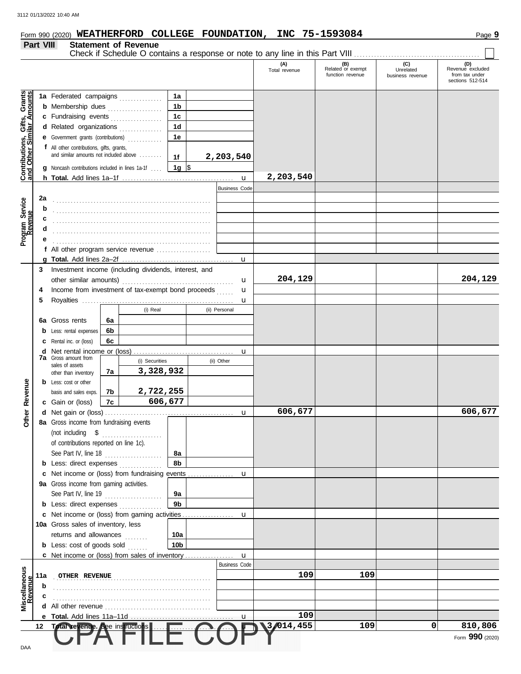#### **Form 990 (2020) WEATHERFORD COLLEGE FOUNDATION, INC 75-1593084** Page 9

### **Part VIII Statement of Revenue**

|                                                                  |     |                                                                                     |    |                      |                 |                      | (A)<br>Total revenue        | (B)<br>Related or exempt<br>function revenue | (C)<br>Unrelated<br>business revenue | (D)<br>Revenue excluded<br>from tax under<br>sections 512-514 |
|------------------------------------------------------------------|-----|-------------------------------------------------------------------------------------|----|----------------------|-----------------|----------------------|-----------------------------|----------------------------------------------|--------------------------------------|---------------------------------------------------------------|
|                                                                  |     |                                                                                     |    |                      | 1a              |                      |                             |                                              |                                      |                                                               |
|                                                                  |     | 1a Federated campaigns                                                              |    |                      | 1 <sub>b</sub>  |                      |                             |                                              |                                      |                                                               |
|                                                                  |     | <b>b</b> Membership dues                                                            |    |                      | 1 <sub>c</sub>  |                      |                             |                                              |                                      |                                                               |
|                                                                  |     | c Fundraising events                                                                |    |                      | 1 <sub>d</sub>  |                      |                             |                                              |                                      |                                                               |
|                                                                  |     | d Related organizations                                                             |    |                      |                 |                      |                             |                                              |                                      |                                                               |
|                                                                  |     | e Government grants (contributions) [1] Content Contributions                       |    |                      | 1e              |                      |                             |                                              |                                      |                                                               |
| <b>Contributions, Gifts, Grants</b><br>and Other Similar Amounts |     | f All other contributions, gifts, grants,<br>and similar amounts not included above |    |                      | 1f              | 2,203,540            |                             |                                              |                                      |                                                               |
|                                                                  |     | <b>g</b> Noncash contributions included in lines 1a-1f                              |    |                      | 1g  \$          |                      |                             |                                              |                                      |                                                               |
|                                                                  |     |                                                                                     |    |                      |                 | $\mathbf u$          | 2,203,540                   |                                              |                                      |                                                               |
|                                                                  |     |                                                                                     |    |                      |                 | <b>Business Code</b> |                             |                                              |                                      |                                                               |
|                                                                  | 2a  |                                                                                     |    |                      |                 |                      |                             |                                              |                                      |                                                               |
|                                                                  | b   |                                                                                     |    |                      |                 |                      |                             |                                              |                                      |                                                               |
| Program Service<br>Revenue                                       | c   |                                                                                     |    |                      |                 |                      |                             |                                              |                                      |                                                               |
|                                                                  | d   |                                                                                     |    |                      |                 |                      |                             |                                              |                                      |                                                               |
|                                                                  | е   |                                                                                     |    |                      |                 |                      |                             |                                              |                                      |                                                               |
|                                                                  |     | f All other program service revenue                                                 |    |                      |                 |                      |                             |                                              |                                      |                                                               |
|                                                                  |     |                                                                                     |    |                      |                 |                      |                             |                                              |                                      |                                                               |
|                                                                  | 3   | Investment income (including dividends, interest, and                               |    |                      |                 |                      |                             |                                              |                                      |                                                               |
|                                                                  |     | other similar amounts)                                                              |    |                      |                 | u                    | 204,129                     |                                              |                                      | 204,129                                                       |
|                                                                  | 4   | Income from investment of tax-exempt bond proceeds                                  |    |                      |                 | u                    |                             |                                              |                                      |                                                               |
|                                                                  | 5   |                                                                                     |    |                      |                 | u                    |                             |                                              |                                      |                                                               |
|                                                                  |     |                                                                                     |    | (i) Real             |                 | (ii) Personal        |                             |                                              |                                      |                                                               |
|                                                                  |     | <b>6a</b> Gross rents                                                               | 6а |                      |                 |                      |                             |                                              |                                      |                                                               |
|                                                                  |     | <b>b</b> Less: rental expenses                                                      | 6b |                      |                 |                      |                             |                                              |                                      |                                                               |
|                                                                  |     |                                                                                     | 6c |                      |                 |                      |                             |                                              |                                      |                                                               |
|                                                                  |     | <b>c</b> Rental inc. or (loss)                                                      |    |                      |                 |                      |                             |                                              |                                      |                                                               |
|                                                                  |     | <b>7a</b> Gross amount from                                                         |    | (i) Securities       |                 | u<br>(ii) Other      |                             |                                              |                                      |                                                               |
|                                                                  |     | sales of assets<br>other than inventory                                             |    | 3,328,932            |                 |                      |                             |                                              |                                      |                                                               |
|                                                                  |     |                                                                                     | 7a |                      |                 |                      |                             |                                              |                                      |                                                               |
|                                                                  |     | <b>b</b> Less: cost or other                                                        |    |                      |                 |                      |                             |                                              |                                      |                                                               |
|                                                                  |     | basis and sales exps.                                                               | 7b | 2,722,255<br>606,677 |                 |                      |                             |                                              |                                      |                                                               |
| Other Revenue                                                    |     | c Gain or (loss)                                                                    | 7c |                      |                 |                      | 606,677                     |                                              |                                      | 606,677                                                       |
|                                                                  |     |                                                                                     |    |                      |                 | u                    |                             |                                              |                                      |                                                               |
|                                                                  |     | 8a Gross income from fundraising events                                             |    |                      |                 |                      |                             |                                              |                                      |                                                               |
|                                                                  |     | (not including $\quad$ \$ $\quad$                                                   |    |                      |                 |                      |                             |                                              |                                      |                                                               |
|                                                                  |     | of contributions reported on line 1c).                                              |    |                      |                 |                      |                             |                                              |                                      |                                                               |
|                                                                  |     | See Part IV, line 18 $\ldots$                                                       |    |                      | 8а              |                      |                             |                                              |                                      |                                                               |
|                                                                  |     | <b>b</b> Less: direct expenses                                                      |    |                      | 8b              |                      |                             |                                              |                                      |                                                               |
|                                                                  |     |                                                                                     |    |                      |                 | u                    |                             |                                              |                                      |                                                               |
|                                                                  |     | 9a Gross income from gaming activities.                                             |    |                      |                 |                      |                             |                                              |                                      |                                                               |
|                                                                  |     | See Part IV, line 19                                                                |    |                      | 9а              |                      |                             |                                              |                                      |                                                               |
|                                                                  |     | <b>b</b> Less: direct expenses                                                      |    |                      | 9 <sub>b</sub>  |                      |                             |                                              |                                      |                                                               |
|                                                                  |     |                                                                                     |    |                      |                 |                      |                             |                                              |                                      |                                                               |
|                                                                  |     | 10a Gross sales of inventory, less                                                  |    |                      |                 |                      |                             |                                              |                                      |                                                               |
|                                                                  |     | returns and allowances                                                              |    | .                    | 10a             |                      |                             |                                              |                                      |                                                               |
|                                                                  |     | <b>b</b> Less: cost of goods sold                                                   |    |                      | 10 <sub>b</sub> |                      |                             |                                              |                                      |                                                               |
|                                                                  |     |                                                                                     |    |                      |                 | $\mathbf{u}$         |                             |                                              |                                      |                                                               |
|                                                                  |     |                                                                                     |    |                      |                 | <b>Business Code</b> |                             |                                              |                                      |                                                               |
|                                                                  | 11a | OTHER REVENUE                                                                       |    |                      |                 |                      | 109                         | 109                                          |                                      |                                                               |
|                                                                  | b   |                                                                                     |    |                      |                 |                      |                             |                                              |                                      |                                                               |
| Miscellaneous<br>Revenue                                         |     |                                                                                     |    |                      |                 |                      |                             |                                              |                                      |                                                               |
|                                                                  |     |                                                                                     |    |                      |                 |                      |                             |                                              |                                      |                                                               |
|                                                                  |     |                                                                                     |    |                      |                 | u                    | 109                         |                                              |                                      |                                                               |
|                                                                  |     | 12 Total revenue. See instructions                                                  |    |                      |                 |                      | 3,014,455<br>$\blacksquare$ | 109                                          | 0                                    | 810,806                                                       |
|                                                                  |     |                                                                                     |    |                      |                 |                      |                             |                                              |                                      | Form 990 (2020)                                               |
| DAA                                                              |     |                                                                                     |    |                      |                 |                      |                             |                                              |                                      |                                                               |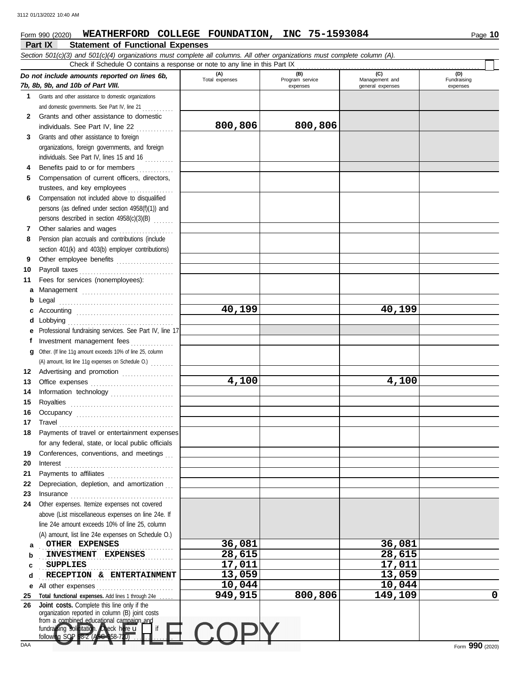### **Form 990 (2020) WEATHERFORD COLLEGE FOUNDATION, INC 75-1593084** Page 10

|         | Part IX<br><b>Statement of Functional Expenses</b>                                                                                                                                                                                                                                                                                                                                                                                                                                                  |                       |                                    |                                           |                                |
|---------|-----------------------------------------------------------------------------------------------------------------------------------------------------------------------------------------------------------------------------------------------------------------------------------------------------------------------------------------------------------------------------------------------------------------------------------------------------------------------------------------------------|-----------------------|------------------------------------|-------------------------------------------|--------------------------------|
|         | Section 501(c)(3) and 501(c)(4) organizations must complete all columns. All other organizations must complete column (A).                                                                                                                                                                                                                                                                                                                                                                          |                       |                                    |                                           |                                |
|         | Check if Schedule O contains a response or note to any line in this Part IX                                                                                                                                                                                                                                                                                                                                                                                                                         |                       |                                    |                                           |                                |
|         | Do not include amounts reported on lines 6b,<br>7b, 8b, 9b, and 10b of Part VIII.                                                                                                                                                                                                                                                                                                                                                                                                                   | (A)<br>Total expenses | (B)<br>Program service<br>expenses | (C)<br>Management and<br>general expenses | (D)<br>Fundraising<br>expenses |
| 1.      | Grants and other assistance to domestic organizations                                                                                                                                                                                                                                                                                                                                                                                                                                               |                       |                                    |                                           |                                |
|         | and domestic governments. See Part IV, line 21                                                                                                                                                                                                                                                                                                                                                                                                                                                      |                       |                                    |                                           |                                |
| 2       | Grants and other assistance to domestic                                                                                                                                                                                                                                                                                                                                                                                                                                                             |                       |                                    |                                           |                                |
|         | individuals. See Part IV, line 22<br>.                                                                                                                                                                                                                                                                                                                                                                                                                                                              | 800,806               | 800,806                            |                                           |                                |
| 3       | Grants and other assistance to foreign                                                                                                                                                                                                                                                                                                                                                                                                                                                              |                       |                                    |                                           |                                |
|         | organizations, foreign governments, and foreign                                                                                                                                                                                                                                                                                                                                                                                                                                                     |                       |                                    |                                           |                                |
|         | individuals. See Part IV, lines 15 and 16                                                                                                                                                                                                                                                                                                                                                                                                                                                           |                       |                                    |                                           |                                |
| 4       | Benefits paid to or for members                                                                                                                                                                                                                                                                                                                                                                                                                                                                     |                       |                                    |                                           |                                |
| 5       | Compensation of current officers, directors,                                                                                                                                                                                                                                                                                                                                                                                                                                                        |                       |                                    |                                           |                                |
|         | trustees, and key employees                                                                                                                                                                                                                                                                                                                                                                                                                                                                         |                       |                                    |                                           |                                |
| 6       | Compensation not included above to disqualified                                                                                                                                                                                                                                                                                                                                                                                                                                                     |                       |                                    |                                           |                                |
|         | persons (as defined under section 4958(f)(1)) and                                                                                                                                                                                                                                                                                                                                                                                                                                                   |                       |                                    |                                           |                                |
| 7       | persons described in section 4958(c)(3)(B)<br>Other salaries and wages                                                                                                                                                                                                                                                                                                                                                                                                                              |                       |                                    |                                           |                                |
| 8       | Pension plan accruals and contributions (include                                                                                                                                                                                                                                                                                                                                                                                                                                                    |                       |                                    |                                           |                                |
|         | section 401(k) and 403(b) employer contributions)                                                                                                                                                                                                                                                                                                                                                                                                                                                   |                       |                                    |                                           |                                |
| 9       | Other employee benefits                                                                                                                                                                                                                                                                                                                                                                                                                                                                             |                       |                                    |                                           |                                |
| 10      | Payroll taxes                                                                                                                                                                                                                                                                                                                                                                                                                                                                                       |                       |                                    |                                           |                                |
| 11      | Fees for services (nonemployees):                                                                                                                                                                                                                                                                                                                                                                                                                                                                   |                       |                                    |                                           |                                |
| а       |                                                                                                                                                                                                                                                                                                                                                                                                                                                                                                     |                       |                                    |                                           |                                |
| b       |                                                                                                                                                                                                                                                                                                                                                                                                                                                                                                     |                       |                                    |                                           |                                |
| c       |                                                                                                                                                                                                                                                                                                                                                                                                                                                                                                     | 40,199                |                                    | 40,199                                    |                                |
| d       |                                                                                                                                                                                                                                                                                                                                                                                                                                                                                                     |                       |                                    |                                           |                                |
| е       | Professional fundraising services. See Part IV, line 17                                                                                                                                                                                                                                                                                                                                                                                                                                             |                       |                                    |                                           |                                |
| f       | Investment management fees                                                                                                                                                                                                                                                                                                                                                                                                                                                                          |                       |                                    |                                           |                                |
| g       | Other. (If line 11g amount exceeds 10% of line 25, column                                                                                                                                                                                                                                                                                                                                                                                                                                           |                       |                                    |                                           |                                |
|         | (A) amount, list line 11g expenses on Schedule O.)                                                                                                                                                                                                                                                                                                                                                                                                                                                  |                       |                                    |                                           |                                |
| 12      | Advertising and promotion                                                                                                                                                                                                                                                                                                                                                                                                                                                                           |                       |                                    |                                           |                                |
| 13      |                                                                                                                                                                                                                                                                                                                                                                                                                                                                                                     | 4,100                 |                                    | 4,100                                     |                                |
| 14      | Information technology                                                                                                                                                                                                                                                                                                                                                                                                                                                                              |                       |                                    |                                           |                                |
| 15      | Royalties                                                                                                                                                                                                                                                                                                                                                                                                                                                                                           |                       |                                    |                                           |                                |
| 16      | 17 Travel                                                                                                                                                                                                                                                                                                                                                                                                                                                                                           |                       |                                    |                                           |                                |
| 18      | Payments of travel or entertainment expenses                                                                                                                                                                                                                                                                                                                                                                                                                                                        |                       |                                    |                                           |                                |
|         | for any federal, state, or local public officials                                                                                                                                                                                                                                                                                                                                                                                                                                                   |                       |                                    |                                           |                                |
| 19      | Conferences, conventions, and meetings                                                                                                                                                                                                                                                                                                                                                                                                                                                              |                       |                                    |                                           |                                |
| 20      | $\textbf{Interest} \hspace{2em} \begin{minipage}{1em} \begin{minipage}{1em} \begin{minipage}{1em} \begin{minipage}{1em} \end{minipage} \end{minipage} \end{minipage} \begin{minipage}{1em} \begin{minipage}{1em} \begin{minipage}{1em} \begin{minipage}{1em} \end{minipage} \end{minipage} \end{minipage} \end{minipage} \begin{minipage}{1em} \begin{minipage}{1em} \begin{minipage}{1em} \begin{minipage}{1em} \end{minipage} \end{minipage} \end{minipage} \end{minipage} \begin{minipage}{1em}$ |                       |                                    |                                           |                                |
| 21      | Payments to affiliates                                                                                                                                                                                                                                                                                                                                                                                                                                                                              |                       |                                    |                                           |                                |
| 22      | Depreciation, depletion, and amortization                                                                                                                                                                                                                                                                                                                                                                                                                                                           |                       |                                    |                                           |                                |
| 23      |                                                                                                                                                                                                                                                                                                                                                                                                                                                                                                     |                       |                                    |                                           |                                |
| 24      | Other expenses. Itemize expenses not covered                                                                                                                                                                                                                                                                                                                                                                                                                                                        |                       |                                    |                                           |                                |
|         | above (List miscellaneous expenses on line 24e. If                                                                                                                                                                                                                                                                                                                                                                                                                                                  |                       |                                    |                                           |                                |
|         | line 24e amount exceeds 10% of line 25, column                                                                                                                                                                                                                                                                                                                                                                                                                                                      |                       |                                    |                                           |                                |
|         | (A) amount, list line 24e expenses on Schedule O.)                                                                                                                                                                                                                                                                                                                                                                                                                                                  |                       |                                    |                                           |                                |
| а       | OTHER EXPENSES                                                                                                                                                                                                                                                                                                                                                                                                                                                                                      | 36,081                |                                    | 36,081                                    |                                |
| b       | INVESTMENT EXPENSES                                                                                                                                                                                                                                                                                                                                                                                                                                                                                 | 28,615<br>17,011      |                                    | 28,615<br>17,011                          |                                |
| c       | <b>SUPPLIES</b><br>RECEPTION & ENTERTAINMENT                                                                                                                                                                                                                                                                                                                                                                                                                                                        | 13,059                |                                    | 13,059                                    |                                |
| d       |                                                                                                                                                                                                                                                                                                                                                                                                                                                                                                     | 10,044                |                                    | $\overline{1}0, 044$                      |                                |
| е<br>25 | All other expenses<br>Total functional expenses. Add lines 1 through 24e                                                                                                                                                                                                                                                                                                                                                                                                                            | 949,915               | 800,806                            | 149,109                                   | $\mathbf 0$                    |
| 26      | Joint costs. Complete this line only if the                                                                                                                                                                                                                                                                                                                                                                                                                                                         |                       |                                    |                                           |                                |
|         | organization reported in column (B) joint costs                                                                                                                                                                                                                                                                                                                                                                                                                                                     |                       |                                    |                                           |                                |
|         | from a combined educational campaign and<br>fundraising solicitation. Check here u<br>if                                                                                                                                                                                                                                                                                                                                                                                                            |                       |                                    |                                           |                                |
|         | following SOP 98-2 (ASC 958-720).                                                                                                                                                                                                                                                                                                                                                                                                                                                                   | COPY                  |                                    |                                           |                                |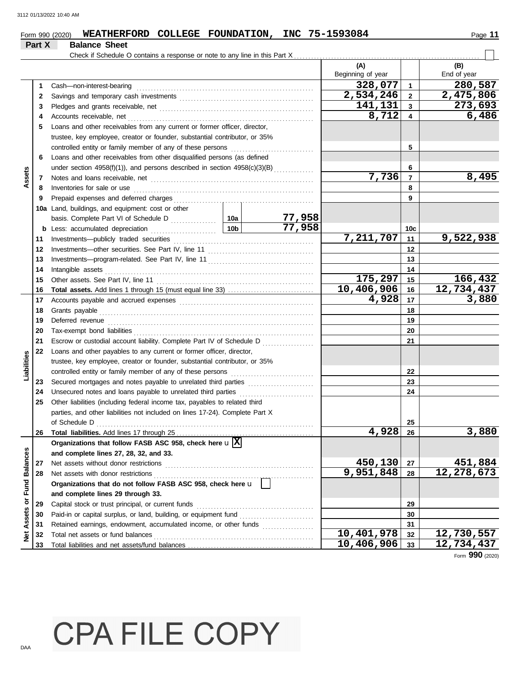|                 |    |                                                                                              |     |                     | (A)                       |                | (B)          |  |  |  |  |  |  |
|-----------------|----|----------------------------------------------------------------------------------------------|-----|---------------------|---------------------------|----------------|--------------|--|--|--|--|--|--|
|                 |    |                                                                                              |     |                     | Beginning of year         |                | End of year  |  |  |  |  |  |  |
|                 | 1  | Cash-non-interest-bearing                                                                    |     |                     | 328,077                   | $\overline{1}$ | 280,587      |  |  |  |  |  |  |
|                 | 2  |                                                                                              |     |                     | 2,534,246                 | $\overline{2}$ | 2,475,806    |  |  |  |  |  |  |
|                 | 3  |                                                                                              |     |                     | 141,131                   | $\mathbf{3}$   | 273,693      |  |  |  |  |  |  |
|                 | 4  | Accounts receivable, net                                                                     |     |                     | 8,712                     | 4              | 6,486        |  |  |  |  |  |  |
|                 | 5  | Loans and other receivables from any current or former officer, director,                    |     |                     |                           |                |              |  |  |  |  |  |  |
|                 |    | trustee, key employee, creator or founder, substantial contributor, or 35%                   |     |                     |                           |                |              |  |  |  |  |  |  |
|                 |    | controlled entity or family member of any of these persons                                   |     |                     |                           | 5              |              |  |  |  |  |  |  |
|                 | 6  | Loans and other receivables from other disqualified persons (as defined                      |     |                     |                           |                |              |  |  |  |  |  |  |
|                 |    | under section 4958(f)(1)), and persons described in section 4958(c)(3)(B)                    |     |                     |                           | 6              |              |  |  |  |  |  |  |
| Assets          | 7  |                                                                                              |     |                     | $\overline{7}$ , 736      | $\overline{7}$ | 8,495        |  |  |  |  |  |  |
|                 | 8  | Inventories for sale or use                                                                  |     |                     |                           | 8              |              |  |  |  |  |  |  |
|                 | 9  |                                                                                              |     |                     |                           | 9              |              |  |  |  |  |  |  |
|                 |    | 10a Land, buildings, and equipment: cost or other                                            |     |                     |                           |                |              |  |  |  |  |  |  |
|                 |    |                                                                                              |     | 77,958              |                           |                |              |  |  |  |  |  |  |
|                 |    |                                                                                              | 10b | $\overline{77,958}$ |                           |                |              |  |  |  |  |  |  |
|                 |    |                                                                                              |     |                     | $\overline{7}$ , 211, 707 | 10c            | 9,522,938    |  |  |  |  |  |  |
|                 | 11 |                                                                                              |     |                     |                           | 11             |              |  |  |  |  |  |  |
|                 | 12 |                                                                                              |     |                     |                           | 12             |              |  |  |  |  |  |  |
|                 | 13 |                                                                                              |     |                     |                           | 13             |              |  |  |  |  |  |  |
|                 | 14 | Intangible assets                                                                            |     |                     | 175,297                   | 14             | 166,432      |  |  |  |  |  |  |
|                 | 15 |                                                                                              |     |                     | 10,406,906                | 15             | 12,734,437   |  |  |  |  |  |  |
|                 | 16 |                                                                                              |     |                     | 4,928                     | 16             | 3,880        |  |  |  |  |  |  |
|                 | 17 |                                                                                              |     |                     |                           | 17             |              |  |  |  |  |  |  |
|                 | 18 | Grants payable                                                                               |     |                     | 18                        |                |              |  |  |  |  |  |  |
|                 | 19 | Deferred revenue                                                                             |     | 19                  |                           |                |              |  |  |  |  |  |  |
|                 | 20 |                                                                                              |     |                     |                           | 20             |              |  |  |  |  |  |  |
|                 | 21 | Escrow or custodial account liability. Complete Part IV of Schedule D                        |     | .                   |                           | 21             |              |  |  |  |  |  |  |
|                 | 22 | Loans and other payables to any current or former officer, director,                         |     |                     |                           |                |              |  |  |  |  |  |  |
| Liabilities     |    | trustee, key employee, creator or founder, substantial contributor, or 35%                   |     |                     |                           |                |              |  |  |  |  |  |  |
|                 |    |                                                                                              |     |                     |                           | 22             |              |  |  |  |  |  |  |
|                 | 23 |                                                                                              |     |                     |                           | 23             |              |  |  |  |  |  |  |
|                 | 24 | Unsecured notes and loans payable to unrelated third parties [[[[[[[[[[[[[[[[[[[[[[[]]]]]]]] |     |                     |                           | 24             |              |  |  |  |  |  |  |
|                 | 25 | Other liabilities (including federal income tax, payables to related third                   |     |                     |                           |                |              |  |  |  |  |  |  |
|                 |    | parties, and other liabilities not included on lines 17-24). Complete Part X                 |     |                     |                           |                |              |  |  |  |  |  |  |
|                 |    |                                                                                              |     |                     | 4,928                     | 25             |              |  |  |  |  |  |  |
|                 | 26 |                                                                                              |     |                     |                           | 26             | <u>3,880</u> |  |  |  |  |  |  |
|                 |    | Organizations that follow FASB ASC 958, check here $\mathbf{u}[\overline{\mathbf{X}}]$       |     |                     |                           |                |              |  |  |  |  |  |  |
|                 |    | and complete lines 27, 28, 32, and 33.                                                       |     |                     |                           |                |              |  |  |  |  |  |  |
| <b>Balances</b> | 27 | Net assets without donor restrictions                                                        |     |                     | 450,130                   | 27             | 451,884      |  |  |  |  |  |  |
|                 | 28 | Net assets with donor restrictions                                                           |     |                     | 9,951,848                 | 28             | 12,278,673   |  |  |  |  |  |  |
| or Fund         |    | Organizations that do not follow FASB ASC 958, check here u                                  |     |                     |                           |                |              |  |  |  |  |  |  |
|                 |    | and complete lines 29 through 33.                                                            |     | 29                  |                           |                |              |  |  |  |  |  |  |
|                 | 29 | Capital stock or trust principal, or current funds                                           |     |                     |                           |                |              |  |  |  |  |  |  |
| Assets          | 30 | Paid-in or capital surplus, or land, building, or equipment fund                             |     |                     |                           | 30             |              |  |  |  |  |  |  |
|                 | 31 | Retained earnings, endowment, accumulated income, or other funds                             |     | .                   |                           | 31             |              |  |  |  |  |  |  |
| ğ               | 32 | Total net assets or fund balances                                                            |     |                     | 10,401,978                | 32             | 12,730,557   |  |  |  |  |  |  |
|                 | 33 |                                                                                              |     |                     | 10,406,906                | 33             | 12,734,437   |  |  |  |  |  |  |

Form **990** (2020)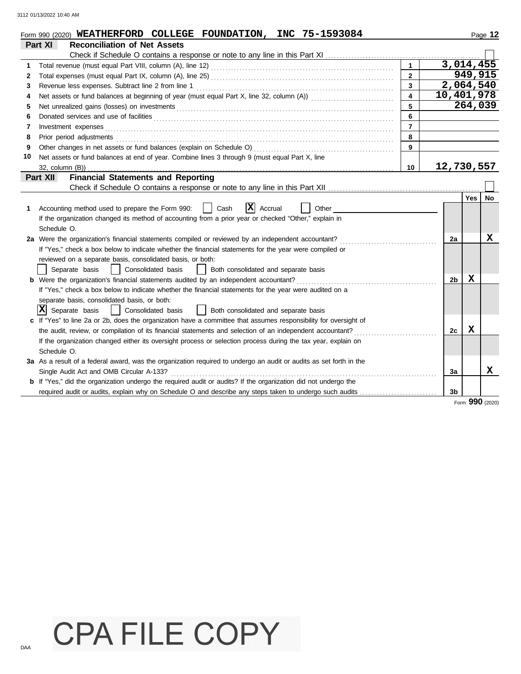|    | Form 990 (2020) WEATHERFORD COLLEGE FOUNDATION, INC 75-1593084                                                                                                      |                |     | Page 12         |
|----|---------------------------------------------------------------------------------------------------------------------------------------------------------------------|----------------|-----|-----------------|
|    | Part XI<br><b>Reconciliation of Net Assets</b>                                                                                                                      |                |     |                 |
|    |                                                                                                                                                                     |                |     |                 |
| 1  |                                                                                                                                                                     | 3,014,455      |     |                 |
| 2  | $\overline{2}$                                                                                                                                                      |                |     | 949,915         |
| 3  | $\overline{3}$                                                                                                                                                      | 2,064,540      |     |                 |
| 4  | $\overline{\mathbf{4}}$                                                                                                                                             | 10,401,978     |     |                 |
| 5  | 5                                                                                                                                                                   |                |     | 264,039         |
| 6  | 6<br>Donated services and use of facilities <b>constructs</b> and the service of facilities <b>constructs</b> and use of facilities                                 |                |     |                 |
| 7  | $\overline{7}$<br>$Investment \textit{ expenses} \textit{________} \label{ex:ex:ex:ex:1} \textit{Investment} \textit{expenses} \textit{________} \textit{________}$ |                |     |                 |
| 8  | 8                                                                                                                                                                   |                |     |                 |
| 9  | 9                                                                                                                                                                   |                |     |                 |
| 10 | Net assets or fund balances at end of year. Combine lines 3 through 9 (must equal Part X, line                                                                      |                |     |                 |
|    | 32, column (B))<br>10                                                                                                                                               | 12,730,557     |     |                 |
|    | <b>Financial Statements and Reporting</b><br>Part XII                                                                                                               |                |     |                 |
|    |                                                                                                                                                                     |                |     |                 |
|    |                                                                                                                                                                     |                | Yes | No              |
| 1  | $ \mathbf{X} $ Accrual<br>Accounting method used to prepare the Form 990:<br>Cash<br>Other                                                                          |                |     |                 |
|    | If the organization changed its method of accounting from a prior year or checked "Other," explain in                                                               |                |     |                 |
|    | Schedule O.                                                                                                                                                         |                |     |                 |
|    | 2a Were the organization's financial statements compiled or reviewed by an independent accountant?                                                                  | 2a             |     | x               |
|    | If "Yes," check a box below to indicate whether the financial statements for the year were compiled or                                                              |                |     |                 |
|    | reviewed on a separate basis, consolidated basis, or both:                                                                                                          |                |     |                 |
|    | Consolidated basis<br>Separate basis<br>Both consolidated and separate basis                                                                                        |                |     |                 |
|    | <b>b</b> Were the organization's financial statements audited by an independent accountant?                                                                         | 2 <sub>b</sub> | X   |                 |
|    | If "Yes," check a box below to indicate whether the financial statements for the year were audited on a                                                             |                |     |                 |
|    | separate basis, consolidated basis, or both:                                                                                                                        |                |     |                 |
|    | $ \mathbf{X} $ Separate basis<br>Both consolidated and separate basis<br>Consolidated basis                                                                         |                |     |                 |
|    | c If "Yes" to line 2a or 2b, does the organization have a committee that assumes responsibility for oversight of                                                    |                |     |                 |
|    | the audit, review, or compilation of its financial statements and selection of an independent accountant?                                                           | 2c             | X   |                 |
|    | If the organization changed either its oversight process or selection process during the tax year, explain on                                                       |                |     |                 |
|    | Schedule O.                                                                                                                                                         |                |     |                 |
|    | 3a As a result of a federal award, was the organization required to undergo an audit or audits as set forth in the                                                  |                |     |                 |
|    | Single Audit Act and OMB Circular A-133?                                                                                                                            | За             |     | x               |
|    | <b>b</b> If "Yes," did the organization undergo the required audit or audits? If the organization did not undergo the                                               |                |     |                 |
|    | required audit or audits, explain why on Schedule O and describe any steps taken to undergo such audits                                                             | 3 <sub>b</sub> |     |                 |
|    |                                                                                                                                                                     |                |     | Form 990 (2020) |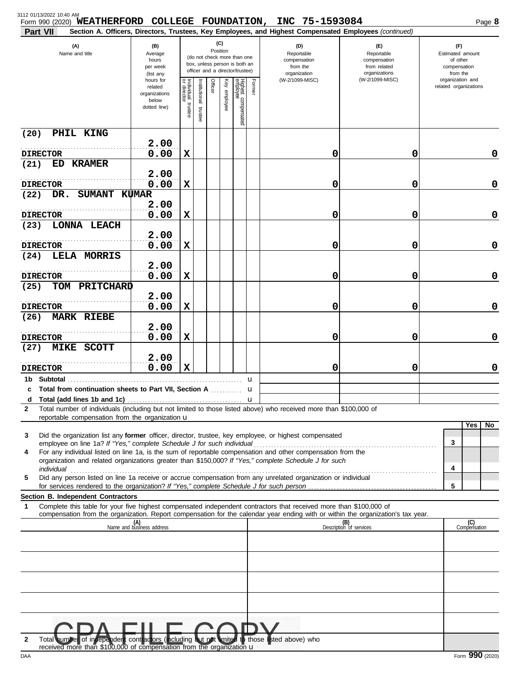| 3112 01/13/2022 10:40 AM<br>Form 990 (2020) WEATHERFORD COLLEGE FOUNDATION, INC 75-1593084<br><b>Part VII</b>                                                                                                                                                                                                                                        |                                                                |                         |                         |                 |              |                                                                                                 |        | Section A. Officers, Directors, Trustees, Key Employees, and Highest Compensated Employees (continued) |                                                                    |                                                                 | Page 8              |
|------------------------------------------------------------------------------------------------------------------------------------------------------------------------------------------------------------------------------------------------------------------------------------------------------------------------------------------------------|----------------------------------------------------------------|-------------------------|-------------------------|-----------------|--------------|-------------------------------------------------------------------------------------------------|--------|--------------------------------------------------------------------------------------------------------|--------------------------------------------------------------------|-----------------------------------------------------------------|---------------------|
| (A)<br>Name and title                                                                                                                                                                                                                                                                                                                                | (B)<br>Average<br>hours<br>per week<br>(list any               |                         |                         | (C)<br>Position |              | (do not check more than one<br>box, unless person is both an<br>officer and a director/trustee) |        | (D)<br>Reportable<br>compensation<br>from the<br>organization                                          | (E)<br>Reportable<br>compensation<br>from related<br>organizations | (F)<br>Estimated amount<br>of other<br>compensation<br>from the |                     |
|                                                                                                                                                                                                                                                                                                                                                      | hours for<br>related<br>organizations<br>below<br>dotted line) | Individual 1<br>trustee | nstitutional<br>trustee | Officer         | Key employee | Highest compensated<br>employee                                                                 | Former | (W-2/1099-MISC)                                                                                        | (W-2/1099-MISC)                                                    | organization and<br>related organizations                       |                     |
| PHIL KING<br>(20)                                                                                                                                                                                                                                                                                                                                    |                                                                |                         |                         |                 |              |                                                                                                 |        |                                                                                                        |                                                                    |                                                                 |                     |
| <b>DIRECTOR</b>                                                                                                                                                                                                                                                                                                                                      | 2.00<br>0.00                                                   | х                       |                         |                 |              |                                                                                                 |        | 0                                                                                                      | 0                                                                  |                                                                 | 0                   |
| (21)<br>ED KRAMER                                                                                                                                                                                                                                                                                                                                    | 2.00                                                           |                         |                         |                 |              |                                                                                                 |        |                                                                                                        |                                                                    |                                                                 |                     |
| <b>DIRECTOR</b><br>DR.<br>SUMANT KUMAR<br>(22)                                                                                                                                                                                                                                                                                                       | 0.00                                                           | X                       |                         |                 |              |                                                                                                 |        | 0                                                                                                      | 0                                                                  |                                                                 | $\mathbf 0$         |
| <b>DIRECTOR</b>                                                                                                                                                                                                                                                                                                                                      | 2.00<br>0.00                                                   | X                       |                         |                 |              |                                                                                                 |        | 0                                                                                                      | 0                                                                  |                                                                 | $\mathbf 0$         |
| (23)<br><b>LONNA LEACH</b>                                                                                                                                                                                                                                                                                                                           | 2.00                                                           |                         |                         |                 |              |                                                                                                 |        |                                                                                                        |                                                                    |                                                                 |                     |
| <b>DIRECTOR</b><br>LELA MORRIS<br>(24)                                                                                                                                                                                                                                                                                                               | 0.00                                                           | X                       |                         |                 |              |                                                                                                 |        | 0                                                                                                      | 0                                                                  |                                                                 | $\mathbf 0$         |
| <b>DIRECTOR</b>                                                                                                                                                                                                                                                                                                                                      | 2.00<br>0.00                                                   | X                       |                         |                 |              |                                                                                                 |        | 0                                                                                                      | 0                                                                  |                                                                 | $\mathbf 0$         |
| TOM PRITCHARD<br>(25)                                                                                                                                                                                                                                                                                                                                | 2.00                                                           |                         |                         |                 |              |                                                                                                 |        |                                                                                                        |                                                                    |                                                                 |                     |
| <b>DIRECTOR</b>                                                                                                                                                                                                                                                                                                                                      | 0.00                                                           | X                       |                         |                 |              |                                                                                                 |        | 0                                                                                                      | 0                                                                  |                                                                 | $\mathbf 0$         |
| <b>MARK RIEBE</b><br>(26)                                                                                                                                                                                                                                                                                                                            | 2.00                                                           |                         |                         |                 |              |                                                                                                 |        |                                                                                                        |                                                                    |                                                                 |                     |
| <b>DIRECTOR</b><br>(27)<br><b>MIKE SCOTT</b>                                                                                                                                                                                                                                                                                                         | 0.00                                                           | х                       |                         |                 |              |                                                                                                 |        | 0                                                                                                      | 0                                                                  |                                                                 | $\mathbf 0$         |
| <b>DIRECTOR</b>                                                                                                                                                                                                                                                                                                                                      | 2.00<br>0.00                                                   | $\mathbf x$             |                         |                 |              |                                                                                                 |        | 0                                                                                                      | 0                                                                  |                                                                 | $\mathbf 0$         |
| <b>Subtotal <i>Collection Collection</i> <b><i>Collection</i></b></b><br>1b.                                                                                                                                                                                                                                                                         |                                                                |                         |                         |                 |              |                                                                                                 | u      |                                                                                                        |                                                                    |                                                                 |                     |
| <b>c</b> Total from continuation sheets to Part VII, Section A<br>d                                                                                                                                                                                                                                                                                  |                                                                |                         |                         |                 |              |                                                                                                 | u      |                                                                                                        |                                                                    |                                                                 |                     |
| Total number of individuals (including but not limited to those listed above) who received more than \$100,000 of<br>$\mathbf{2}$                                                                                                                                                                                                                    |                                                                |                         |                         |                 |              |                                                                                                 |        |                                                                                                        |                                                                    |                                                                 |                     |
| reportable compensation from the organization $\mathbf u$                                                                                                                                                                                                                                                                                            |                                                                |                         |                         |                 |              |                                                                                                 |        |                                                                                                        |                                                                    |                                                                 | Yes<br>No.          |
| Did the organization list any former officer, director, trustee, key employee, or highest compensated<br>3                                                                                                                                                                                                                                           |                                                                |                         |                         |                 |              |                                                                                                 |        |                                                                                                        |                                                                    |                                                                 |                     |
| For any individual listed on line 1a, is the sum of reportable compensation and other compensation from the<br>4<br>organization and related organizations greater than \$150,000? If "Yes," complete Schedule J for such                                                                                                                            |                                                                |                         |                         |                 |              |                                                                                                 |        |                                                                                                        |                                                                    | 3                                                               |                     |
| individual construction of the construction of the construction of the construction of the construction of the construction of the construction of the construction of the construction of the construction of the constructio<br>Did any person listed on line 1a receive or accrue compensation from any unrelated organization or individual<br>5 |                                                                |                         |                         |                 |              |                                                                                                 |        |                                                                                                        |                                                                    | 4                                                               |                     |
| Section B. Independent Contractors                                                                                                                                                                                                                                                                                                                   |                                                                |                         |                         |                 |              |                                                                                                 |        |                                                                                                        |                                                                    | 5                                                               |                     |
| Complete this table for your five highest compensated independent contractors that received more than \$100,000 of<br>1                                                                                                                                                                                                                              |                                                                |                         |                         |                 |              |                                                                                                 |        |                                                                                                        |                                                                    |                                                                 |                     |
| compensation from the organization. Report compensation for the calendar year ending with or within the organization's tax year.                                                                                                                                                                                                                     |                                                                |                         |                         |                 |              |                                                                                                 |        |                                                                                                        | (B)<br>Description of services                                     |                                                                 |                     |
|                                                                                                                                                                                                                                                                                                                                                      | (A)<br>Name and business address                               |                         |                         |                 |              |                                                                                                 |        |                                                                                                        |                                                                    |                                                                 | (C)<br>Compensation |
|                                                                                                                                                                                                                                                                                                                                                      |                                                                |                         |                         |                 |              |                                                                                                 |        |                                                                                                        |                                                                    |                                                                 |                     |
|                                                                                                                                                                                                                                                                                                                                                      |                                                                |                         |                         |                 |              |                                                                                                 |        |                                                                                                        |                                                                    |                                                                 |                     |
|                                                                                                                                                                                                                                                                                                                                                      |                                                                |                         |                         |                 |              |                                                                                                 |        |                                                                                                        |                                                                    |                                                                 |                     |
|                                                                                                                                                                                                                                                                                                                                                      |                                                                |                         |                         |                 |              |                                                                                                 |        |                                                                                                        |                                                                    |                                                                 |                     |
|                                                                                                                                                                                                                                                                                                                                                      | EILE COD                                                       |                         |                         |                 |              |                                                                                                 |        |                                                                                                        |                                                                    |                                                                 |                     |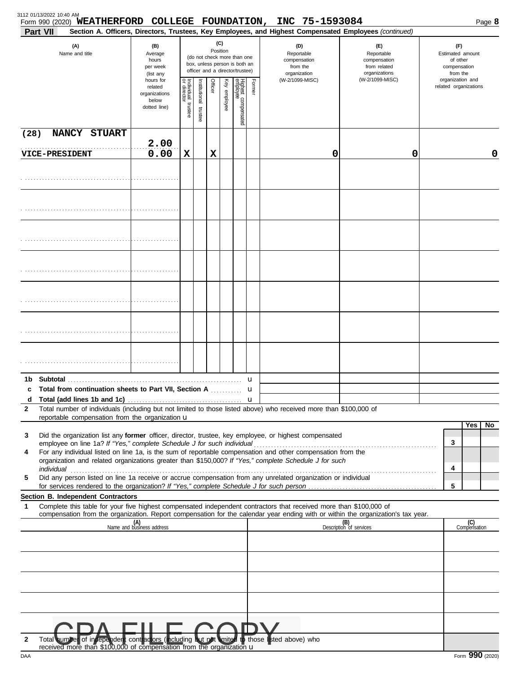| Form 990 (2020) WEATHERFORD COLLEGE FOUNDATION,                                                                                                                                                                                                             |                                                                |                                        |                      |         |                 |                                                                                                 |        | INC 75-1593084                                                                                         |                                                                    | Page 8                                                          |
|-------------------------------------------------------------------------------------------------------------------------------------------------------------------------------------------------------------------------------------------------------------|----------------------------------------------------------------|----------------------------------------|----------------------|---------|-----------------|-------------------------------------------------------------------------------------------------|--------|--------------------------------------------------------------------------------------------------------|--------------------------------------------------------------------|-----------------------------------------------------------------|
| Part VII                                                                                                                                                                                                                                                    |                                                                |                                        |                      |         |                 |                                                                                                 |        | Section A. Officers, Directors, Trustees, Key Employees, and Highest Compensated Employees (continued) |                                                                    |                                                                 |
| (A)<br>Name and title                                                                                                                                                                                                                                       | (B)<br>Average<br>hours<br>per week<br>(list any               |                                        |                      |         | (C)<br>Position | (do not check more than one<br>box, unless person is both an<br>officer and a director/trustee) |        | (D)<br>Reportable<br>compensation<br>from the<br>organization                                          | (F)<br>Reportable<br>compensation<br>from related<br>organizations | (F)<br>Estimated amount<br>of other<br>compensation<br>from the |
|                                                                                                                                                                                                                                                             | hours for<br>related<br>organizations<br>below<br>dotted line) | Individual 1<br>or director<br>trustee | nstitutional trustee | Officer | Key employee    | Highest compensated<br>employee                                                                 | Former | (W-2/1099-MISC)                                                                                        | (W-2/1099-MISC)                                                    | organization and<br>related organizations                       |
| NANCY STUART<br>(28)                                                                                                                                                                                                                                        | 2.00                                                           |                                        |                      |         |                 |                                                                                                 |        |                                                                                                        |                                                                    |                                                                 |
| <b>VICE-PRESIDENT</b>                                                                                                                                                                                                                                       | 0.00                                                           | $\mathbf x$                            |                      | X       |                 |                                                                                                 |        | 0                                                                                                      | 0                                                                  | 0                                                               |
|                                                                                                                                                                                                                                                             |                                                                |                                        |                      |         |                 |                                                                                                 |        |                                                                                                        |                                                                    |                                                                 |
|                                                                                                                                                                                                                                                             |                                                                |                                        |                      |         |                 |                                                                                                 |        |                                                                                                        |                                                                    |                                                                 |
|                                                                                                                                                                                                                                                             |                                                                |                                        |                      |         |                 |                                                                                                 |        |                                                                                                        |                                                                    |                                                                 |
|                                                                                                                                                                                                                                                             |                                                                |                                        |                      |         |                 |                                                                                                 |        |                                                                                                        |                                                                    |                                                                 |
|                                                                                                                                                                                                                                                             |                                                                |                                        |                      |         |                 |                                                                                                 |        |                                                                                                        |                                                                    |                                                                 |
|                                                                                                                                                                                                                                                             |                                                                |                                        |                      |         |                 |                                                                                                 |        |                                                                                                        |                                                                    |                                                                 |
|                                                                                                                                                                                                                                                             |                                                                |                                        |                      |         |                 |                                                                                                 |        |                                                                                                        |                                                                    |                                                                 |
|                                                                                                                                                                                                                                                             |                                                                |                                        |                      |         |                 | . <b>. u</b>                                                                                    |        |                                                                                                        |                                                                    |                                                                 |
| Total from continuation sheets to Part VII, Section A  u<br>c                                                                                                                                                                                               |                                                                |                                        |                      |         |                 |                                                                                                 |        |                                                                                                        |                                                                    |                                                                 |
|                                                                                                                                                                                                                                                             |                                                                |                                        |                      |         |                 |                                                                                                 |        |                                                                                                        |                                                                    |                                                                 |
| Total number of individuals (including but not limited to those listed above) who received more than \$100,000 of<br>$\mathbf{2}$<br>reportable compensation from the organization u                                                                        |                                                                |                                        |                      |         |                 |                                                                                                 |        |                                                                                                        |                                                                    |                                                                 |
| Did the organization list any former officer, director, trustee, key employee, or highest compensated<br>3                                                                                                                                                  |                                                                |                                        |                      |         |                 |                                                                                                 |        |                                                                                                        |                                                                    | Yes<br>No                                                       |
| For any individual listed on line 1a, is the sum of reportable compensation and other compensation from the<br>4<br>organization and related organizations greater than \$150,000? If "Yes," complete Schedule J for such                                   |                                                                |                                        |                      |         |                 |                                                                                                 |        |                                                                                                        |                                                                    | 3                                                               |
| Did any person listed on line 1a receive or accrue compensation from any unrelated organization or individual<br>5                                                                                                                                          |                                                                |                                        |                      |         |                 |                                                                                                 |        |                                                                                                        |                                                                    | 4                                                               |
| Section B. Independent Contractors                                                                                                                                                                                                                          |                                                                |                                        |                      |         |                 |                                                                                                 |        |                                                                                                        |                                                                    | 5                                                               |
| Complete this table for your five highest compensated independent contractors that received more than \$100,000 of<br>1<br>compensation from the organization. Report compensation for the calendar year ending with or within the organization's tax year. |                                                                |                                        |                      |         |                 |                                                                                                 |        |                                                                                                        |                                                                    |                                                                 |
|                                                                                                                                                                                                                                                             | (A)<br>Name and business address                               |                                        |                      |         |                 |                                                                                                 |        |                                                                                                        | (B)<br>Description of services                                     | (C)<br>Compensation                                             |
|                                                                                                                                                                                                                                                             |                                                                |                                        |                      |         |                 |                                                                                                 |        |                                                                                                        |                                                                    |                                                                 |
|                                                                                                                                                                                                                                                             |                                                                |                                        |                      |         |                 |                                                                                                 |        |                                                                                                        |                                                                    |                                                                 |
|                                                                                                                                                                                                                                                             |                                                                |                                        |                      |         |                 |                                                                                                 |        |                                                                                                        |                                                                    |                                                                 |
|                                                                                                                                                                                                                                                             |                                                                |                                        |                      |         |                 |                                                                                                 |        |                                                                                                        |                                                                    |                                                                 |
|                                                                                                                                                                                                                                                             |                                                                |                                        |                      |         |                 |                                                                                                 |        |                                                                                                        |                                                                    |                                                                 |
| Total number of independent contractors (including but not<br>2                                                                                                                                                                                             |                                                                |                                        |                      |         | limited         |                                                                                                 |        | to those listed above) who                                                                             |                                                                    |                                                                 |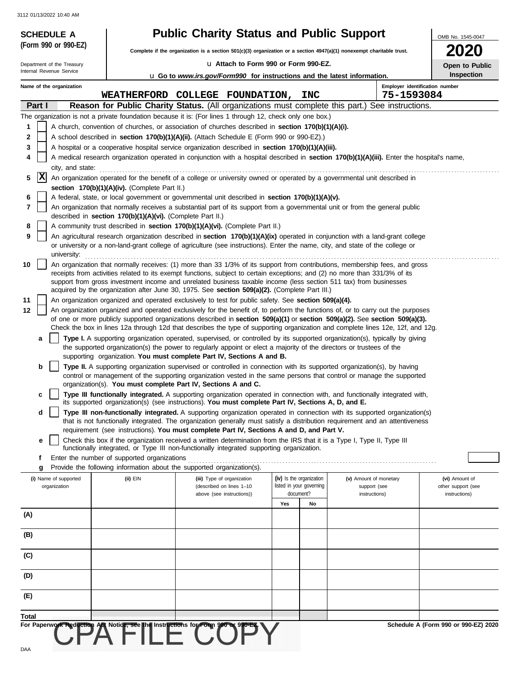| <b>SCHEDULE A</b>          |                                                            | <b>Public Charity Status and Public Support</b>                                                                                                                                                                                                  |                                       |            |                                                                                                                                                                                                                                                                                                                                                                                                    | OMB No. 1545-0047                    |
|----------------------------|------------------------------------------------------------|--------------------------------------------------------------------------------------------------------------------------------------------------------------------------------------------------------------------------------------------------|---------------------------------------|------------|----------------------------------------------------------------------------------------------------------------------------------------------------------------------------------------------------------------------------------------------------------------------------------------------------------------------------------------------------------------------------------------------------|--------------------------------------|
| (Form 990 or 990-EZ)       |                                                            | Complete if the organization is a section $501(c)(3)$ organization or a section $4947(a)(1)$ nonexempt charitable trust.                                                                                                                         |                                       |            |                                                                                                                                                                                                                                                                                                                                                                                                    | <b>2020</b>                          |
| Department of the Treasury |                                                            | Lu Attach to Form 990 or Form 990-EZ.                                                                                                                                                                                                            |                                       |            |                                                                                                                                                                                                                                                                                                                                                                                                    | Open to Public                       |
| Internal Revenue Service   |                                                            | <b>u</b> Go to www.irs.gov/Form990 for instructions and the latest information.                                                                                                                                                                  |                                       |            |                                                                                                                                                                                                                                                                                                                                                                                                    | Inspection                           |
| Name of the organization   |                                                            |                                                                                                                                                                                                                                                  |                                       |            | Employer identification number                                                                                                                                                                                                                                                                                                                                                                     |                                      |
|                            |                                                            | WEATHERFORD COLLEGE FOUNDATION,                                                                                                                                                                                                                  |                                       | <b>INC</b> | 75-1593084                                                                                                                                                                                                                                                                                                                                                                                         |                                      |
| Part I                     |                                                            | Reason for Public Charity Status. (All organizations must complete this part.)<br>The organization is not a private foundation because it is: (For lines 1 through 12, check only one box.)                                                      |                                       |            | See instructions.                                                                                                                                                                                                                                                                                                                                                                                  |                                      |
| 1                          |                                                            | A church, convention of churches, or association of churches described in section 170(b)(1)(A)(i).                                                                                                                                               |                                       |            |                                                                                                                                                                                                                                                                                                                                                                                                    |                                      |
| 2                          |                                                            | A school described in section 170(b)(1)(A)(ii). (Attach Schedule E (Form 990 or 990-EZ).)                                                                                                                                                        |                                       |            |                                                                                                                                                                                                                                                                                                                                                                                                    |                                      |
| 3                          |                                                            | A hospital or a cooperative hospital service organization described in section 170(b)(1)(A)(iii).                                                                                                                                                |                                       |            |                                                                                                                                                                                                                                                                                                                                                                                                    |                                      |
| 4                          |                                                            |                                                                                                                                                                                                                                                  |                                       |            | A medical research organization operated in conjunction with a hospital described in section 170(b)(1)(A)(iii). Enter the hospital's name,                                                                                                                                                                                                                                                         |                                      |
| city, and state:<br>X<br>5 |                                                            | An organization operated for the benefit of a college or university owned or operated by a governmental unit described in                                                                                                                        |                                       |            |                                                                                                                                                                                                                                                                                                                                                                                                    |                                      |
|                            | section 170(b)(1)(A)(iv). (Complete Part II.)              |                                                                                                                                                                                                                                                  |                                       |            |                                                                                                                                                                                                                                                                                                                                                                                                    |                                      |
| 6                          |                                                            | A federal, state, or local government or governmental unit described in section 170(b)(1)(A)(v).                                                                                                                                                 |                                       |            |                                                                                                                                                                                                                                                                                                                                                                                                    |                                      |
| 7                          | described in section 170(b)(1)(A)(vi). (Complete Part II.) | An organization that normally receives a substantial part of its support from a governmental unit or from the general public                                                                                                                     |                                       |            |                                                                                                                                                                                                                                                                                                                                                                                                    |                                      |
| 8                          |                                                            | A community trust described in section 170(b)(1)(A)(vi). (Complete Part II.)                                                                                                                                                                     |                                       |            |                                                                                                                                                                                                                                                                                                                                                                                                    |                                      |
| 9<br>university:           |                                                            | or university or a non-land-grant college of agriculture (see instructions). Enter the name, city, and state of the college or                                                                                                                   |                                       |            | An agricultural research organization described in section 170(b)(1)(A)(ix) operated in conjunction with a land-grant college                                                                                                                                                                                                                                                                      |                                      |
| 10                         |                                                            | receipts from activities related to its exempt functions, subject to certain exceptions; and (2) no more than 331/3% of its<br>support from gross investment income and unrelated business taxable income (less section 511 tax) from businesses |                                       |            | An organization that normally receives: (1) more than 33 1/3% of its support from contributions, membership fees, and gross                                                                                                                                                                                                                                                                        |                                      |
| 11                         |                                                            | acquired by the organization after June 30, 1975. See section 509(a)(2). (Complete Part III.)<br>An organization organized and operated exclusively to test for public safety. See section 509(a)(4).                                            |                                       |            |                                                                                                                                                                                                                                                                                                                                                                                                    |                                      |
| 12                         |                                                            |                                                                                                                                                                                                                                                  |                                       |            | An organization organized and operated exclusively for the benefit of, to perform the functions of, or to carry out the purposes<br>of one or more publicly supported organizations described in section 509(a)(1) or section 509(a)(2). See section 509(a)(3).<br>Check the box in lines 12a through 12d that describes the type of supporting organization and complete lines 12e, 12f, and 12g. |                                      |
| a                          |                                                            | the supported organization(s) the power to regularly appoint or elect a majority of the directors or trustees of the                                                                                                                             |                                       |            | Type I. A supporting organization operated, supervised, or controlled by its supported organization(s), typically by giving                                                                                                                                                                                                                                                                        |                                      |
| b                          |                                                            | supporting organization. You must complete Part IV, Sections A and B.<br><b>Type II.</b> A supporting organization supervised or controlled in connection with its supported organization(s), by having                                          |                                       |            | control or management of the supporting organization vested in the same persons that control or manage the supported                                                                                                                                                                                                                                                                               |                                      |
| c                          |                                                            | organization(s). You must complete Part IV, Sections A and C.                                                                                                                                                                                    |                                       |            | Type III functionally integrated. A supporting organization operated in connection with, and functionally integrated with,                                                                                                                                                                                                                                                                         |                                      |
| d                          |                                                            | its supported organization(s) (see instructions). You must complete Part IV, Sections A, D, and E.                                                                                                                                               |                                       |            | Type III non-functionally integrated. A supporting organization operated in connection with its supported organization(s)<br>that is not functionally integrated. The organization generally must satisfy a distribution requirement and an attentiveness                                                                                                                                          |                                      |
|                            |                                                            | requirement (see instructions). You must complete Part IV, Sections A and D, and Part V.                                                                                                                                                         |                                       |            |                                                                                                                                                                                                                                                                                                                                                                                                    |                                      |
| е                          |                                                            | Check this box if the organization received a written determination from the IRS that it is a Type I, Type II, Type III                                                                                                                          |                                       |            |                                                                                                                                                                                                                                                                                                                                                                                                    |                                      |
| f                          | Enter the number of supported organizations                | functionally integrated, or Type III non-functionally integrated supporting organization.                                                                                                                                                        |                                       |            |                                                                                                                                                                                                                                                                                                                                                                                                    |                                      |
| g                          |                                                            | Provide the following information about the supported organization(s).                                                                                                                                                                           |                                       |            |                                                                                                                                                                                                                                                                                                                                                                                                    |                                      |
| (i) Name of supported      | (ii) EIN                                                   | (iii) Type of organization                                                                                                                                                                                                                       | (iv) Is the organization              |            | (v) Amount of monetary                                                                                                                                                                                                                                                                                                                                                                             | (vi) Amount of                       |
| organization               |                                                            | (described on lines 1-10<br>above (see instructions))                                                                                                                                                                                            | listed in your governing<br>document? |            | support (see<br>instructions)                                                                                                                                                                                                                                                                                                                                                                      | other support (see<br>instructions)  |
|                            |                                                            |                                                                                                                                                                                                                                                  | Yes                                   | No         |                                                                                                                                                                                                                                                                                                                                                                                                    |                                      |
| (A)                        |                                                            |                                                                                                                                                                                                                                                  |                                       |            |                                                                                                                                                                                                                                                                                                                                                                                                    |                                      |
| (B)                        |                                                            |                                                                                                                                                                                                                                                  |                                       |            |                                                                                                                                                                                                                                                                                                                                                                                                    |                                      |
| (C)                        |                                                            |                                                                                                                                                                                                                                                  |                                       |            |                                                                                                                                                                                                                                                                                                                                                                                                    |                                      |
| (D)                        |                                                            |                                                                                                                                                                                                                                                  |                                       |            |                                                                                                                                                                                                                                                                                                                                                                                                    |                                      |
| (E)                        |                                                            |                                                                                                                                                                                                                                                  |                                       |            |                                                                                                                                                                                                                                                                                                                                                                                                    |                                      |
| Total                      |                                                            |                                                                                                                                                                                                                                                  |                                       |            |                                                                                                                                                                                                                                                                                                                                                                                                    |                                      |
|                            |                                                            | For Paperwork Reduction 44 Notice, see the Instructions for Form 900 and 900 EX                                                                                                                                                                  |                                       |            |                                                                                                                                                                                                                                                                                                                                                                                                    | Schedule A (Form 990 or 990-EZ) 2020 |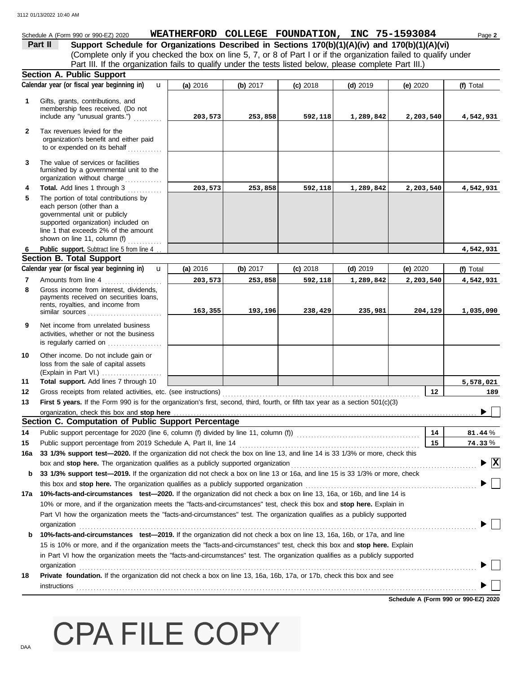### Schedule A (Form 990 or 990-EZ) 2020 **WEATHERFORD COLLEGE FOUNDATION, INC 75-1593084** Page 2

(Complete only if you checked the box on line 5, 7, or 8 of Part I or if the organization failed to qualify under **Part II Support Schedule for Organizations Described in Sections 170(b)(1)(A)(iv) and 170(b)(1)(A)(vi)** Part III. If the organization fails to qualify under the tests listed below, please complete Part III.)

|              | <b>Section A. Public Support</b>                                                                                                                                                                                   |          |          |            |            |                                      |              |
|--------------|--------------------------------------------------------------------------------------------------------------------------------------------------------------------------------------------------------------------|----------|----------|------------|------------|--------------------------------------|--------------|
|              | Calendar year (or fiscal year beginning in)<br>$\mathbf{u}$                                                                                                                                                        | (a) 2016 | (b) 2017 | $(c)$ 2018 | $(d)$ 2019 | (e) 2020                             | (f) Total    |
| 1            | Gifts, grants, contributions, and<br>membership fees received. (Do not<br>include any "unusual grants.")                                                                                                           | 203,573  | 253,858  | 592,118    | 1,289,842  | 2,203,540                            | 4,542,931    |
| $\mathbf{2}$ | Tax revenues levied for the<br>organization's benefit and either paid<br>to or expended on its behalf                                                                                                              |          |          |            |            |                                      |              |
| 3            | The value of services or facilities<br>furnished by a governmental unit to the<br>organization without charge                                                                                                      |          |          |            |            |                                      |              |
| 4            | Total. Add lines 1 through 3                                                                                                                                                                                       | 203,573  | 253,858  | 592,118    | 1,289,842  | 2,203,540                            | 4,542,931    |
| 5            | The portion of total contributions by<br>each person (other than a<br>governmental unit or publicly<br>supported organization) included on<br>line 1 that exceeds 2% of the amount<br>shown on line 11, column (f) |          |          |            |            |                                      |              |
| 6            | Public support. Subtract line 5 from line 4                                                                                                                                                                        |          |          |            |            |                                      | 4,542,931    |
|              | <b>Section B. Total Support</b>                                                                                                                                                                                    |          |          |            |            |                                      |              |
|              | Calendar year (or fiscal year beginning in)<br>$\mathbf{u}$                                                                                                                                                        | (a) 2016 | (b) 2017 | $(c)$ 2018 | $(d)$ 2019 | (e) 2020                             | (f) Total    |
| 7            | Amounts from line 4                                                                                                                                                                                                | 203,573  | 253,858  | 592,118    | 1,289,842  | 2,203,540                            | 4,542,931    |
| 8            | Gross income from interest, dividends,<br>payments received on securities loans,<br>rents, royalties, and income from<br>similar sources                                                                           | 163,355  | 193,196  | 238,429    | 235,981    | 204,129                              | 1,035,090    |
| 9            | Net income from unrelated business<br>activities, whether or not the business<br>is regularly carried on                                                                                                           |          |          |            |            |                                      |              |
| 10           | Other income. Do not include gain or<br>loss from the sale of capital assets<br>(Explain in Part VI.)                                                                                                              |          |          |            |            |                                      |              |
| 11           | Total support. Add lines 7 through 10                                                                                                                                                                              |          |          |            |            |                                      | 5,578,021    |
| 12           | Gross receipts from related activities, etc. (see instructions)                                                                                                                                                    |          |          |            |            | 12                                   | 189          |
| 13           | First 5 years. If the Form 990 is for the organization's first, second, third, fourth, or fifth tax year as a section 501(c)(3)                                                                                    |          |          |            |            |                                      |              |
|              | organization, check this box and stop here<br>Section C. Computation of Public Support Percentage                                                                                                                  |          |          |            |            |                                      |              |
| 14           |                                                                                                                                                                                                                    |          |          |            |            | 14                                   | 81.44%       |
| 15           | Public support percentage from 2019 Schedule A, Part II, line 14                                                                                                                                                   |          |          |            |            | 15                                   | 74.33%       |
|              | 16a 33 1/3% support test-2020. If the organization did not check the box on line 13, and line 14 is 33 1/3% or more, check this                                                                                    |          |          |            |            |                                      |              |
|              | box and stop here. The organization qualifies as a publicly supported organization                                                                                                                                 |          |          |            |            |                                      | $\mathbf{x}$ |
|              | b 33 1/3% support test-2019. If the organization did not check a box on line 13 or 16a, and line 15 is 33 1/3% or more, check                                                                                      |          |          |            |            |                                      |              |
|              |                                                                                                                                                                                                                    |          |          |            |            |                                      |              |
|              | 17a 10%-facts-and-circumstances test-2020. If the organization did not check a box on line 13, 16a, or 16b, and line 14 is                                                                                         |          |          |            |            |                                      |              |
|              | 10% or more, and if the organization meets the "facts-and-circumstances" test, check this box and stop here. Explain in                                                                                            |          |          |            |            |                                      |              |
|              | Part VI how the organization meets the "facts-and-circumstances" test. The organization qualifies as a publicly supported                                                                                          |          |          |            |            |                                      |              |
|              | organization                                                                                                                                                                                                       |          |          |            |            |                                      |              |
| b            | 10%-facts-and-circumstances test-2019. If the organization did not check a box on line 13, 16a, 16b, or 17a, and line                                                                                              |          |          |            |            |                                      |              |
|              | 15 is 10% or more, and if the organization meets the "facts-and-circumstances" test, check this box and stop here. Explain                                                                                         |          |          |            |            |                                      |              |
|              | in Part VI how the organization meets the "facts-and-circumstances" test. The organization qualifies as a publicly supported                                                                                       |          |          |            |            |                                      |              |
|              | organization                                                                                                                                                                                                       |          |          |            |            |                                      |              |
| 18           | Private foundation. If the organization did not check a box on line 13, 16a, 16b, 17a, or 17b, check this box and see                                                                                              |          |          |            |            |                                      |              |
|              | instructions                                                                                                                                                                                                       |          |          |            |            |                                      |              |
|              |                                                                                                                                                                                                                    |          |          |            |            | Schedule A (Form 990 or 990-EZ) 2020 |              |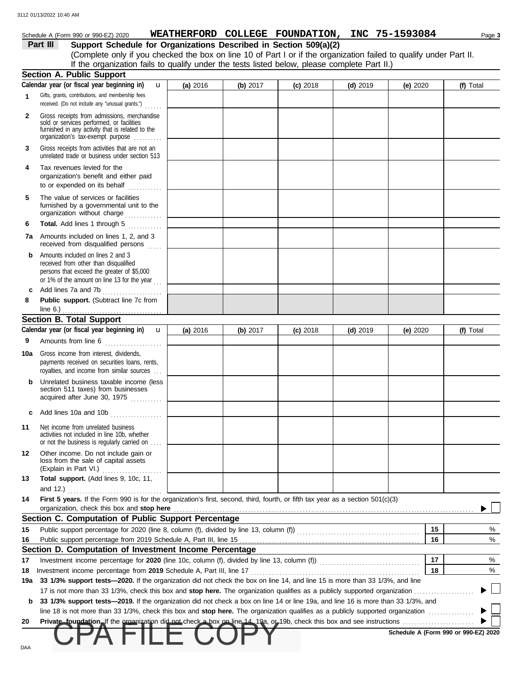### Schedule A (Form 990 or 990-EZ) 2020 Page **3 WEATHERFORD COLLEGE FOUNDATION, INC 75-1593084**

**Part III** Support Schedule for Organizations Described in Section 509(a)(2) (Complete only if you checked the box on line 10 of Part I or if the organization failed to qualify under Part II. If the organization fails to qualify under the tests listed below, please complete Part II.)

|              | Section A. Public Support                                                                                                                                                         |          |          |            |            |          |    |                                      |
|--------------|-----------------------------------------------------------------------------------------------------------------------------------------------------------------------------------|----------|----------|------------|------------|----------|----|--------------------------------------|
|              | Calendar year (or fiscal year beginning in)<br>u                                                                                                                                  | (a) 2016 | (b) 2017 | $(c)$ 2018 | $(d)$ 2019 | (e) 2020 |    | (f) Total                            |
| $\mathbf{1}$ | Gifts, grants, contributions, and membership fees<br>received. (Do not include any "unusual grants.")<br>.                                                                        |          |          |            |            |          |    |                                      |
| 2            | Gross receipts from admissions, merchandise<br>sold or services performed, or facilities<br>furnished in any activity that is related to the<br>organization's tax-exempt purpose |          |          |            |            |          |    |                                      |
| 3            | Gross receipts from activities that are not an<br>unrelated trade or business under section 513                                                                                   |          |          |            |            |          |    |                                      |
| 4            | Tax revenues levied for the<br>organization's benefit and either paid                                                                                                             |          |          |            |            |          |    |                                      |
| 5            | The value of services or facilities<br>furnished by a governmental unit to the<br>organization without charge                                                                     |          |          |            |            |          |    |                                      |
| 6            | Total. Add lines 1 through 5                                                                                                                                                      |          |          |            |            |          |    |                                      |
| 7a           | Amounts included on lines 1, 2, and 3<br>received from disqualified persons                                                                                                       |          |          |            |            |          |    |                                      |
| b            | Amounts included on lines 2 and 3<br>received from other than disqualified<br>persons that exceed the greater of \$5,000<br>or 1% of the amount on line 13 for the year           |          |          |            |            |          |    |                                      |
| c            | Add lines 7a and 7b<br>.                                                                                                                                                          |          |          |            |            |          |    |                                      |
| 8            | Public support. (Subtract line 7c from<br>line 6.) $\ldots$ $\ldots$ $\ldots$ $\ldots$ $\ldots$ $\ldots$ $\ldots$                                                                 |          |          |            |            |          |    |                                      |
|              | <b>Section B. Total Support</b>                                                                                                                                                   |          |          |            |            |          |    |                                      |
|              | Calendar year (or fiscal year beginning in)<br>$\mathbf{u}$                                                                                                                       | (a) 2016 | (b) 2017 | $(c)$ 2018 | $(d)$ 2019 | (e) 2020 |    | (f) Total                            |
| 9            | Amounts from line 6                                                                                                                                                               |          |          |            |            |          |    |                                      |
| 10a          | Gross income from interest, dividends,<br>payments received on securities loans, rents,<br>royalties, and income from similar sources                                             |          |          |            |            |          |    |                                      |
| b            | Unrelated business taxable income (less<br>section 511 taxes) from businesses<br>acquired after June 30, 1975                                                                     |          |          |            |            |          |    |                                      |
| C            | Add lines 10a and 10b                                                                                                                                                             |          |          |            |            |          |    |                                      |
| 11           | Net income from unrelated business<br>activities not included in line 10b, whether<br>or not the business is regularly carried on                                                 |          |          |            |            |          |    |                                      |
| 12           | Other income. Do not include gain or<br>loss from the sale of capital assets<br>(Explain in Part VI.)<br>.                                                                        |          |          |            |            |          |    |                                      |
| 13           | Total support. (Add lines 9, 10c, 11,                                                                                                                                             |          |          |            |            |          |    |                                      |
|              |                                                                                                                                                                                   |          |          |            |            |          |    |                                      |
| 14           | First 5 years. If the Form 990 is for the organization's first, second, third, fourth, or fifth tax year as a section 501(c)(3)                                                   |          |          |            |            |          |    |                                      |
|              | organization, check this box and stop here                                                                                                                                        |          |          |            |            |          |    |                                      |
|              | Section C. Computation of Public Support Percentage                                                                                                                               |          |          |            |            |          |    |                                      |
| 15           |                                                                                                                                                                                   |          |          |            |            |          | 15 | %                                    |
| 16           | Section D. Computation of Investment Income Percentage                                                                                                                            |          |          |            |            |          | 16 | %                                    |
| 17           |                                                                                                                                                                                   |          |          |            |            |          | 17 | %                                    |
| 18           | Investment income percentage from 2019 Schedule A, Part III, line 17                                                                                                              |          |          |            |            |          | 18 | %                                    |
| 19a          | 33 1/3% support tests-2020. If the organization did not check the box on line 14, and line 15 is more than 33 1/3%, and line                                                      |          |          |            |            |          |    |                                      |
|              |                                                                                                                                                                                   |          |          |            |            |          |    |                                      |
| b            | 33 1/3% support tests—2019. If the organization did not check a box on line 14 or line 19a, and line 16 is more than 33 1/3%, and                                                 |          |          |            |            |          |    |                                      |
|              | line 18 is not more than 33 1/3%, check this box and stop here. The organization qualifies as a publicly supported organization $\ldots$                                          |          |          |            |            |          |    |                                      |
| 20           |                                                                                                                                                                                   |          |          |            |            |          |    |                                      |
|              |                                                                                                                                                                                   |          |          |            |            |          |    | Schedule A (Form 990 or 990-EZ) 2020 |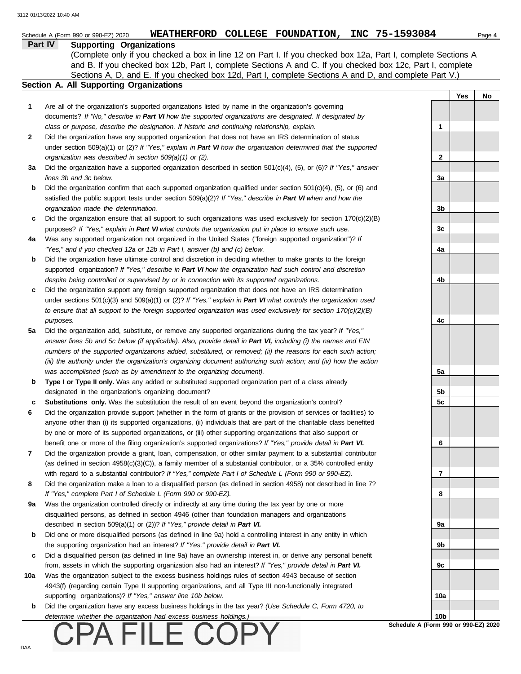|     | Part IV<br><b>Supporting Organizations</b>                                                                               |                 |     |    |
|-----|--------------------------------------------------------------------------------------------------------------------------|-----------------|-----|----|
|     | (Complete only if you checked a box in line 12 on Part I. If you checked box 12a, Part I, complete Sections A            |                 |     |    |
|     | and B. If you checked box 12b, Part I, complete Sections A and C. If you checked box 12c, Part I, complete               |                 |     |    |
|     | Sections A, D, and E. If you checked box 12d, Part I, complete Sections A and D, and complete Part V.)                   |                 |     |    |
|     | Section A. All Supporting Organizations                                                                                  |                 |     |    |
|     |                                                                                                                          |                 | Yes | No |
| 1   | Are all of the organization's supported organizations listed by name in the organization's governing                     |                 |     |    |
|     | documents? If "No," describe in Part VI how the supported organizations are designated. If designated by                 |                 |     |    |
|     | class or purpose, describe the designation. If historic and continuing relationship, explain.                            | 1               |     |    |
| 2   | Did the organization have any supported organization that does not have an IRS determination of status                   |                 |     |    |
|     | under section 509(a)(1) or (2)? If "Yes," explain in Part VI how the organization determined that the supported          |                 |     |    |
|     | organization was described in section 509(a)(1) or (2).                                                                  | 2               |     |    |
| За  | Did the organization have a supported organization described in section $501(c)(4)$ , (5), or (6)? If "Yes," answer      |                 |     |    |
|     | lines 3b and 3c below.                                                                                                   | За              |     |    |
| b   | Did the organization confirm that each supported organization qualified under section $501(c)(4)$ , $(5)$ , or $(6)$ and |                 |     |    |
|     | satisfied the public support tests under section 509(a)(2)? If "Yes," describe in Part VI when and how the               |                 |     |    |
|     | organization made the determination.                                                                                     | 3b              |     |    |
| c   | Did the organization ensure that all support to such organizations was used exclusively for section $170(c)(2)(B)$       |                 |     |    |
|     | purposes? If "Yes," explain in Part VI what controls the organization put in place to ensure such use.                   | 3c              |     |    |
| 4a  | Was any supported organization not organized in the United States ("foreign supported organization")? If                 |                 |     |    |
|     | "Yes," and if you checked 12a or 12b in Part I, answer (b) and (c) below.                                                | 4a              |     |    |
| b   | Did the organization have ultimate control and discretion in deciding whether to make grants to the foreign              |                 |     |    |
|     | supported organization? If "Yes," describe in Part VI how the organization had such control and discretion               |                 |     |    |
|     | despite being controlled or supervised by or in connection with its supported organizations.                             | 4b              |     |    |
| c   | Did the organization support any foreign supported organization that does not have an IRS determination                  |                 |     |    |
|     | under sections $501(c)(3)$ and $509(a)(1)$ or (2)? If "Yes," explain in Part VI what controls the organization used      |                 |     |    |
|     | to ensure that all support to the foreign supported organization was used exclusively for section $170(c)(2)(B)$         |                 |     |    |
|     | purposes.                                                                                                                | 4c              |     |    |
| 5а  | Did the organization add, substitute, or remove any supported organizations during the tax year? If "Yes,"               |                 |     |    |
|     | answer lines 5b and 5c below (if applicable). Also, provide detail in Part VI, including (i) the names and EIN           |                 |     |    |
|     | numbers of the supported organizations added, substituted, or removed; (ii) the reasons for each such action;            |                 |     |    |
|     | (iii) the authority under the organization's organizing document authorizing such action; and (iv) how the action        |                 |     |    |
|     | was accomplished (such as by amendment to the organizing document).                                                      | 5a              |     |    |
| b   | Type I or Type II only. Was any added or substituted supported organization part of a class already                      |                 |     |    |
|     | designated in the organization's organizing document?                                                                    | 5b              |     |    |
| c   | Substitutions only. Was the substitution the result of an event beyond the organization's control?                       | 5c              |     |    |
| 6   | Did the organization provide support (whether in the form of grants or the provision of services or facilities) to       |                 |     |    |
|     | anyone other than (i) its supported organizations, (ii) individuals that are part of the charitable class benefited      |                 |     |    |
|     | by one or more of its supported organizations, or (iii) other supporting organizations that also support or              |                 |     |    |
|     | benefit one or more of the filing organization's supported organizations? If "Yes," provide detail in Part VI.           | 6               |     |    |
| 7   | Did the organization provide a grant, loan, compensation, or other similar payment to a substantial contributor          |                 |     |    |
|     | (as defined in section $4958(c)(3)(C)$ ), a family member of a substantial contributor, or a 35% controlled entity       |                 |     |    |
|     | with regard to a substantial contributor? If "Yes," complete Part I of Schedule L (Form 990 or 990-EZ).                  | 7               |     |    |
| 8   | Did the organization make a loan to a disqualified person (as defined in section 4958) not described in line 7?          |                 |     |    |
|     | If "Yes," complete Part I of Schedule L (Form 990 or 990-EZ).                                                            | 8               |     |    |
| 9а  | Was the organization controlled directly or indirectly at any time during the tax year by one or more                    |                 |     |    |
|     | disqualified persons, as defined in section 4946 (other than foundation managers and organizations                       |                 |     |    |
|     | described in section 509(a)(1) or (2))? If "Yes," provide detail in Part VI.                                             | 9a              |     |    |
| b   | Did one or more disqualified persons (as defined in line 9a) hold a controlling interest in any entity in which          |                 |     |    |
|     | the supporting organization had an interest? If "Yes," provide detail in Part VI.                                        | 9b              |     |    |
| c   | Did a disqualified person (as defined in line 9a) have an ownership interest in, or derive any personal benefit          |                 |     |    |
|     | from, assets in which the supporting organization also had an interest? If "Yes," provide detail in Part VI.             | 9c              |     |    |
| 10a | Was the organization subject to the excess business holdings rules of section 4943 because of section                    |                 |     |    |
|     | 4943(f) (regarding certain Type II supporting organizations, and all Type III non-functionally integrated                |                 |     |    |
|     | supporting organizations)? If "Yes," answer line 10b below.                                                              | 10a             |     |    |
| b   | Did the organization have any excess business holdings in the tax year? (Use Schedule C, Form 4720, to                   |                 |     |    |
|     | determine whether the organization had excess business holdings.)                                                        | 10 <sub>b</sub> |     |    |

*determine whether the organization had excess business holdings.)*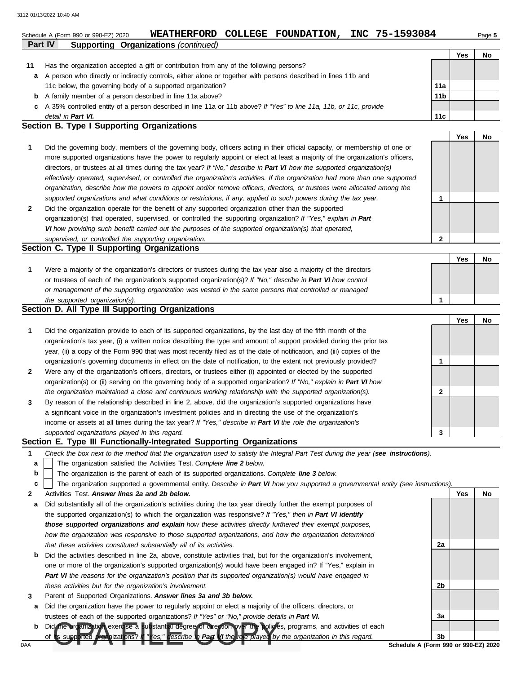#### **Part IV Supporting Organizations** *(continued)* Schedule A (Form 990 or 990-EZ) 2020 **WEATHERFORD COLLEGE FOUNDATION, INC 75-1593084** Page 5 **Yes No 1** more supported organizations have the power to regularly appoint or elect at least a majority of the organization's officers, **Section B. Type I Supporting Organizations 11 c** A 35% controlled entity of a person described in line 11a or 11b above? *If "Yes" to line 11a, 11b, or 11c, provide* **b** A family member of a person described in line 11a above? **a** A person who directly or indirectly controls, either alone or together with persons described in lines 11b and Has the organization accepted a gift or contribution from any of the following persons? 11c below, the governing body of a supported organization? *detail in Part VI.* **11a 11b 11c** Did the governing body, members of the governing body, officers acting in their official capacity, or membership of one or **Yes No COLLEGE FOUNDATION,**

**2** *supported organizations and what conditions or restrictions, if any, applied to such powers during the tax year. organization, describe how the powers to appoint and/or remove officers, directors, or trustees were allocated among the effectively operated, supervised, or controlled the organization's activities. If the organization had more than one supported* directors, or trustees at all times during the tax year? *If "No," describe in Part VI how the supported organization(s)* Did the organization operate for the benefit of any supported organization other than the supported organization(s) that operated, supervised, or controlled the supporting organization? *If "Yes," explain in Part VI how providing such benefit carried out the purposes of the supported organization(s) that operated, supervised, or controlled the supporting organization.* **2 1**

#### **Section C. Type II Supporting Organizations** Were a majority of the organization's directors or trustees during the tax year also a majority of the directors or trustees of each of the organization's supported organization(s)? *If "No," describe in Part VI how control* **1** *or management of the supporting organization was vested in the same persons that controlled or managed the supported organization(s).* **Yes No 1**

#### **Section D. All Type III Supporting Organizations**

|                |                                                                                                                        |   | Yes | No |
|----------------|------------------------------------------------------------------------------------------------------------------------|---|-----|----|
| 1              | Did the organization provide to each of its supported organizations, by the last day of the fifth month of the         |   |     |    |
|                | organization's tax year, (i) a written notice describing the type and amount of support provided during the prior tax  |   |     |    |
|                | year, (ii) a copy of the Form 990 that was most recently filed as of the date of notification, and (iii) copies of the |   |     |    |
|                | organization's governing documents in effect on the date of notification, to the extent not previously provided?       |   |     |    |
| $\overline{2}$ | Were any of the organization's officers, directors, or trustees either (i) appointed or elected by the supported       |   |     |    |
|                | organization(s) or (ii) serving on the governing body of a supported organization? If "No," explain in Part VI how     |   |     |    |
|                | the organization maintained a close and continuous working relationship with the supported organization(s).            | 2 |     |    |
| $\mathbf{3}$   | By reason of the relationship described in line 2, above, did the organization's supported organizations have          |   |     |    |
|                | a significant voice in the organization's investment policies and in directing the use of the organization's           |   |     |    |
|                | income or assets at all times during the tax year? If "Yes," describe in Part VI the role the organization's           |   |     |    |
|                | supported organizations played in this regard.                                                                         | 3 |     |    |

#### **Section E. Type III Functionally-Integrated Supporting Organizations**

- **1** *Check the box next to the method that the organization used to satisfy the Integral Part Test during the year (see instructions).*
	- The organization satisfied the Activities Test. *Complete line 2 below.* **a**
	- The organization is the parent of each of its supported organizations. *Complete line 3 below.* **b**

|  |  | c   The organization supported a governmental entity. Describe in Part VI how you supported a governmental entity (see instructions) |  |  |  |  |  |  |  |  |  |  |  |  |
|--|--|--------------------------------------------------------------------------------------------------------------------------------------|--|--|--|--|--|--|--|--|--|--|--|--|
|--|--|--------------------------------------------------------------------------------------------------------------------------------------|--|--|--|--|--|--|--|--|--|--|--|--|

- **2** Activities Test. *Answer lines 2a and 2b below.*
- **a** Did substantially all of the organization's activities during the tax year directly further the exempt purposes of the supported organization(s) to which the organization was responsive? *If "Yes," then in Part VI identify those supported organizations and explain how these activities directly furthered their exempt purposes,*  how the organization was responsive to those supported organizations, and how the organization determined *that these activities constituted substantially all of its activities.*
- **b** Did the activities described in line 2a, above, constitute activities that, but for the organization's involvement, one or more of the organization's supported organization(s) would have been engaged in? If "Yes," explain in *Part VI the reasons for the organization's position that its supported organization(s) would have engaged in these activities but for the organization's involvement.*
- **3** Parent of Supported Organizations. *Answer lines 3a and 3b below.*
- **a** Did the organization have the power to regularly appoint or elect a majority of the officers, directors, or trustees of each of the supported organizations? *If "Yes" or "No," provide details in Part VI.*
- **b** Did the organization exercise a substantial degree of direction over the policies, programs, and activities of each by the organization in this regard.

**2a**

**2b**

**3a**

**Yes No**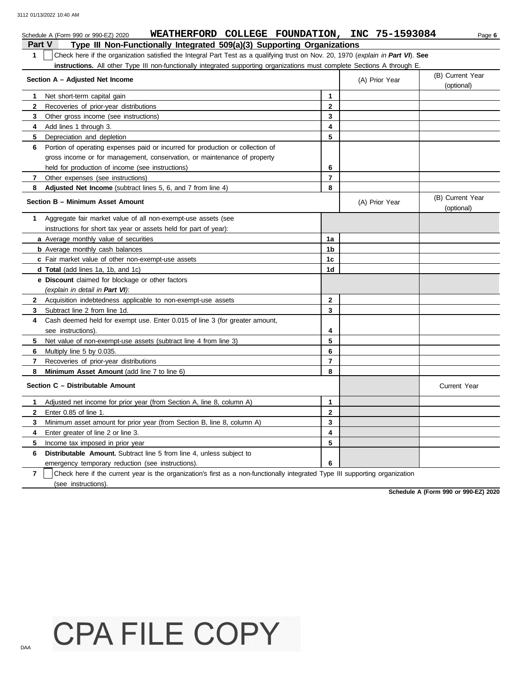|                | WEATHERFORD COLLEGE FOUNDATION, INC 75-1593084<br>Schedule A (Form 990 or 990-EZ) 2020                                           |                         |                | Page 6                         |
|----------------|----------------------------------------------------------------------------------------------------------------------------------|-------------------------|----------------|--------------------------------|
| <b>Part V</b>  | Type III Non-Functionally Integrated 509(a)(3) Supporting Organizations                                                          |                         |                |                                |
| $\mathbf{1}$   | Check here if the organization satisfied the Integral Part Test as a qualifying trust on Nov. 20, 1970 (explain in Part VI). See |                         |                |                                |
|                | <b>instructions.</b> All other Type III non-functionally integrated supporting organizations must complete Sections A through E. |                         |                |                                |
|                | Section A - Adjusted Net Income                                                                                                  |                         | (A) Prior Year | (B) Current Year               |
|                |                                                                                                                                  |                         |                | (optional)                     |
| 1              | Net short-term capital gain                                                                                                      | $\mathbf{1}$            |                |                                |
| $\mathbf{2}$   | Recoveries of prior-year distributions                                                                                           | $\mathbf{2}$            |                |                                |
| 3              | Other gross income (see instructions)                                                                                            | 3                       |                |                                |
| 4              | Add lines 1 through 3.                                                                                                           | 4                       |                |                                |
| 5              | Depreciation and depletion                                                                                                       | 5                       |                |                                |
| 6              | Portion of operating expenses paid or incurred for production or collection of                                                   |                         |                |                                |
|                | gross income or for management, conservation, or maintenance of property                                                         |                         |                |                                |
|                | held for production of income (see instructions)                                                                                 | 6                       |                |                                |
| 7              | Other expenses (see instructions)                                                                                                | $\overline{7}$          |                |                                |
| 8              | <b>Adjusted Net Income</b> (subtract lines 5, 6, and 7 from line 4)                                                              | 8                       |                |                                |
|                | Section B - Minimum Asset Amount                                                                                                 |                         | (A) Prior Year | (B) Current Year<br>(optional) |
| $\mathbf 1$    | Aggregate fair market value of all non-exempt-use assets (see                                                                    |                         |                |                                |
|                | instructions for short tax year or assets held for part of year):                                                                |                         |                |                                |
|                | a Average monthly value of securities                                                                                            | 1a                      |                |                                |
|                | <b>b</b> Average monthly cash balances                                                                                           | 1b                      |                |                                |
|                | c Fair market value of other non-exempt-use assets                                                                               | 1 <sub>c</sub>          |                |                                |
|                | d Total (add lines 1a, 1b, and 1c)                                                                                               | 1d                      |                |                                |
|                | <b>e</b> Discount claimed for blockage or other factors                                                                          |                         |                |                                |
|                | (explain in detail in Part VI):                                                                                                  |                         |                |                                |
| $\mathbf{2}$   | Acquisition indebtedness applicable to non-exempt-use assets                                                                     | $\mathbf{2}$            |                |                                |
| 3              | Subtract line 2 from line 1d.                                                                                                    | 3                       |                |                                |
| 4              | Cash deemed held for exempt use. Enter 0.015 of line 3 (for greater amount,                                                      |                         |                |                                |
|                | see instructions).                                                                                                               | 4                       |                |                                |
| 5.             | Net value of non-exempt-use assets (subtract line 4 from line 3)                                                                 | 5                       |                |                                |
| 6              | Multiply line 5 by 0.035.                                                                                                        | 6                       |                |                                |
| $\overline{7}$ | Recoveries of prior-year distributions                                                                                           | $\overline{7}$          |                |                                |
| 8              | Minimum Asset Amount (add line 7 to line 6)                                                                                      | 8                       |                |                                |
|                | Section C - Distributable Amount                                                                                                 |                         |                | <b>Current Year</b>            |
| 1              | Adjusted net income for prior year (from Section A, line 8, column A)                                                            | 1                       |                |                                |
| $\mathbf{2}$   | Enter 0.85 of line 1.                                                                                                            | $\mathbf{2}$            |                |                                |
| 3              | Minimum asset amount for prior year (from Section B, line 8, column A)                                                           | 3                       |                |                                |
| 4              | Enter greater of line 2 or line 3.                                                                                               | $\overline{\mathbf{4}}$ |                |                                |
| 5              | Income tax imposed in prior year                                                                                                 | 5                       |                |                                |
| 6              | <b>Distributable Amount.</b> Subtract line 5 from line 4, unless subject to                                                      |                         |                |                                |
|                | emergency temporary reduction (see instructions).                                                                                | 6                       |                |                                |
|                | يباط<br>the contract of the contract of the contract of the contract of the contract of<br>$\sim$ $\sim$ $\sim$<br>$\cdots$      |                         |                |                                |

**7** | Check here if the current year is the organization's first as a non-functionally integrated Type III supporting organization (see instructions).

**Schedule A (Form 990 or 990-EZ) 2020**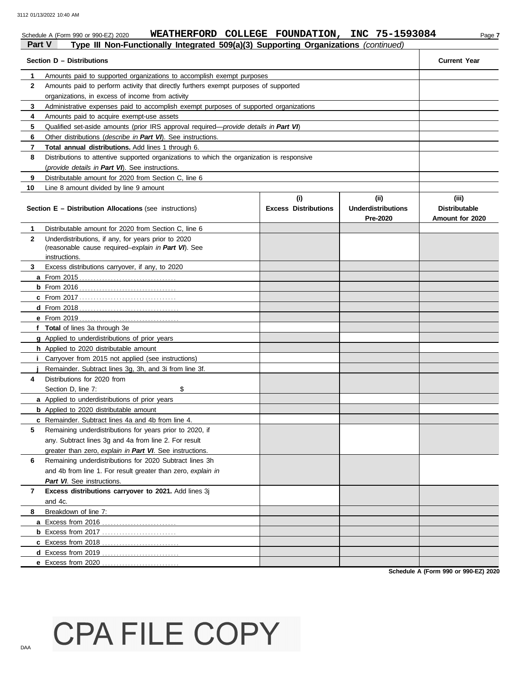### Schedule A (Form 990 or 990-EZ) 2020 **WEATHERFORD COLLEGE FOUNDATION, INC 75-1593084** Page 7

| Part V       | Type III Non-Functionally Integrated 509(a)(3) Supporting Organizations (continued)                                         |                                    |                                               |                                                  |
|--------------|-----------------------------------------------------------------------------------------------------------------------------|------------------------------------|-----------------------------------------------|--------------------------------------------------|
|              | Section D - Distributions                                                                                                   |                                    |                                               | <b>Current Year</b>                              |
| 1.           | Amounts paid to supported organizations to accomplish exempt purposes                                                       |                                    |                                               |                                                  |
| $\mathbf{2}$ | Amounts paid to perform activity that directly furthers exempt purposes of supported                                        |                                    |                                               |                                                  |
|              | organizations, in excess of income from activity                                                                            |                                    |                                               |                                                  |
| 3            | Administrative expenses paid to accomplish exempt purposes of supported organizations                                       |                                    |                                               |                                                  |
| 4            | Amounts paid to acquire exempt-use assets                                                                                   |                                    |                                               |                                                  |
| 5            | Qualified set-aside amounts (prior IRS approval required—provide details in Part VI)                                        |                                    |                                               |                                                  |
| 6            | Other distributions (describe in Part VI). See instructions.                                                                |                                    |                                               |                                                  |
| 7            | Total annual distributions. Add lines 1 through 6.                                                                          |                                    |                                               |                                                  |
| 8            | Distributions to attentive supported organizations to which the organization is responsive                                  |                                    |                                               |                                                  |
|              | (provide details in Part VI). See instructions.                                                                             |                                    |                                               |                                                  |
| 9            | Distributable amount for 2020 from Section C, line 6                                                                        |                                    |                                               |                                                  |
| 10           | Line 8 amount divided by line 9 amount                                                                                      |                                    |                                               |                                                  |
|              | <b>Section E - Distribution Allocations (see instructions)</b>                                                              | (i)<br><b>Excess Distributions</b> | (ii)<br><b>Underdistributions</b><br>Pre-2020 | (iii)<br><b>Distributable</b><br>Amount for 2020 |
| 1            | Distributable amount for 2020 from Section C, line 6                                                                        |                                    |                                               |                                                  |
| $\mathbf{2}$ | Underdistributions, if any, for years prior to 2020<br>(reasonable cause required-explain in Part VI). See<br>instructions. |                                    |                                               |                                                  |
| 3            | Excess distributions carryover, if any, to 2020                                                                             |                                    |                                               |                                                  |
|              |                                                                                                                             |                                    |                                               |                                                  |
|              |                                                                                                                             |                                    |                                               |                                                  |
|              |                                                                                                                             |                                    |                                               |                                                  |
|              |                                                                                                                             |                                    |                                               |                                                  |
|              |                                                                                                                             |                                    |                                               |                                                  |
|              | f Total of lines 3a through 3e                                                                                              |                                    |                                               |                                                  |
|              | g Applied to underdistributions of prior years                                                                              |                                    |                                               |                                                  |
|              | h Applied to 2020 distributable amount                                                                                      |                                    |                                               |                                                  |
|              | <i>i</i> Carryover from 2015 not applied (see instructions)                                                                 |                                    |                                               |                                                  |
|              | Remainder. Subtract lines 3g, 3h, and 3i from line 3f.                                                                      |                                    |                                               |                                                  |
| 4            | Distributions for 2020 from                                                                                                 |                                    |                                               |                                                  |
|              | \$<br>Section D, line 7:                                                                                                    |                                    |                                               |                                                  |
|              | <b>a</b> Applied to underdistributions of prior years                                                                       |                                    |                                               |                                                  |
|              | <b>b</b> Applied to 2020 distributable amount                                                                               |                                    |                                               |                                                  |
|              | <b>c</b> Remainder. Subtract lines 4a and 4b from line 4.                                                                   |                                    |                                               |                                                  |
| 5            | Remaining underdistributions for years prior to 2020, if                                                                    |                                    |                                               |                                                  |
|              | any. Subtract lines 3q and 4a from line 2. For result                                                                       |                                    |                                               |                                                  |
|              | greater than zero, explain in Part VI. See instructions.                                                                    |                                    |                                               |                                                  |
| 6            | Remaining underdistributions for 2020 Subtract lines 3h                                                                     |                                    |                                               |                                                  |
|              | and 4b from line 1. For result greater than zero, explain in                                                                |                                    |                                               |                                                  |
|              | Part VI. See instructions.                                                                                                  |                                    |                                               |                                                  |
| 7            | Excess distributions carryover to 2021. Add lines 3j                                                                        |                                    |                                               |                                                  |
|              | and 4c.                                                                                                                     |                                    |                                               |                                                  |
| 8            | Breakdown of line 7:                                                                                                        |                                    |                                               |                                                  |
|              |                                                                                                                             |                                    |                                               |                                                  |
|              | <b>b</b> Excess from 2017                                                                                                   |                                    |                                               |                                                  |
|              |                                                                                                                             |                                    |                                               |                                                  |
|              | e Excess from 2020                                                                                                          |                                    |                                               |                                                  |
|              |                                                                                                                             |                                    |                                               |                                                  |

**Schedule A (Form 990 or 990-EZ) 2020**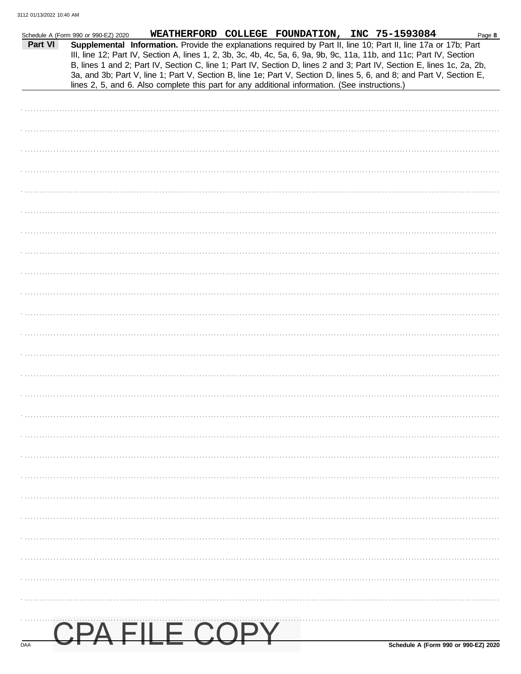|         | Schedule A (Form 990 or 990-EZ) 2020 | WEATHERFORD COLLEGE FOUNDATION, INC 75-1593084                                                                                                                                                                                                                                                                                                                                                                                                                                                                                                                                              |  |                                      | Page 8 |
|---------|--------------------------------------|---------------------------------------------------------------------------------------------------------------------------------------------------------------------------------------------------------------------------------------------------------------------------------------------------------------------------------------------------------------------------------------------------------------------------------------------------------------------------------------------------------------------------------------------------------------------------------------------|--|--------------------------------------|--------|
| Part VI |                                      | Supplemental Information. Provide the explanations required by Part II, line 10; Part II, line 17a or 17b; Part<br>III, line 12; Part IV, Section A, lines 1, 2, 3b, 3c, 4b, 4c, 5a, 6, 9a, 9b, 9c, 11a, 11b, and 11c; Part IV, Section<br>B, lines 1 and 2; Part IV, Section C, line 1; Part IV, Section D, lines 2 and 3; Part IV, Section E, lines 1c, 2a, 2b,<br>3a, and 3b; Part V, line 1; Part V, Section B, line 1e; Part V, Section D, lines 5, 6, and 8; and Part V, Section E,<br>lines 2, 5, and 6. Also complete this part for any additional information. (See instructions.) |  |                                      |        |
|         |                                      |                                                                                                                                                                                                                                                                                                                                                                                                                                                                                                                                                                                             |  |                                      |        |
|         |                                      |                                                                                                                                                                                                                                                                                                                                                                                                                                                                                                                                                                                             |  |                                      |        |
|         |                                      |                                                                                                                                                                                                                                                                                                                                                                                                                                                                                                                                                                                             |  |                                      |        |
|         |                                      |                                                                                                                                                                                                                                                                                                                                                                                                                                                                                                                                                                                             |  |                                      |        |
|         |                                      |                                                                                                                                                                                                                                                                                                                                                                                                                                                                                                                                                                                             |  |                                      |        |
|         |                                      |                                                                                                                                                                                                                                                                                                                                                                                                                                                                                                                                                                                             |  |                                      |        |
|         |                                      |                                                                                                                                                                                                                                                                                                                                                                                                                                                                                                                                                                                             |  |                                      |        |
|         |                                      |                                                                                                                                                                                                                                                                                                                                                                                                                                                                                                                                                                                             |  |                                      |        |
|         |                                      |                                                                                                                                                                                                                                                                                                                                                                                                                                                                                                                                                                                             |  |                                      |        |
|         |                                      |                                                                                                                                                                                                                                                                                                                                                                                                                                                                                                                                                                                             |  |                                      |        |
|         |                                      |                                                                                                                                                                                                                                                                                                                                                                                                                                                                                                                                                                                             |  |                                      |        |
|         |                                      |                                                                                                                                                                                                                                                                                                                                                                                                                                                                                                                                                                                             |  |                                      |        |
|         |                                      |                                                                                                                                                                                                                                                                                                                                                                                                                                                                                                                                                                                             |  |                                      |        |
|         |                                      |                                                                                                                                                                                                                                                                                                                                                                                                                                                                                                                                                                                             |  |                                      |        |
|         |                                      |                                                                                                                                                                                                                                                                                                                                                                                                                                                                                                                                                                                             |  |                                      |        |
|         |                                      |                                                                                                                                                                                                                                                                                                                                                                                                                                                                                                                                                                                             |  |                                      |        |
|         |                                      |                                                                                                                                                                                                                                                                                                                                                                                                                                                                                                                                                                                             |  |                                      |        |
|         |                                      |                                                                                                                                                                                                                                                                                                                                                                                                                                                                                                                                                                                             |  |                                      |        |
|         |                                      |                                                                                                                                                                                                                                                                                                                                                                                                                                                                                                                                                                                             |  |                                      |        |
|         |                                      |                                                                                                                                                                                                                                                                                                                                                                                                                                                                                                                                                                                             |  |                                      |        |
|         |                                      |                                                                                                                                                                                                                                                                                                                                                                                                                                                                                                                                                                                             |  |                                      |        |
|         |                                      |                                                                                                                                                                                                                                                                                                                                                                                                                                                                                                                                                                                             |  |                                      |        |
|         |                                      |                                                                                                                                                                                                                                                                                                                                                                                                                                                                                                                                                                                             |  |                                      |        |
|         |                                      |                                                                                                                                                                                                                                                                                                                                                                                                                                                                                                                                                                                             |  |                                      |        |
|         |                                      |                                                                                                                                                                                                                                                                                                                                                                                                                                                                                                                                                                                             |  |                                      |        |
|         |                                      |                                                                                                                                                                                                                                                                                                                                                                                                                                                                                                                                                                                             |  |                                      |        |
|         |                                      |                                                                                                                                                                                                                                                                                                                                                                                                                                                                                                                                                                                             |  |                                      |        |
|         |                                      |                                                                                                                                                                                                                                                                                                                                                                                                                                                                                                                                                                                             |  |                                      |        |
|         |                                      |                                                                                                                                                                                                                                                                                                                                                                                                                                                                                                                                                                                             |  |                                      |        |
|         |                                      |                                                                                                                                                                                                                                                                                                                                                                                                                                                                                                                                                                                             |  |                                      |        |
|         |                                      |                                                                                                                                                                                                                                                                                                                                                                                                                                                                                                                                                                                             |  |                                      |        |
| DAA     |                                      | CPA FILE COPY                                                                                                                                                                                                                                                                                                                                                                                                                                                                                                                                                                               |  | Schedule A (Form 990 or 990-EZ) 2020 |        |
|         |                                      |                                                                                                                                                                                                                                                                                                                                                                                                                                                                                                                                                                                             |  |                                      |        |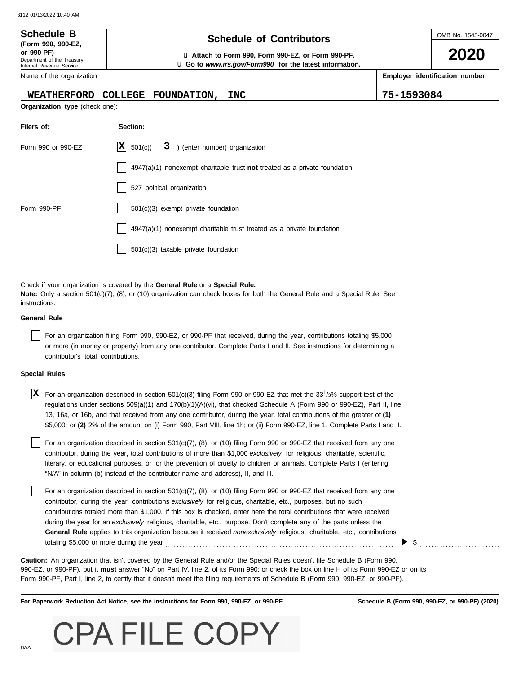#### OMB No. 1545-0047 Department of the Treasury Internal Revenue Service Name of the organization **2020 Schedule of Contributors Schedule B (Form 990, 990-EZ, or 990-PF)** u **Attach to Form 990, Form 990-EZ, or Form 990-PF. Employer identification number Organization type** (check one): **Filers of: Section:** Form 990 or 990-EZ  $|\mathbf{X}|$  501(c)( 3) (enter number) organization 4947(a)(1) nonexempt charitable trust **not** treated as a private foundation 527 political organization Form 990-PF 1501(c)(3) exempt private foundation 4947(a)(1) nonexempt charitable trust treated as a private foundation u **Go to** *www.irs.gov/Form990* **for the latest information. WEATHERFORD COLLEGE FOUNDATION, INC 75-1593084**  $|\mathbf{X}|$  501(c)(

501(c)(3) taxable private foundation

Check if your organization is covered by the **General Rule** or a **Special Rule. Note:** Only a section 501(c)(7), (8), or (10) organization can check boxes for both the General Rule and a Special Rule. See instructions.

#### **General Rule**

For an organization filing Form 990, 990-EZ, or 990-PF that received, during the year, contributions totaling \$5,000 or more (in money or property) from any one contributor. Complete Parts I and II. See instructions for determining a contributor's total contributions.

#### **Special Rules**

 $\overline{X}$  For an organization described in section 501(c)(3) filing Form 990 or 990-EZ that met the 33<sup>1</sup>/3% support test of the regulations under sections 509(a)(1) and 170(b)(1)(A)(vi), that checked Schedule A (Form 990 or 990-EZ), Part II, line 13, 16a, or 16b, and that received from any one contributor, during the year, total contributions of the greater of **(1)** \$5,000; or **(2)** 2% of the amount on (i) Form 990, Part VIII, line 1h; or (ii) Form 990-EZ, line 1. Complete Parts I and II.

literary, or educational purposes, or for the prevention of cruelty to children or animals. Complete Parts I (entering For an organization described in section 501(c)(7), (8), or (10) filing Form 990 or 990-EZ that received from any one contributor, during the year, total contributions of more than \$1,000 *exclusively* for religious, charitable, scientific, "N/A" in column (b) instead of the contributor name and address), II, and III.

For an organization described in section 501(c)(7), (8), or (10) filing Form 990 or 990-EZ that received from any one contributor, during the year, contributions *exclusively* for religious, charitable, etc., purposes, but no such contributions totaled more than \$1,000. If this box is checked, enter here the total contributions that were received during the year for an *exclusively* religious, charitable, etc., purpose. Don't complete any of the parts unless the **General Rule** applies to this organization because it received *nonexclusively* religious, charitable, etc., contributions totaling \$5,000 or more during the year . . . . . . . . . . . . . . . . . . . . . . . . . . . . . . . . . . . . . . . . . . . . . . . . . . . . . . . . . . . . . . . . . . . . . . . . . . . . . . . .

990-EZ, or 990-PF), but it **must** answer "No" on Part IV, line 2, of its Form 990; or check the box on line H of its Form 990-EZ or on its Form 990-PF, Part I, line 2, to certify that it doesn't meet the filing requirements of Schedule B (Form 990, 990-EZ, or 990-PF). **Caution:** An organization that isn't covered by the General Rule and/or the Special Rules doesn't file Schedule B (Form 990,

**For Paperwork Reduction Act Notice, see the instructions for Form 990, 990-EZ, or 990-PF.**

\$ . . . . . . . . . . . . . . . . . . . . . . . . . . . .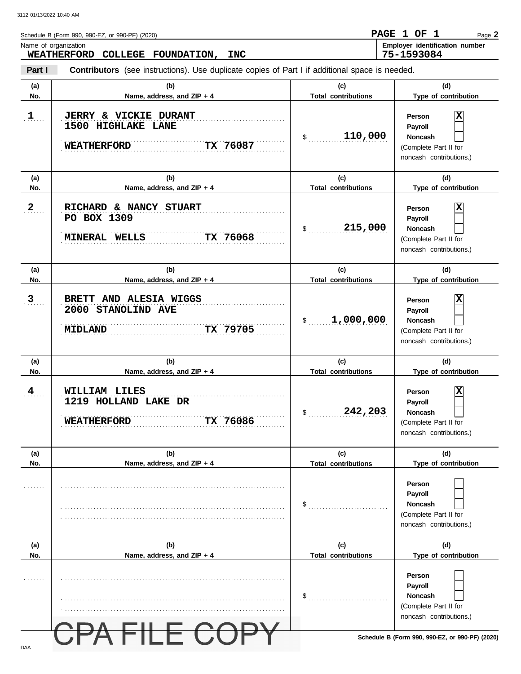DAA

|                | Schedule B (Form 990, 990-EZ, or 990-PF) (2020)<br>Name of organization<br><b>WEATHERFORD</b><br>COLLEGE FOUNDATION, INC |                                   | PAGE 1 OF 1<br>Page 2<br>Employer identification number<br>75-1593084                         |
|----------------|--------------------------------------------------------------------------------------------------------------------------|-----------------------------------|-----------------------------------------------------------------------------------------------|
| Part I         | Contributors (see instructions). Use duplicate copies of Part I if additional space is needed.                           |                                   |                                                                                               |
| (a)<br>No.     | (b)<br>Name, address, and ZIP + 4                                                                                        | (c)<br><b>Total contributions</b> | (d)<br>Type of contribution                                                                   |
| $\mathbf{1}$ . | JERRY & VICKIE DURANT<br>1500 HIGHLAKE LANE<br>TX 76087<br><b>WEATHERFORD</b>                                            | 110,000<br>\$                     | x<br>Person<br>Payroll<br><b>Noncash</b><br>(Complete Part II for<br>noncash contributions.)  |
| (a)            | (b)                                                                                                                      | (c)                               | (d)                                                                                           |
| No.            | Name, address, and ZIP + 4                                                                                               | <b>Total contributions</b>        | Type of contribution                                                                          |
| $\overline{2}$ | RICHARD & NANCY STUART<br>PO BOX 1309<br>TX 76068<br>MINERAL WELLS                                                       | 215,000<br>\$                     | Ιx<br>Person<br>Payroll<br><b>Noncash</b><br>(Complete Part II for<br>noncash contributions.) |
| (a)<br>No.     | (b)<br>Name, address, and ZIP + 4                                                                                        | (c)<br><b>Total contributions</b> | (d)<br>Type of contribution                                                                   |
| $\overline{3}$ | BRETT AND ALESIA WIGGS<br>2000 STANOLIND AVE<br>TX 79705<br><b>MIDLAND</b>                                               | 1,000,000<br>\$                   | ΙX<br>Person<br>Payroll<br><b>Noncash</b><br>(Complete Part II for<br>noncash contributions.) |
| (a)<br>No.     | (b)<br>Name, address, and ZIP + 4                                                                                        | (c)<br><b>Total contributions</b> | (d)<br>Type of contribution                                                                   |
| 4              | WILLIAM LILES<br>1219<br>HOLLAND LAKE DR<br>TX 76086<br><b>WEATHERFORD</b>                                               | 242,203<br>\$                     | Ιx<br>Person<br>Payroll<br>Noncash<br>(Complete Part II for<br>noncash contributions.)        |
| (a)<br>No.     | (b)<br>Name, address, and ZIP + 4                                                                                        | (c)<br><b>Total contributions</b> | (d)<br>Type of contribution                                                                   |
|                |                                                                                                                          | \$                                | Person<br>Payroll<br>Noncash<br>(Complete Part II for<br>noncash contributions.)              |
| (a)<br>No.     | (b)<br>Name, address, and ZIP + 4                                                                                        | (c)<br><b>Total contributions</b> | (d)<br>Type of contribution                                                                   |
|                |                                                                                                                          | \$                                | Person<br>Payroll<br>Noncash<br>(Complete Part II for<br>noncash contributions.)              |
|                |                                                                                                                          |                                   | Schedule B (Form 990, 990-EZ, or 990-PF) (2020)                                               |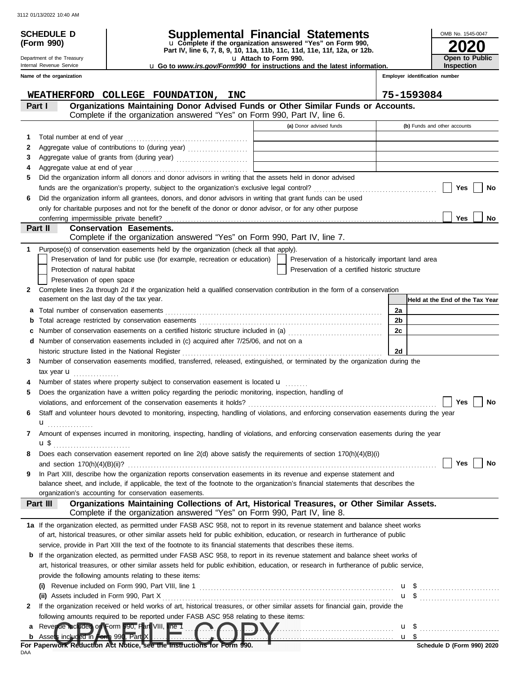Department of the Treasury Internal Revenue Service

**(Form 990)**

| Schedule d | <b>Supplemental Financial Statements</b> |  |
|------------|------------------------------------------|--|
|            |                                          |  |

**Part IV, line 6, 7, 8, 9, 10, 11a, 11b, 11c, 11d, 11e, 11f, 12a, or 12b.** u **Complete if the organization answered "Yes" on Form 990,**

u **Attach to Form 990.**  u **Go to** *www.irs.gov/Form990* **for instructions and the latest information.**

**Employer identification number Inspection**

**2020**

**Open to Public**

OMB No. 1545-0047

|   | Name of the organization                                                                                                                                                                                                                      |                                                    | Employer identification number  |
|---|-----------------------------------------------------------------------------------------------------------------------------------------------------------------------------------------------------------------------------------------------|----------------------------------------------------|---------------------------------|
|   | WEATHERFORD COLLEGE FOUNDATION, INC                                                                                                                                                                                                           |                                                    | 75-1593084                      |
|   | Organizations Maintaining Donor Advised Funds or Other Similar Funds or Accounts.<br>Part I<br>Complete if the organization answered "Yes" on Form 990, Part IV, line 6.                                                                      |                                                    |                                 |
|   |                                                                                                                                                                                                                                               | (a) Donor advised funds                            | (b) Funds and other accounts    |
| 1 | Total number at end of year                                                                                                                                                                                                                   |                                                    |                                 |
| 2 |                                                                                                                                                                                                                                               |                                                    |                                 |
| 3 | Aggregate value of grants from (during year) Mathematical Mathematical Mathematical Mathematical Mathematical M                                                                                                                               |                                                    |                                 |
|   |                                                                                                                                                                                                                                               |                                                    |                                 |
| 5 | Did the organization inform all donors and donor advisors in writing that the assets held in donor advised                                                                                                                                    |                                                    |                                 |
|   |                                                                                                                                                                                                                                               |                                                    | Yes<br>No                       |
| 6 | Did the organization inform all grantees, donors, and donor advisors in writing that grant funds can be used                                                                                                                                  |                                                    |                                 |
|   | only for charitable purposes and not for the benefit of the donor or donor advisor, or for any other purpose                                                                                                                                  |                                                    |                                 |
|   |                                                                                                                                                                                                                                               |                                                    | <b>Yes</b><br>No                |
|   | Part II<br><b>Conservation Easements.</b><br>Complete if the organization answered "Yes" on Form 990, Part IV, line 7.                                                                                                                        |                                                    |                                 |
|   | Purpose(s) of conservation easements held by the organization (check all that apply).                                                                                                                                                         |                                                    |                                 |
|   | Preservation of land for public use (for example, recreation or education)                                                                                                                                                                    | Preservation of a historically important land area |                                 |
|   | Protection of natural habitat                                                                                                                                                                                                                 | Preservation of a certified historic structure     |                                 |
|   | Preservation of open space                                                                                                                                                                                                                    |                                                    |                                 |
| 2 | Complete lines 2a through 2d if the organization held a qualified conservation contribution in the form of a conservation                                                                                                                     |                                                    |                                 |
|   | easement on the last day of the tax year.                                                                                                                                                                                                     |                                                    | Held at the End of the Tax Year |
| a | Total number of conservation easements                                                                                                                                                                                                        |                                                    | 2a                              |
|   |                                                                                                                                                                                                                                               |                                                    | 2b                              |
| с | Number of conservation easements on a certified historic structure included in (a) [[[[[ [ [ ]]]                                                                                                                                              |                                                    | 2c                              |
| d | Number of conservation easements included in (c) acquired after 7/25/06, and not on a                                                                                                                                                         |                                                    |                                 |
|   | historic structure listed in the National Register                                                                                                                                                                                            |                                                    | 2d                              |
| 3 | Number of conservation easements modified, transferred, released, extinguished, or terminated by the organization during the                                                                                                                  |                                                    |                                 |
|   | tax year <b>u</b>                                                                                                                                                                                                                             |                                                    |                                 |
|   | Number of states where property subject to conservation easement is located u                                                                                                                                                                 |                                                    |                                 |
| 5 | Does the organization have a written policy regarding the periodic monitoring, inspection, handling of                                                                                                                                        |                                                    |                                 |
|   |                                                                                                                                                                                                                                               |                                                    | <b>Yes</b><br>No                |
| 6 | Staff and volunteer hours devoted to monitoring, inspecting, handling of violations, and enforcing conservation easements during the year                                                                                                     |                                                    |                                 |
|   | u<br>.                                                                                                                                                                                                                                        |                                                    |                                 |
|   | Amount of expenses incurred in monitoring, inspecting, handling of violations, and enforcing conservation easements during the year                                                                                                           |                                                    |                                 |
|   | u \$                                                                                                                                                                                                                                          |                                                    |                                 |
|   | Does each conservation easement reported on line 2(d) above satisfy the requirements of section 170(h)(4)(B)(i)                                                                                                                               |                                                    | Yes<br>No                       |
|   | and section $170(h)(4)(B)(ii)?$<br>In Part XIII, describe how the organization reports conservation easements in its revenue and expense statement and                                                                                        |                                                    |                                 |
| 9 | balance sheet, and include, if applicable, the text of the footnote to the organization's financial statements that describes the                                                                                                             |                                                    |                                 |
|   | organization's accounting for conservation easements.                                                                                                                                                                                         |                                                    |                                 |
|   | Organizations Maintaining Collections of Art, Historical Treasures, or Other Similar Assets.<br>Part III                                                                                                                                      |                                                    |                                 |
|   | Complete if the organization answered "Yes" on Form 990, Part IV, line 8.                                                                                                                                                                     |                                                    |                                 |
|   | 1a If the organization elected, as permitted under FASB ASC 958, not to report in its revenue statement and balance sheet works                                                                                                               |                                                    |                                 |
|   | of art, historical treasures, or other similar assets held for public exhibition, education, or research in furtherance of public                                                                                                             |                                                    |                                 |
| b | service, provide in Part XIII the text of the footnote to its financial statements that describes these items.<br>If the organization elected, as permitted under FASB ASC 958, to report in its revenue statement and balance sheet works of |                                                    |                                 |
|   | art, historical treasures, or other similar assets held for public exhibition, education, or research in furtherance of public service,                                                                                                       |                                                    |                                 |
|   | provide the following amounts relating to these items:                                                                                                                                                                                        |                                                    |                                 |
|   |                                                                                                                                                                                                                                               |                                                    | u \$                            |
|   | (ii) Assets included in Form 990, Part X                                                                                                                                                                                                      |                                                    | u <sub>s</sub>                  |
| 2 | If the organization received or held works of art, historical treasures, or other similar assets for financial gain, provide the                                                                                                              |                                                    |                                 |
|   | following amounts required to be reported under FASB ASC 958 relating to these items:                                                                                                                                                         |                                                    |                                 |
| a | Reveride included on Form 990, Part VIII, line 1                                                                                                                                                                                              |                                                    | u <sub>s</sub>                  |
| b | Assets included in Form 990, Part X                                                                                                                                                                                                           |                                                    | u \$                            |
|   | For Paperwork Reduction Act Notice, see the instructions for Form 990.                                                                                                                                                                        |                                                    | Schedule D (Form 990) 2020      |

DAA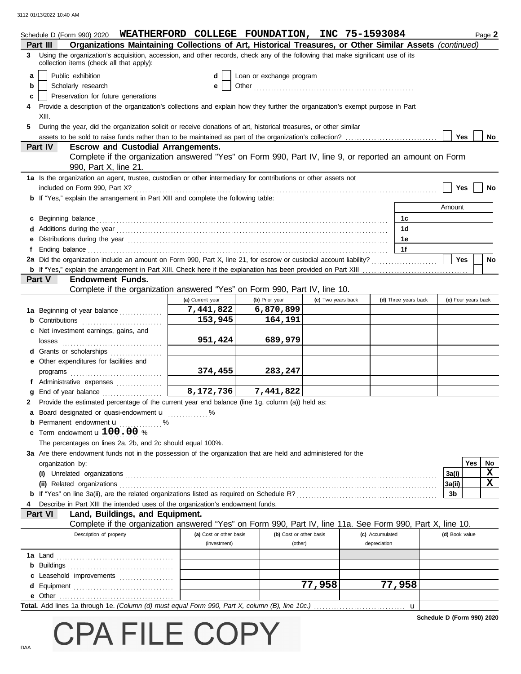|   | Schedule D (Form 990) 2020 WEATHERFORD COLLEGE FOUNDATION, INC 75-1593084                                                                                                                                                      |                         |                          |                    |                 |                      | Page 2                |
|---|--------------------------------------------------------------------------------------------------------------------------------------------------------------------------------------------------------------------------------|-------------------------|--------------------------|--------------------|-----------------|----------------------|-----------------------|
|   | Organizations Maintaining Collections of Art, Historical Treasures, or Other Similar Assets (continued)<br>Part III                                                                                                            |                         |                          |                    |                 |                      |                       |
|   | 3 Using the organization's acquisition, accession, and other records, check any of the following that make significant use of its<br>collection items (check all that apply):                                                  |                         |                          |                    |                 |                      |                       |
| a | Public exhibition                                                                                                                                                                                                              | d                       | Loan or exchange program |                    |                 |                      |                       |
| b | Scholarly research                                                                                                                                                                                                             | е                       |                          |                    |                 |                      |                       |
| с | Preservation for future generations                                                                                                                                                                                            |                         |                          |                    |                 |                      |                       |
|   | Provide a description of the organization's collections and explain how they further the organization's exempt purpose in Part                                                                                                 |                         |                          |                    |                 |                      |                       |
|   | XIII.                                                                                                                                                                                                                          |                         |                          |                    |                 |                      |                       |
| 5 |                                                                                                                                                                                                                                |                         |                          |                    |                 |                      |                       |
|   | During the year, did the organization solicit or receive donations of art, historical treasures, or other similar                                                                                                              |                         |                          |                    |                 |                      | <b>Yes</b><br>No      |
|   | Part IV<br><b>Escrow and Custodial Arrangements.</b>                                                                                                                                                                           |                         |                          |                    |                 |                      |                       |
|   |                                                                                                                                                                                                                                |                         |                          |                    |                 |                      |                       |
|   | Complete if the organization answered "Yes" on Form 990, Part IV, line 9, or reported an amount on Form                                                                                                                        |                         |                          |                    |                 |                      |                       |
|   | 990, Part X, line 21.                                                                                                                                                                                                          |                         |                          |                    |                 |                      |                       |
|   | 1a Is the organization an agent, trustee, custodian or other intermediary for contributions or other assets not                                                                                                                |                         |                          |                    |                 |                      |                       |
|   |                                                                                                                                                                                                                                |                         |                          |                    |                 |                      | <b>Yes</b><br>No      |
|   | <b>b</b> If "Yes," explain the arrangement in Part XIII and complete the following table:                                                                                                                                      |                         |                          |                    |                 |                      |                       |
|   |                                                                                                                                                                                                                                |                         |                          |                    |                 |                      | Amount                |
|   | c Beginning balance                                                                                                                                                                                                            |                         |                          |                    |                 | 1c                   |                       |
|   |                                                                                                                                                                                                                                |                         |                          |                    |                 | 1d                   |                       |
|   |                                                                                                                                                                                                                                |                         |                          |                    |                 | 1е                   |                       |
|   | Ending balance contains and account of the contact of the contact of the contact of the contact of the contact of the contact of the contact of the contact of the contact of the contact of the contact of the contact of the |                         |                          |                    |                 | 1f                   |                       |
|   | 2a Did the organization include an amount on Form 990, Part X, line 21, for escrow or custodial account liability?                                                                                                             |                         |                          |                    |                 |                      | <b>Yes</b><br>No      |
|   |                                                                                                                                                                                                                                |                         |                          |                    |                 |                      |                       |
|   | Part V<br><b>Endowment Funds.</b>                                                                                                                                                                                              |                         |                          |                    |                 |                      |                       |
|   | Complete if the organization answered "Yes" on Form 990, Part IV, line 10.                                                                                                                                                     |                         |                          |                    |                 |                      |                       |
|   |                                                                                                                                                                                                                                | (a) Current year        | (b) Prior year           | (c) Two years back |                 | (d) Three years back | (e) Four years back   |
|   | 1a Beginning of year balance                                                                                                                                                                                                   | 7,441,822               | 6,870,899                |                    |                 |                      |                       |
|   | <b>b</b> Contributions <b>contributions</b>                                                                                                                                                                                    | 153,945                 | 164,191                  |                    |                 |                      |                       |
|   | c Net investment earnings, gains, and                                                                                                                                                                                          |                         |                          |                    |                 |                      |                       |
|   | losses                                                                                                                                                                                                                         | 951,424                 | 689,979                  |                    |                 |                      |                       |
|   | d Grants or scholarships<br><u> 1999 - Alexandr Alexandr Alexandr Alexandr Alexandr Alexandr Alexandr Alexandr Alexandr Alexandr Alexandr Alex</u>                                                                             |                         |                          |                    |                 |                      |                       |
|   | e Other expenditures for facilities and                                                                                                                                                                                        |                         |                          |                    |                 |                      |                       |
|   |                                                                                                                                                                                                                                | 374,455                 | 283,247                  |                    |                 |                      |                       |
|   | f Administrative expenses                                                                                                                                                                                                      |                         |                          |                    |                 |                      |                       |
|   | g End of year balance                                                                                                                                                                                                          | 8,172,736               | 7,441,822                |                    |                 |                      |                       |
|   | 2 Provide the estimated percentage of the current year end balance (line 1g, column (a)) held as:                                                                                                                              |                         |                          |                    |                 |                      |                       |
|   | Board designated or quasi-endowment u %                                                                                                                                                                                        |                         |                          |                    |                 |                      |                       |
|   | <b>b</b> Permanent endowment <b>u</b>                                                                                                                                                                                          |                         |                          |                    |                 |                      |                       |
|   | c Term endowment $u$ 100.00 %                                                                                                                                                                                                  |                         |                          |                    |                 |                      |                       |
|   | The percentages on lines 2a, 2b, and 2c should equal 100%.                                                                                                                                                                     |                         |                          |                    |                 |                      |                       |
|   | 3a Are there endowment funds not in the possession of the organization that are held and administered for the                                                                                                                  |                         |                          |                    |                 |                      |                       |
|   | organization by:                                                                                                                                                                                                               |                         |                          |                    |                 |                      | Yes<br>No             |
|   |                                                                                                                                                                                                                                |                         |                          |                    |                 |                      | X<br>3a(i)            |
|   |                                                                                                                                                                                                                                |                         |                          |                    |                 |                      | $\mathbf x$<br>3a(ii) |
|   |                                                                                                                                                                                                                                |                         |                          |                    |                 |                      | 3b                    |
|   | Describe in Part XIII the intended uses of the organization's endowment funds.                                                                                                                                                 |                         |                          |                    |                 |                      |                       |
|   | Part VI<br>Land, Buildings, and Equipment.                                                                                                                                                                                     |                         |                          |                    |                 |                      |                       |
|   | Complete if the organization answered "Yes" on Form 990, Part IV, line 11a. See Form 990, Part X, line 10.                                                                                                                     |                         |                          |                    |                 |                      |                       |
|   | Description of property                                                                                                                                                                                                        | (a) Cost or other basis | (b) Cost or other basis  |                    | (c) Accumulated |                      | (d) Book value        |
|   |                                                                                                                                                                                                                                | (investment)            | (other)                  |                    | depreciation    |                      |                       |
|   | <b>1a</b> Land                                                                                                                                                                                                                 |                         |                          |                    |                 |                      |                       |
|   |                                                                                                                                                                                                                                |                         |                          |                    |                 |                      |                       |
|   | c Leasehold improvements                                                                                                                                                                                                       |                         |                          |                    |                 |                      |                       |
|   |                                                                                                                                                                                                                                |                         |                          | 77,958             |                 | 77,958               |                       |
|   |                                                                                                                                                                                                                                |                         |                          |                    |                 |                      |                       |
|   | Total. Add lines 1a through 1e. (Column (d) must equal Form 990, Part X, column (B), line 10c.)                                                                                                                                |                         |                          |                    |                 | u                    |                       |
|   |                                                                                                                                                                                                                                |                         |                          |                    |                 |                      |                       |

## CPA FILE COPY

DAA

**Schedule D (Form 990) 2020**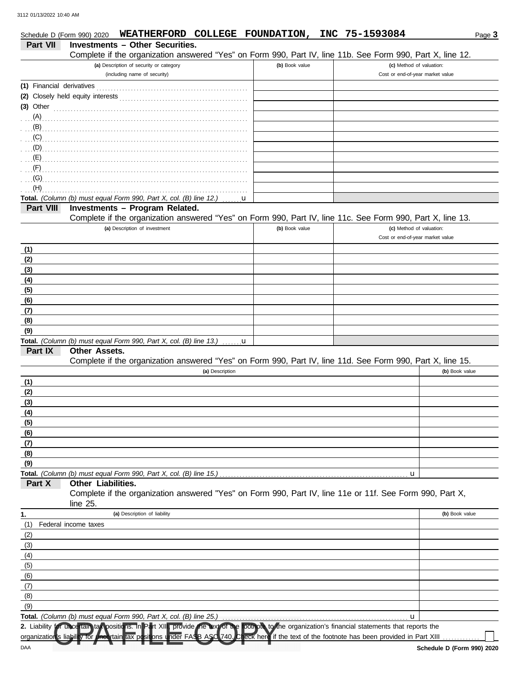DAA

|                           | WEATHERFORD COLLEGE FOUNDATION,<br>Schedule D (Form 990) 2020                                                                                        |                | INC 75-1593084                                                      | Page 3         |
|---------------------------|------------------------------------------------------------------------------------------------------------------------------------------------------|----------------|---------------------------------------------------------------------|----------------|
| <b>Part VII</b>           | <b>Investments - Other Securities.</b><br>Complete if the organization answered "Yes" on Form 990, Part IV, line 11b. See Form 990, Part X, line 12. |                |                                                                     |                |
|                           | (a) Description of security or category                                                                                                              | (b) Book value | (c) Method of valuation:                                            |                |
|                           | (including name of security)                                                                                                                         |                | Cost or end-of-year market value                                    |                |
| (1) Financial derivatives |                                                                                                                                                      |                |                                                                     |                |
|                           |                                                                                                                                                      |                |                                                                     |                |
| $(3)$ Other               |                                                                                                                                                      |                |                                                                     |                |
| $(A)$ .                   |                                                                                                                                                      |                |                                                                     |                |
|                           |                                                                                                                                                      |                |                                                                     |                |
| (C)                       |                                                                                                                                                      |                |                                                                     |                |
| $(D)$ .                   |                                                                                                                                                      |                |                                                                     |                |
| (E)                       |                                                                                                                                                      |                |                                                                     |                |
| (F)                       |                                                                                                                                                      |                |                                                                     |                |
| (G)                       |                                                                                                                                                      |                |                                                                     |                |
| (H)                       | Total. (Column (b) must equal Form 990, Part X, col. (B) line 12.) $\ldots$ u                                                                        |                |                                                                     |                |
| Part VIII                 | <b>Investments - Program Related.</b>                                                                                                                |                |                                                                     |                |
|                           | Complete if the organization answered "Yes" on Form 990, Part IV, line 11c. See Form 990, Part X, line 13.                                           |                |                                                                     |                |
|                           | (a) Description of investment                                                                                                                        | (b) Book value | (c) Method of valuation:                                            |                |
|                           |                                                                                                                                                      |                | Cost or end-of-year market value                                    |                |
| (1)                       |                                                                                                                                                      |                |                                                                     |                |
| (2)                       |                                                                                                                                                      |                |                                                                     |                |
| (3)                       |                                                                                                                                                      |                |                                                                     |                |
| (4)                       |                                                                                                                                                      |                |                                                                     |                |
| (5)                       |                                                                                                                                                      |                |                                                                     |                |
| (6)                       |                                                                                                                                                      |                |                                                                     |                |
| (7)                       |                                                                                                                                                      |                |                                                                     |                |
| (8)                       |                                                                                                                                                      |                |                                                                     |                |
| (9)                       |                                                                                                                                                      |                |                                                                     |                |
| Part IX                   | Total. (Column (b) must equal Form 990, Part X, col. (B) line 13.)<br>$\mathbf{u}$<br>Other Assets.                                                  |                |                                                                     |                |
|                           | Complete if the organization answered "Yes" on Form 990, Part IV, line 11d. See Form 990, Part X, line 15.                                           |                |                                                                     |                |
|                           | (a) Description                                                                                                                                      |                |                                                                     | (b) Book value |
| (1)                       |                                                                                                                                                      |                |                                                                     |                |
| (2)                       |                                                                                                                                                      |                |                                                                     |                |
| (3)                       |                                                                                                                                                      |                |                                                                     |                |
| (4)                       |                                                                                                                                                      |                |                                                                     |                |
| (5)                       |                                                                                                                                                      |                |                                                                     |                |
| (6)                       |                                                                                                                                                      |                |                                                                     |                |
| (7)                       |                                                                                                                                                      |                |                                                                     |                |
| (8)                       |                                                                                                                                                      |                |                                                                     |                |
| (9)                       |                                                                                                                                                      |                |                                                                     |                |
|                           | Total. (Column (b) must equal Form 990, Part X, col. (B) line 15.)                                                                                   |                | u                                                                   |                |
| Part X                    | Other Liabilities.                                                                                                                                   |                |                                                                     |                |
|                           | Complete if the organization answered "Yes" on Form 990, Part IV, line 11e or 11f. See Form 990, Part X,<br>line $25$ .                              |                |                                                                     |                |
| 1.                        | (a) Description of liability                                                                                                                         |                |                                                                     | (b) Book value |
| (1)                       | Federal income taxes                                                                                                                                 |                |                                                                     |                |
| (2)                       |                                                                                                                                                      |                |                                                                     |                |
| (3)                       |                                                                                                                                                      |                |                                                                     |                |
| (4)                       |                                                                                                                                                      |                |                                                                     |                |
| (5)                       |                                                                                                                                                      |                |                                                                     |                |
| (6)                       |                                                                                                                                                      |                |                                                                     |                |
| (7)                       |                                                                                                                                                      |                |                                                                     |                |
| (8)                       |                                                                                                                                                      |                |                                                                     |                |
| (9)                       |                                                                                                                                                      |                |                                                                     |                |
|                           | Total. (Column (b) must equal Form 990, Part X, col. (B) line 25.)                                                                                   |                | u                                                                   |                |
|                           | 2. Liability for unce tain tax positions. In Part XIII provide the exi of the poti pic to the organization's financial statements that reports the   |                |                                                                     |                |
|                           | organization's liability for <i>uncertain</i> tax positions under FASB ASO<br>740.                                                                   |                | eck here if the text of the footnote has been provided in Part XIII |                |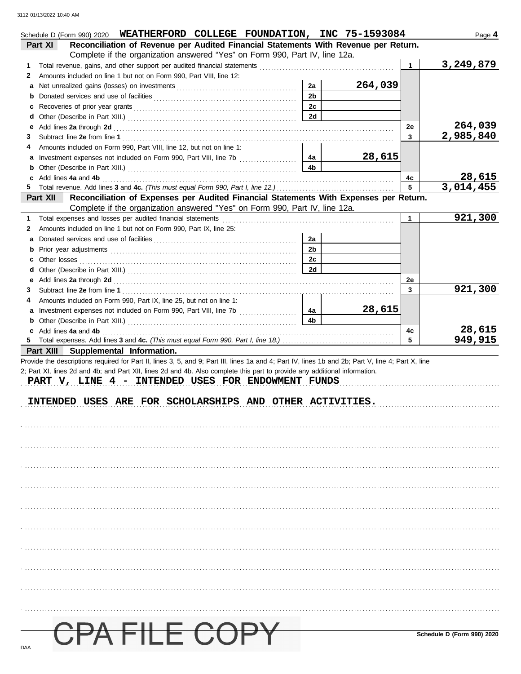|              | Schedule D (Form 990) 2020 WEATHERFORD COLLEGE FOUNDATION, INC 75-1593084                                                                                                                                                                |                |         |              | Page 4                     |
|--------------|------------------------------------------------------------------------------------------------------------------------------------------------------------------------------------------------------------------------------------------|----------------|---------|--------------|----------------------------|
|              | Reconciliation of Revenue per Audited Financial Statements With Revenue per Return.<br>Part XI                                                                                                                                           |                |         |              |                            |
|              | Complete if the organization answered "Yes" on Form 990, Part IV, line 12a.                                                                                                                                                              |                |         |              |                            |
| 1            |                                                                                                                                                                                                                                          |                |         | $\mathbf{1}$ | 3,249,879                  |
| $\mathbf{2}$ | Amounts included on line 1 but not on Form 990, Part VIII, line 12:                                                                                                                                                                      |                |         |              |                            |
| a            |                                                                                                                                                                                                                                          | 2a             | 264,039 |              |                            |
| b            |                                                                                                                                                                                                                                          | 2 <sub>b</sub> |         |              |                            |
| c            |                                                                                                                                                                                                                                          | 2c             |         |              |                            |
| d            |                                                                                                                                                                                                                                          | 2d             |         |              | 264,039                    |
| е<br>3       | Add lines 2a through 2d [11] March 2014 [12] March 2014 [12] March 2014 [12] March 2014 [12] March 2014 [12] March 2014 [12] March 2014 [12] March 2014 [12] March 2014 [12] March 2014 [12] March 2014 [12] March 2014 [12] M           |                |         | 2е<br>3      | 2,985,840                  |
| 4            | Amounts included on Form 990, Part VIII, line 12, but not on line 1:                                                                                                                                                                     |                |         |              |                            |
| a            |                                                                                                                                                                                                                                          | 4a             | 28,615  |              |                            |
| b            |                                                                                                                                                                                                                                          | 4b             |         |              |                            |
| c            | Add lines 4a and 4b                                                                                                                                                                                                                      |                |         | 4c           | 28,615                     |
|              |                                                                                                                                                                                                                                          |                |         | 5            | 3,014,455                  |
|              | Reconciliation of Expenses per Audited Financial Statements With Expenses per Return.<br>Part XII                                                                                                                                        |                |         |              |                            |
|              | Complete if the organization answered "Yes" on Form 990, Part IV, line 12a.                                                                                                                                                              |                |         |              |                            |
| 1            |                                                                                                                                                                                                                                          |                |         | 1            | 921,300                    |
| 2            | Amounts included on line 1 but not on Form 990, Part IX, line 25:                                                                                                                                                                        |                |         |              |                            |
| a            |                                                                                                                                                                                                                                          | 2a             |         |              |                            |
| b            |                                                                                                                                                                                                                                          | 2b             |         |              |                            |
| С            |                                                                                                                                                                                                                                          | 2c             |         |              |                            |
| d            |                                                                                                                                                                                                                                          | 2d             |         |              |                            |
| е            | Add lines 2a through 2d [11] March 2014 [12] March 2014 [12] March 2014 [12] March 2014 [12] March 2014 [12] March 2014 [12] March 2014 [12] March 2014 [12] March 2014 [12] March 2014 [12] March 2014 [12] March 2014 [12] M           |                |         | 2e           |                            |
| 3            |                                                                                                                                                                                                                                          |                |         | 3            | 921,300                    |
| 4            | Amounts included on Form 990, Part IX, line 25, but not on line 1:                                                                                                                                                                       |                |         |              |                            |
|              |                                                                                                                                                                                                                                          | 4a             | 28,615  |              |                            |
|              | <b>b</b> Other (Describe in Part XIII.) <b>CONSIDENT</b> 2014 12:00 12:00 12:00 12:00 12:00 12:00 12:00 12:00 12:00 12:00 12:00 12:00 12:00 12:00 12:00 12:00 12:00 12:00 12:00 12:00 12:00 12:00 12:00 12:00 12:00 12:00 12:00 12:00 12 | 4b             |         |              |                            |
|              |                                                                                                                                                                                                                                          |                |         |              |                            |
|              | c Add lines 4a and 4b                                                                                                                                                                                                                    |                |         | 4с           | 28,615                     |
|              |                                                                                                                                                                                                                                          |                |         | 5            | 949,915                    |
|              | Part XIII Supplemental Information.                                                                                                                                                                                                      |                |         |              |                            |
|              | Provide the descriptions required for Part II, lines 3, 5, and 9; Part III, lines 1a and 4; Part IV, lines 1b and 2b; Part V, line 4; Part X, line                                                                                       |                |         |              |                            |
|              | 2; Part XI, lines 2d and 4b; and Part XII, lines 2d and 4b. Also complete this part to provide any additional information.                                                                                                               |                |         |              |                            |
|              | PART V, LINE 4 - INTENDED USES FOR ENDOWMENT FUNDS                                                                                                                                                                                       |                |         |              |                            |
|              |                                                                                                                                                                                                                                          |                |         |              |                            |
|              | INTENDED USES ARE FOR SCHOLARSHIPS AND OTHER ACTIVITIES.                                                                                                                                                                                 |                |         |              |                            |
|              |                                                                                                                                                                                                                                          |                |         |              |                            |
|              |                                                                                                                                                                                                                                          |                |         |              |                            |
|              |                                                                                                                                                                                                                                          |                |         |              |                            |
|              |                                                                                                                                                                                                                                          |                |         |              |                            |
|              |                                                                                                                                                                                                                                          |                |         |              |                            |
|              |                                                                                                                                                                                                                                          |                |         |              |                            |
|              |                                                                                                                                                                                                                                          |                |         |              |                            |
|              |                                                                                                                                                                                                                                          |                |         |              |                            |
|              |                                                                                                                                                                                                                                          |                |         |              |                            |
|              |                                                                                                                                                                                                                                          |                |         |              |                            |
|              |                                                                                                                                                                                                                                          |                |         |              |                            |
|              |                                                                                                                                                                                                                                          |                |         |              |                            |
|              |                                                                                                                                                                                                                                          |                |         |              |                            |
|              |                                                                                                                                                                                                                                          |                |         |              |                            |
|              |                                                                                                                                                                                                                                          |                |         |              |                            |
|              |                                                                                                                                                                                                                                          |                |         |              |                            |
|              |                                                                                                                                                                                                                                          |                |         |              |                            |
|              |                                                                                                                                                                                                                                          |                |         |              |                            |
|              |                                                                                                                                                                                                                                          |                |         |              |                            |
|              |                                                                                                                                                                                                                                          |                |         |              |                            |
|              |                                                                                                                                                                                                                                          |                |         |              |                            |
|              | <del>PA FILE COPY</del>                                                                                                                                                                                                                  |                |         |              | Schedule D (Form 990) 2020 |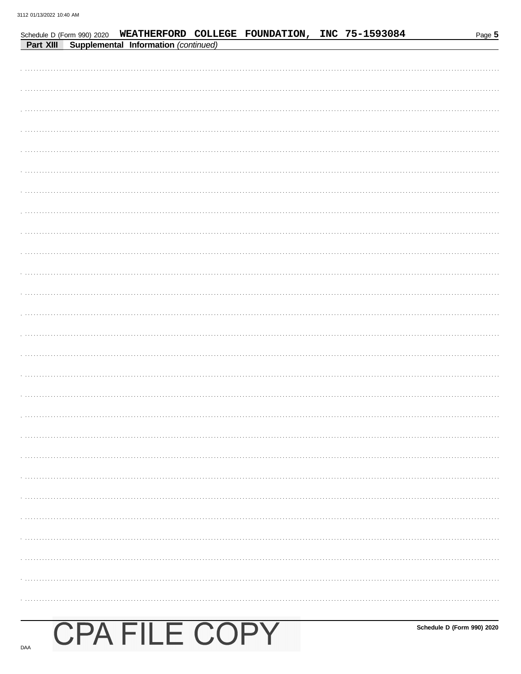|  |                                                       | Schedule D (Form 990) 2020 WEATHERFORD COLLEGE FOUNDATION, INC 75-1593084 |  | Page $5$ |
|--|-------------------------------------------------------|---------------------------------------------------------------------------|--|----------|
|  | <b>Part XIII Supplemental Information (continued)</b> |                                                                           |  |          |
|  |                                                       |                                                                           |  |          |
|  |                                                       |                                                                           |  |          |
|  |                                                       |                                                                           |  |          |
|  |                                                       |                                                                           |  |          |
|  |                                                       |                                                                           |  |          |
|  |                                                       |                                                                           |  |          |
|  |                                                       |                                                                           |  |          |
|  |                                                       |                                                                           |  |          |
|  |                                                       |                                                                           |  |          |
|  |                                                       |                                                                           |  |          |
|  |                                                       |                                                                           |  |          |
|  |                                                       |                                                                           |  |          |
|  |                                                       |                                                                           |  |          |
|  |                                                       |                                                                           |  |          |
|  |                                                       |                                                                           |  |          |
|  |                                                       |                                                                           |  |          |
|  |                                                       |                                                                           |  |          |
|  |                                                       |                                                                           |  |          |
|  |                                                       |                                                                           |  |          |
|  |                                                       |                                                                           |  |          |
|  |                                                       |                                                                           |  |          |
|  |                                                       |                                                                           |  |          |
|  |                                                       |                                                                           |  |          |
|  |                                                       |                                                                           |  |          |
|  |                                                       |                                                                           |  |          |
|  |                                                       |                                                                           |  |          |
|  |                                                       |                                                                           |  |          |
|  |                                                       |                                                                           |  |          |
|  |                                                       |                                                                           |  |          |
|  |                                                       |                                                                           |  |          |
|  |                                                       |                                                                           |  |          |
|  |                                                       |                                                                           |  |          |
|  |                                                       |                                                                           |  |          |
|  |                                                       |                                                                           |  |          |
|  |                                                       |                                                                           |  |          |
|  |                                                       |                                                                           |  |          |
|  |                                                       |                                                                           |  |          |
|  |                                                       |                                                                           |  |          |
|  |                                                       |                                                                           |  |          |
|  |                                                       |                                                                           |  |          |
|  |                                                       |                                                                           |  |          |
|  |                                                       |                                                                           |  |          |
|  |                                                       |                                                                           |  |          |
|  |                                                       |                                                                           |  |          |
|  |                                                       |                                                                           |  |          |
|  |                                                       |                                                                           |  |          |
|  |                                                       |                                                                           |  |          |
|  |                                                       |                                                                           |  |          |
|  |                                                       |                                                                           |  |          |
|  |                                                       |                                                                           |  |          |
|  |                                                       |                                                                           |  |          |
|  |                                                       |                                                                           |  |          |
|  |                                                       |                                                                           |  |          |
|  |                                                       |                                                                           |  |          |
|  |                                                       |                                                                           |  |          |
|  |                                                       |                                                                           |  |          |
|  |                                                       |                                                                           |  |          |
|  |                                                       |                                                                           |  |          |

# **CPA FILE COPY**

DAA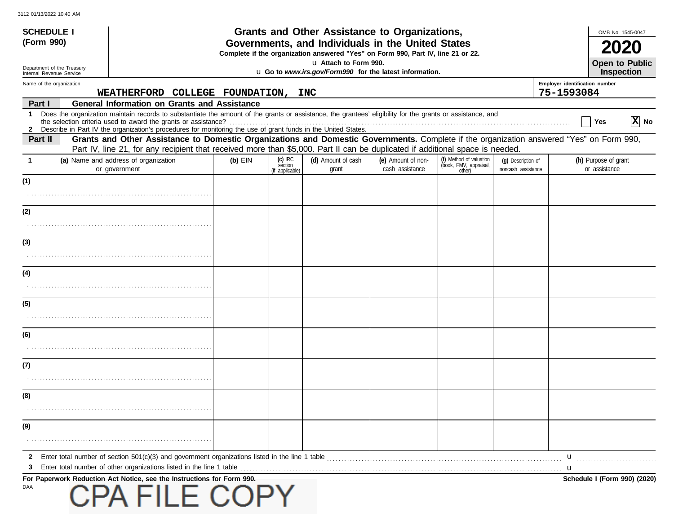| <b>SCHEDULE I</b>          |                                                                                                                                                                           |           |                      | Grants and Other Assistance to Organizations,                                                                                         |                    |                                                   |                    |                                              | OMB No. 1545-0047            |                   |
|----------------------------|---------------------------------------------------------------------------------------------------------------------------------------------------------------------------|-----------|----------------------|---------------------------------------------------------------------------------------------------------------------------------------|--------------------|---------------------------------------------------|--------------------|----------------------------------------------|------------------------------|-------------------|
| (Form 990)                 |                                                                                                                                                                           |           |                      | Governments, and Individuals in the United States<br>Complete if the organization answered "Yes" on Form 990, Part IV, line 21 or 22. |                    |                                                   |                    |                                              |                              |                   |
| Department of the Treasury |                                                                                                                                                                           |           |                      | La Attach to Form 990.                                                                                                                |                    |                                                   |                    |                                              | <b>Open to Public</b>        |                   |
| Internal Revenue Service   |                                                                                                                                                                           |           |                      | u Go to www.irs.gov/Form990 for the latest information.                                                                               |                    |                                                   |                    |                                              | Inspection                   |                   |
| Name of the organization   | WEATHERFORD COLLEGE FOUNDATION,                                                                                                                                           |           |                      | <b>INC</b>                                                                                                                            |                    |                                                   |                    | Employer identification number<br>75-1593084 |                              |                   |
| Part I                     | <b>General Information on Grants and Assistance</b>                                                                                                                       |           |                      |                                                                                                                                       |                    |                                                   |                    |                                              |                              |                   |
| 1                          | Does the organization maintain records to substantiate the amount of the grants or assistance, the grantees' eligibility for the grants or assistance, and                |           |                      |                                                                                                                                       |                    |                                                   |                    |                                              |                              |                   |
|                            | 2 Describe in Part IV the organization's procedures for monitoring the use of grant funds in the United States.                                                           |           |                      |                                                                                                                                       |                    |                                                   |                    |                                              | Yes                          | $ \mathbf{X} $ No |
| Part II                    | Grants and Other Assistance to Domestic Organizations and Domestic Governments. Complete if the organization answered "Yes" on Form 990,                                  |           |                      |                                                                                                                                       |                    |                                                   |                    |                                              |                              |                   |
|                            | Part IV, line 21, for any recipient that received more than \$5,000. Part II can be duplicated if additional space is needed.                                             |           |                      |                                                                                                                                       |                    |                                                   |                    |                                              |                              |                   |
| -1                         | (a) Name and address of organization                                                                                                                                      | $(b)$ EIN | $(c)$ IRC<br>section | (d) Amount of cash                                                                                                                    | (e) Amount of non- | (f) Method of valuation<br>(book, FMV, appraisal, | (q) Description of |                                              | (h) Purpose of grant         |                   |
|                            | or government                                                                                                                                                             |           | (if applicable)      | grant                                                                                                                                 | cash assistance    | other)                                            | noncash assistance |                                              | or assistance                |                   |
| (1)                        |                                                                                                                                                                           |           |                      |                                                                                                                                       |                    |                                                   |                    |                                              |                              |                   |
|                            |                                                                                                                                                                           |           |                      |                                                                                                                                       |                    |                                                   |                    |                                              |                              |                   |
| (2)                        |                                                                                                                                                                           |           |                      |                                                                                                                                       |                    |                                                   |                    |                                              |                              |                   |
|                            |                                                                                                                                                                           |           |                      |                                                                                                                                       |                    |                                                   |                    |                                              |                              |                   |
|                            |                                                                                                                                                                           |           |                      |                                                                                                                                       |                    |                                                   |                    |                                              |                              |                   |
| (3)                        |                                                                                                                                                                           |           |                      |                                                                                                                                       |                    |                                                   |                    |                                              |                              |                   |
|                            |                                                                                                                                                                           |           |                      |                                                                                                                                       |                    |                                                   |                    |                                              |                              |                   |
| (4)                        |                                                                                                                                                                           |           |                      |                                                                                                                                       |                    |                                                   |                    |                                              |                              |                   |
|                            |                                                                                                                                                                           |           |                      |                                                                                                                                       |                    |                                                   |                    |                                              |                              |                   |
| (5)                        |                                                                                                                                                                           |           |                      |                                                                                                                                       |                    |                                                   |                    |                                              |                              |                   |
|                            |                                                                                                                                                                           |           |                      |                                                                                                                                       |                    |                                                   |                    |                                              |                              |                   |
|                            |                                                                                                                                                                           |           |                      |                                                                                                                                       |                    |                                                   |                    |                                              |                              |                   |
| (6)                        |                                                                                                                                                                           |           |                      |                                                                                                                                       |                    |                                                   |                    |                                              |                              |                   |
|                            |                                                                                                                                                                           |           |                      |                                                                                                                                       |                    |                                                   |                    |                                              |                              |                   |
| (7)                        |                                                                                                                                                                           |           |                      |                                                                                                                                       |                    |                                                   |                    |                                              |                              |                   |
|                            |                                                                                                                                                                           |           |                      |                                                                                                                                       |                    |                                                   |                    |                                              |                              |                   |
|                            |                                                                                                                                                                           |           |                      |                                                                                                                                       |                    |                                                   |                    |                                              |                              |                   |
| (8)                        |                                                                                                                                                                           |           |                      |                                                                                                                                       |                    |                                                   |                    |                                              |                              |                   |
|                            |                                                                                                                                                                           |           |                      |                                                                                                                                       |                    |                                                   |                    |                                              |                              |                   |
| (9)                        |                                                                                                                                                                           |           |                      |                                                                                                                                       |                    |                                                   |                    |                                              |                              |                   |
|                            |                                                                                                                                                                           |           |                      |                                                                                                                                       |                    |                                                   |                    |                                              |                              |                   |
|                            |                                                                                                                                                                           |           |                      |                                                                                                                                       |                    |                                                   |                    |                                              |                              |                   |
| $\mathbf{2}$<br>3          | Enter total number of section $501(c)(3)$ and government organizations listed in the line 1 table<br>Enter total number of other organizations listed in the line 1 table |           |                      |                                                                                                                                       |                    |                                                   |                    | u                                            |                              |                   |
|                            | For Paperwork Reduction Act Notice, see the Instructions for Form 990.                                                                                                    |           |                      |                                                                                                                                       |                    |                                                   |                    | $\ldots$ u                                   |                              |                   |
| DAA                        | CPA FILE COPY                                                                                                                                                             |           |                      |                                                                                                                                       |                    |                                                   |                    |                                              | Schedule I (Form 990) (2020) |                   |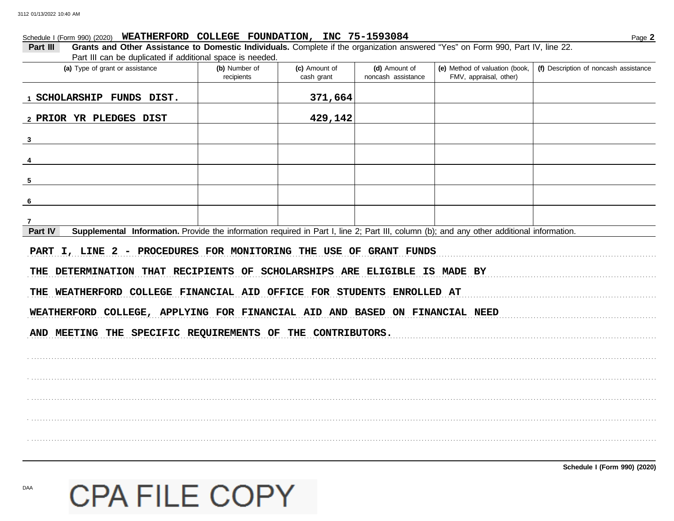#### Schedule I (Form 990) (2020) WEATHERFORD COLLEGE FOUNDATION, INC 75-1593084

Grants and Other Assistance to Domestic Individuals. Complete if the organization answered "Yes" on Form 990, Part IV, line 22. Part III Part III can be duplicated if additional space is needed

| <b>I all ill carl be duplicated if additional space is hecaca.</b><br>(a) Type of grant or assistance                                                                                                                                                                                                  | (b) Number of<br>recipients | (c) Amount of<br>cash grant | (d) Amount of<br>noncash assistance | (e) Method of valuation (book,<br>FMV, appraisal, other) | (f) Description of noncash assistance |
|--------------------------------------------------------------------------------------------------------------------------------------------------------------------------------------------------------------------------------------------------------------------------------------------------------|-----------------------------|-----------------------------|-------------------------------------|----------------------------------------------------------|---------------------------------------|
| 1 SCHOLARSHIP FUNDS DIST.                                                                                                                                                                                                                                                                              |                             | 371,664                     |                                     |                                                          |                                       |
| 2 PRIOR YR PLEDGES DIST                                                                                                                                                                                                                                                                                |                             | 429,142                     |                                     |                                                          |                                       |
| $\frac{3}{2}$                                                                                                                                                                                                                                                                                          |                             |                             |                                     |                                                          |                                       |
|                                                                                                                                                                                                                                                                                                        |                             |                             |                                     |                                                          |                                       |
|                                                                                                                                                                                                                                                                                                        |                             |                             |                                     |                                                          |                                       |
| 6                                                                                                                                                                                                                                                                                                      |                             |                             |                                     |                                                          |                                       |
|                                                                                                                                                                                                                                                                                                        |                             |                             |                                     |                                                          |                                       |
| Supplemental Information. Provide the information required in Part I, line 2; Part III, column (b); and any other additional information.<br>Part IV                                                                                                                                                   |                             |                             |                                     |                                                          |                                       |
| PART I, LINE 2 - PROCEDURES FOR MONITORING THE USE OF GRANT FUNDS<br>THE DETERMINATION THAT RECIPIENTS OF SCHOLARSHIPS ARE ELIGIBLE IS MADE BY<br>THE WEATHERFORD COLLEGE FINANCIAL AID OFFICE FOR STUDENTS ENROLLED AT<br>WEATHERFORD COLLEGE, APPLYING FOR FINANCIAL AID AND BASED ON FINANCIAL NEED |                             |                             |                                     |                                                          |                                       |
| AND MEETING THE SPECIFIC REQUIREMENTS OF THE CONTRIBUTORS.                                                                                                                                                                                                                                             |                             |                             |                                     |                                                          |                                       |
|                                                                                                                                                                                                                                                                                                        |                             |                             |                                     |                                                          |                                       |
|                                                                                                                                                                                                                                                                                                        |                             |                             |                                     |                                                          |                                       |
|                                                                                                                                                                                                                                                                                                        |                             |                             |                                     |                                                          |                                       |
|                                                                                                                                                                                                                                                                                                        |                             |                             |                                     |                                                          |                                       |
|                                                                                                                                                                                                                                                                                                        |                             |                             |                                     |                                                          |                                       |
|                                                                                                                                                                                                                                                                                                        |                             |                             |                                     |                                                          | Schedule I (Form 990) (2020)          |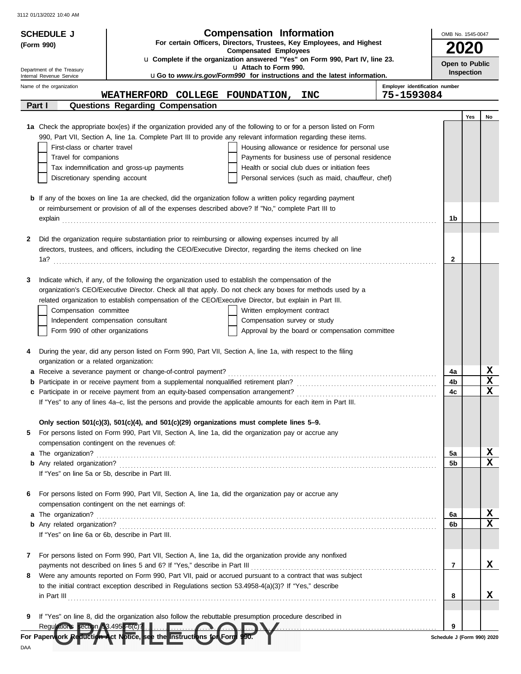| OMB No. 1545-0047<br>For certain Officers, Directors, Trustees, Key Employees, and Highest<br>(Form 990)<br><b>2020</b><br><b>Compensated Employees</b><br>u Complete if the organization answered "Yes" on Form 990, Part IV, line 23.<br>Open to Public<br>u Attach to Form 990.<br>Department of the Treasury<br><b>Inspection</b><br><b>uGo to www.irs.gov/Form990 for instructions and the latest information.</b><br>Internal Revenue Service<br>Employer identification number<br>Name of the organization<br>75-1593084<br>WEATHERFORD COLLEGE FOUNDATION,<br><b>INC</b><br>Part I<br>Questions Regarding Compensation<br>Yes<br>No<br>1a Check the appropriate box(es) if the organization provided any of the following to or for a person listed on Form<br>990, Part VII, Section A, line 1a. Complete Part III to provide any relevant information regarding these items.<br>First-class or charter travel<br>Housing allowance or residence for personal use<br>Travel for companions<br>Payments for business use of personal residence<br>Tax indemnification and gross-up payments<br>Health or social club dues or initiation fees<br>Discretionary spending account<br>Personal services (such as maid, chauffeur, chef)<br><b>b</b> If any of the boxes on line 1a are checked, did the organization follow a written policy regarding payment<br>or reimbursement or provision of all of the expenses described above? If "No," complete Part III to<br>1b<br>Did the organization require substantiation prior to reimbursing or allowing expenses incurred by all<br>2<br>directors, trustees, and officers, including the CEO/Executive Director, regarding the items checked on line<br>2<br>Indicate which, if any, of the following the organization used to establish the compensation of the<br>3<br>organization's CEO/Executive Director. Check all that apply. Do not check any boxes for methods used by a<br>related organization to establish compensation of the CEO/Executive Director, but explain in Part III.<br>Compensation committee<br>Written employment contract<br>Independent compensation consultant<br>Compensation survey or study<br>Form 990 of other organizations<br>Approval by the board or compensation committee<br>During the year, did any person listed on Form 990, Part VII, Section A, line 1a, with respect to the filing<br>4<br>organization or a related organization:<br>X<br>a Receive a severance payment or change-of-control payment?<br>4a<br>$\mathbf x$<br>4b<br>$\mathbf x$<br>4c<br>If "Yes" to any of lines 4a-c, list the persons and provide the applicable amounts for each item in Part III.<br>Only section $501(c)(3)$ , $501(c)(4)$ , and $501(c)(29)$ organizations must complete lines $5-9$ .<br>For persons listed on Form 990, Part VII, Section A, line 1a, did the organization pay or accrue any<br>5<br>compensation contingent on the revenues of:<br>x<br>5а<br>X<br>5b<br>If "Yes" on line 5a or 5b, describe in Part III.<br>For persons listed on Form 990, Part VII, Section A, line 1a, did the organization pay or accrue any<br>6<br>compensation contingent on the net earnings of:<br>X<br>6a<br>X<br>6b<br>If "Yes" on line 6a or 6b, describe in Part III.<br>For persons listed on Form 990, Part VII, Section A, line 1a, did the organization provide any nonfixed<br>7<br>X.<br>7<br>Were any amounts reported on Form 990, Part VII, paid or accrued pursuant to a contract that was subject<br>8<br>to the initial contract exception described in Regulations section 53.4958-4(a)(3)? If "Yes," describe<br>x<br>8<br>$\ $ n Part III $\ $<br>If "Yes" on line 8, did the organization also follow the rebuttable presumption procedure described in<br>9<br>Regulations section 53.4958-6(c)?<br>9<br><u> Estados de la contrada de la contrada de la contrada de la contrada de la contrada de la contrada de la contrad</u><br>For Paperwork Reduction Act Notice, see the Instructions for Form<br>Schedule J (Form 990) 2020<br>DAA | <b>SCHEDULE J</b> | <b>Compensation Information</b> |  |  |
|---------------------------------------------------------------------------------------------------------------------------------------------------------------------------------------------------------------------------------------------------------------------------------------------------------------------------------------------------------------------------------------------------------------------------------------------------------------------------------------------------------------------------------------------------------------------------------------------------------------------------------------------------------------------------------------------------------------------------------------------------------------------------------------------------------------------------------------------------------------------------------------------------------------------------------------------------------------------------------------------------------------------------------------------------------------------------------------------------------------------------------------------------------------------------------------------------------------------------------------------------------------------------------------------------------------------------------------------------------------------------------------------------------------------------------------------------------------------------------------------------------------------------------------------------------------------------------------------------------------------------------------------------------------------------------------------------------------------------------------------------------------------------------------------------------------------------------------------------------------------------------------------------------------------------------------------------------------------------------------------------------------------------------------------------------------------------------------------------------------------------------------------------------------------------------------------------------------------------------------------------------------------------------------------------------------------------------------------------------------------------------------------------------------------------------------------------------------------------------------------------------------------------------------------------------------------------------------------------------------------------------------------------------------------------------------------------------------------------------------------------------------------------------------------------------------------------------------------------------------------------------------------------------------------------------------------------------------------------------------------------------------------------------------------------------------------------------------------------------------------------------------------------------------------------------------------------------------------------------------------------------------------------------------------------------------------------------------------------------------------------------------------------------------------------------------------------------------------------------------------------------------------------------------------------------------------------------------------------------------------------------------------------------------------------------------------------------------------------------------------------------------------------------------------------------------------------------------------------------------------------------------------------------------------------------------------------------------------------------------------------------------------------------------------------------------|-------------------|---------------------------------|--|--|
|                                                                                                                                                                                                                                                                                                                                                                                                                                                                                                                                                                                                                                                                                                                                                                                                                                                                                                                                                                                                                                                                                                                                                                                                                                                                                                                                                                                                                                                                                                                                                                                                                                                                                                                                                                                                                                                                                                                                                                                                                                                                                                                                                                                                                                                                                                                                                                                                                                                                                                                                                                                                                                                                                                                                                                                                                                                                                                                                                                                                                                                                                                                                                                                                                                                                                                                                                                                                                                                                                                                                                                                                                                                                                                                                                                                                                                                                                                                                                                                                                                                               |                   |                                 |  |  |
|                                                                                                                                                                                                                                                                                                                                                                                                                                                                                                                                                                                                                                                                                                                                                                                                                                                                                                                                                                                                                                                                                                                                                                                                                                                                                                                                                                                                                                                                                                                                                                                                                                                                                                                                                                                                                                                                                                                                                                                                                                                                                                                                                                                                                                                                                                                                                                                                                                                                                                                                                                                                                                                                                                                                                                                                                                                                                                                                                                                                                                                                                                                                                                                                                                                                                                                                                                                                                                                                                                                                                                                                                                                                                                                                                                                                                                                                                                                                                                                                                                                               |                   |                                 |  |  |
|                                                                                                                                                                                                                                                                                                                                                                                                                                                                                                                                                                                                                                                                                                                                                                                                                                                                                                                                                                                                                                                                                                                                                                                                                                                                                                                                                                                                                                                                                                                                                                                                                                                                                                                                                                                                                                                                                                                                                                                                                                                                                                                                                                                                                                                                                                                                                                                                                                                                                                                                                                                                                                                                                                                                                                                                                                                                                                                                                                                                                                                                                                                                                                                                                                                                                                                                                                                                                                                                                                                                                                                                                                                                                                                                                                                                                                                                                                                                                                                                                                                               |                   |                                 |  |  |
|                                                                                                                                                                                                                                                                                                                                                                                                                                                                                                                                                                                                                                                                                                                                                                                                                                                                                                                                                                                                                                                                                                                                                                                                                                                                                                                                                                                                                                                                                                                                                                                                                                                                                                                                                                                                                                                                                                                                                                                                                                                                                                                                                                                                                                                                                                                                                                                                                                                                                                                                                                                                                                                                                                                                                                                                                                                                                                                                                                                                                                                                                                                                                                                                                                                                                                                                                                                                                                                                                                                                                                                                                                                                                                                                                                                                                                                                                                                                                                                                                                                               |                   |                                 |  |  |
|                                                                                                                                                                                                                                                                                                                                                                                                                                                                                                                                                                                                                                                                                                                                                                                                                                                                                                                                                                                                                                                                                                                                                                                                                                                                                                                                                                                                                                                                                                                                                                                                                                                                                                                                                                                                                                                                                                                                                                                                                                                                                                                                                                                                                                                                                                                                                                                                                                                                                                                                                                                                                                                                                                                                                                                                                                                                                                                                                                                                                                                                                                                                                                                                                                                                                                                                                                                                                                                                                                                                                                                                                                                                                                                                                                                                                                                                                                                                                                                                                                                               |                   |                                 |  |  |
|                                                                                                                                                                                                                                                                                                                                                                                                                                                                                                                                                                                                                                                                                                                                                                                                                                                                                                                                                                                                                                                                                                                                                                                                                                                                                                                                                                                                                                                                                                                                                                                                                                                                                                                                                                                                                                                                                                                                                                                                                                                                                                                                                                                                                                                                                                                                                                                                                                                                                                                                                                                                                                                                                                                                                                                                                                                                                                                                                                                                                                                                                                                                                                                                                                                                                                                                                                                                                                                                                                                                                                                                                                                                                                                                                                                                                                                                                                                                                                                                                                                               |                   |                                 |  |  |
|                                                                                                                                                                                                                                                                                                                                                                                                                                                                                                                                                                                                                                                                                                                                                                                                                                                                                                                                                                                                                                                                                                                                                                                                                                                                                                                                                                                                                                                                                                                                                                                                                                                                                                                                                                                                                                                                                                                                                                                                                                                                                                                                                                                                                                                                                                                                                                                                                                                                                                                                                                                                                                                                                                                                                                                                                                                                                                                                                                                                                                                                                                                                                                                                                                                                                                                                                                                                                                                                                                                                                                                                                                                                                                                                                                                                                                                                                                                                                                                                                                                               |                   |                                 |  |  |
|                                                                                                                                                                                                                                                                                                                                                                                                                                                                                                                                                                                                                                                                                                                                                                                                                                                                                                                                                                                                                                                                                                                                                                                                                                                                                                                                                                                                                                                                                                                                                                                                                                                                                                                                                                                                                                                                                                                                                                                                                                                                                                                                                                                                                                                                                                                                                                                                                                                                                                                                                                                                                                                                                                                                                                                                                                                                                                                                                                                                                                                                                                                                                                                                                                                                                                                                                                                                                                                                                                                                                                                                                                                                                                                                                                                                                                                                                                                                                                                                                                                               |                   |                                 |  |  |
|                                                                                                                                                                                                                                                                                                                                                                                                                                                                                                                                                                                                                                                                                                                                                                                                                                                                                                                                                                                                                                                                                                                                                                                                                                                                                                                                                                                                                                                                                                                                                                                                                                                                                                                                                                                                                                                                                                                                                                                                                                                                                                                                                                                                                                                                                                                                                                                                                                                                                                                                                                                                                                                                                                                                                                                                                                                                                                                                                                                                                                                                                                                                                                                                                                                                                                                                                                                                                                                                                                                                                                                                                                                                                                                                                                                                                                                                                                                                                                                                                                                               |                   |                                 |  |  |
|                                                                                                                                                                                                                                                                                                                                                                                                                                                                                                                                                                                                                                                                                                                                                                                                                                                                                                                                                                                                                                                                                                                                                                                                                                                                                                                                                                                                                                                                                                                                                                                                                                                                                                                                                                                                                                                                                                                                                                                                                                                                                                                                                                                                                                                                                                                                                                                                                                                                                                                                                                                                                                                                                                                                                                                                                                                                                                                                                                                                                                                                                                                                                                                                                                                                                                                                                                                                                                                                                                                                                                                                                                                                                                                                                                                                                                                                                                                                                                                                                                                               |                   |                                 |  |  |
|                                                                                                                                                                                                                                                                                                                                                                                                                                                                                                                                                                                                                                                                                                                                                                                                                                                                                                                                                                                                                                                                                                                                                                                                                                                                                                                                                                                                                                                                                                                                                                                                                                                                                                                                                                                                                                                                                                                                                                                                                                                                                                                                                                                                                                                                                                                                                                                                                                                                                                                                                                                                                                                                                                                                                                                                                                                                                                                                                                                                                                                                                                                                                                                                                                                                                                                                                                                                                                                                                                                                                                                                                                                                                                                                                                                                                                                                                                                                                                                                                                                               |                   |                                 |  |  |
|                                                                                                                                                                                                                                                                                                                                                                                                                                                                                                                                                                                                                                                                                                                                                                                                                                                                                                                                                                                                                                                                                                                                                                                                                                                                                                                                                                                                                                                                                                                                                                                                                                                                                                                                                                                                                                                                                                                                                                                                                                                                                                                                                                                                                                                                                                                                                                                                                                                                                                                                                                                                                                                                                                                                                                                                                                                                                                                                                                                                                                                                                                                                                                                                                                                                                                                                                                                                                                                                                                                                                                                                                                                                                                                                                                                                                                                                                                                                                                                                                                                               |                   |                                 |  |  |
|                                                                                                                                                                                                                                                                                                                                                                                                                                                                                                                                                                                                                                                                                                                                                                                                                                                                                                                                                                                                                                                                                                                                                                                                                                                                                                                                                                                                                                                                                                                                                                                                                                                                                                                                                                                                                                                                                                                                                                                                                                                                                                                                                                                                                                                                                                                                                                                                                                                                                                                                                                                                                                                                                                                                                                                                                                                                                                                                                                                                                                                                                                                                                                                                                                                                                                                                                                                                                                                                                                                                                                                                                                                                                                                                                                                                                                                                                                                                                                                                                                                               |                   |                                 |  |  |
|                                                                                                                                                                                                                                                                                                                                                                                                                                                                                                                                                                                                                                                                                                                                                                                                                                                                                                                                                                                                                                                                                                                                                                                                                                                                                                                                                                                                                                                                                                                                                                                                                                                                                                                                                                                                                                                                                                                                                                                                                                                                                                                                                                                                                                                                                                                                                                                                                                                                                                                                                                                                                                                                                                                                                                                                                                                                                                                                                                                                                                                                                                                                                                                                                                                                                                                                                                                                                                                                                                                                                                                                                                                                                                                                                                                                                                                                                                                                                                                                                                                               |                   |                                 |  |  |
|                                                                                                                                                                                                                                                                                                                                                                                                                                                                                                                                                                                                                                                                                                                                                                                                                                                                                                                                                                                                                                                                                                                                                                                                                                                                                                                                                                                                                                                                                                                                                                                                                                                                                                                                                                                                                                                                                                                                                                                                                                                                                                                                                                                                                                                                                                                                                                                                                                                                                                                                                                                                                                                                                                                                                                                                                                                                                                                                                                                                                                                                                                                                                                                                                                                                                                                                                                                                                                                                                                                                                                                                                                                                                                                                                                                                                                                                                                                                                                                                                                                               |                   |                                 |  |  |
|                                                                                                                                                                                                                                                                                                                                                                                                                                                                                                                                                                                                                                                                                                                                                                                                                                                                                                                                                                                                                                                                                                                                                                                                                                                                                                                                                                                                                                                                                                                                                                                                                                                                                                                                                                                                                                                                                                                                                                                                                                                                                                                                                                                                                                                                                                                                                                                                                                                                                                                                                                                                                                                                                                                                                                                                                                                                                                                                                                                                                                                                                                                                                                                                                                                                                                                                                                                                                                                                                                                                                                                                                                                                                                                                                                                                                                                                                                                                                                                                                                                               |                   |                                 |  |  |
|                                                                                                                                                                                                                                                                                                                                                                                                                                                                                                                                                                                                                                                                                                                                                                                                                                                                                                                                                                                                                                                                                                                                                                                                                                                                                                                                                                                                                                                                                                                                                                                                                                                                                                                                                                                                                                                                                                                                                                                                                                                                                                                                                                                                                                                                                                                                                                                                                                                                                                                                                                                                                                                                                                                                                                                                                                                                                                                                                                                                                                                                                                                                                                                                                                                                                                                                                                                                                                                                                                                                                                                                                                                                                                                                                                                                                                                                                                                                                                                                                                                               |                   |                                 |  |  |
|                                                                                                                                                                                                                                                                                                                                                                                                                                                                                                                                                                                                                                                                                                                                                                                                                                                                                                                                                                                                                                                                                                                                                                                                                                                                                                                                                                                                                                                                                                                                                                                                                                                                                                                                                                                                                                                                                                                                                                                                                                                                                                                                                                                                                                                                                                                                                                                                                                                                                                                                                                                                                                                                                                                                                                                                                                                                                                                                                                                                                                                                                                                                                                                                                                                                                                                                                                                                                                                                                                                                                                                                                                                                                                                                                                                                                                                                                                                                                                                                                                                               |                   |                                 |  |  |
|                                                                                                                                                                                                                                                                                                                                                                                                                                                                                                                                                                                                                                                                                                                                                                                                                                                                                                                                                                                                                                                                                                                                                                                                                                                                                                                                                                                                                                                                                                                                                                                                                                                                                                                                                                                                                                                                                                                                                                                                                                                                                                                                                                                                                                                                                                                                                                                                                                                                                                                                                                                                                                                                                                                                                                                                                                                                                                                                                                                                                                                                                                                                                                                                                                                                                                                                                                                                                                                                                                                                                                                                                                                                                                                                                                                                                                                                                                                                                                                                                                                               |                   |                                 |  |  |
|                                                                                                                                                                                                                                                                                                                                                                                                                                                                                                                                                                                                                                                                                                                                                                                                                                                                                                                                                                                                                                                                                                                                                                                                                                                                                                                                                                                                                                                                                                                                                                                                                                                                                                                                                                                                                                                                                                                                                                                                                                                                                                                                                                                                                                                                                                                                                                                                                                                                                                                                                                                                                                                                                                                                                                                                                                                                                                                                                                                                                                                                                                                                                                                                                                                                                                                                                                                                                                                                                                                                                                                                                                                                                                                                                                                                                                                                                                                                                                                                                                                               |                   |                                 |  |  |
|                                                                                                                                                                                                                                                                                                                                                                                                                                                                                                                                                                                                                                                                                                                                                                                                                                                                                                                                                                                                                                                                                                                                                                                                                                                                                                                                                                                                                                                                                                                                                                                                                                                                                                                                                                                                                                                                                                                                                                                                                                                                                                                                                                                                                                                                                                                                                                                                                                                                                                                                                                                                                                                                                                                                                                                                                                                                                                                                                                                                                                                                                                                                                                                                                                                                                                                                                                                                                                                                                                                                                                                                                                                                                                                                                                                                                                                                                                                                                                                                                                                               |                   |                                 |  |  |
|                                                                                                                                                                                                                                                                                                                                                                                                                                                                                                                                                                                                                                                                                                                                                                                                                                                                                                                                                                                                                                                                                                                                                                                                                                                                                                                                                                                                                                                                                                                                                                                                                                                                                                                                                                                                                                                                                                                                                                                                                                                                                                                                                                                                                                                                                                                                                                                                                                                                                                                                                                                                                                                                                                                                                                                                                                                                                                                                                                                                                                                                                                                                                                                                                                                                                                                                                                                                                                                                                                                                                                                                                                                                                                                                                                                                                                                                                                                                                                                                                                                               |                   |                                 |  |  |
|                                                                                                                                                                                                                                                                                                                                                                                                                                                                                                                                                                                                                                                                                                                                                                                                                                                                                                                                                                                                                                                                                                                                                                                                                                                                                                                                                                                                                                                                                                                                                                                                                                                                                                                                                                                                                                                                                                                                                                                                                                                                                                                                                                                                                                                                                                                                                                                                                                                                                                                                                                                                                                                                                                                                                                                                                                                                                                                                                                                                                                                                                                                                                                                                                                                                                                                                                                                                                                                                                                                                                                                                                                                                                                                                                                                                                                                                                                                                                                                                                                                               |                   |                                 |  |  |
|                                                                                                                                                                                                                                                                                                                                                                                                                                                                                                                                                                                                                                                                                                                                                                                                                                                                                                                                                                                                                                                                                                                                                                                                                                                                                                                                                                                                                                                                                                                                                                                                                                                                                                                                                                                                                                                                                                                                                                                                                                                                                                                                                                                                                                                                                                                                                                                                                                                                                                                                                                                                                                                                                                                                                                                                                                                                                                                                                                                                                                                                                                                                                                                                                                                                                                                                                                                                                                                                                                                                                                                                                                                                                                                                                                                                                                                                                                                                                                                                                                                               |                   |                                 |  |  |
|                                                                                                                                                                                                                                                                                                                                                                                                                                                                                                                                                                                                                                                                                                                                                                                                                                                                                                                                                                                                                                                                                                                                                                                                                                                                                                                                                                                                                                                                                                                                                                                                                                                                                                                                                                                                                                                                                                                                                                                                                                                                                                                                                                                                                                                                                                                                                                                                                                                                                                                                                                                                                                                                                                                                                                                                                                                                                                                                                                                                                                                                                                                                                                                                                                                                                                                                                                                                                                                                                                                                                                                                                                                                                                                                                                                                                                                                                                                                                                                                                                                               |                   |                                 |  |  |
|                                                                                                                                                                                                                                                                                                                                                                                                                                                                                                                                                                                                                                                                                                                                                                                                                                                                                                                                                                                                                                                                                                                                                                                                                                                                                                                                                                                                                                                                                                                                                                                                                                                                                                                                                                                                                                                                                                                                                                                                                                                                                                                                                                                                                                                                                                                                                                                                                                                                                                                                                                                                                                                                                                                                                                                                                                                                                                                                                                                                                                                                                                                                                                                                                                                                                                                                                                                                                                                                                                                                                                                                                                                                                                                                                                                                                                                                                                                                                                                                                                                               |                   |                                 |  |  |
|                                                                                                                                                                                                                                                                                                                                                                                                                                                                                                                                                                                                                                                                                                                                                                                                                                                                                                                                                                                                                                                                                                                                                                                                                                                                                                                                                                                                                                                                                                                                                                                                                                                                                                                                                                                                                                                                                                                                                                                                                                                                                                                                                                                                                                                                                                                                                                                                                                                                                                                                                                                                                                                                                                                                                                                                                                                                                                                                                                                                                                                                                                                                                                                                                                                                                                                                                                                                                                                                                                                                                                                                                                                                                                                                                                                                                                                                                                                                                                                                                                                               |                   |                                 |  |  |
|                                                                                                                                                                                                                                                                                                                                                                                                                                                                                                                                                                                                                                                                                                                                                                                                                                                                                                                                                                                                                                                                                                                                                                                                                                                                                                                                                                                                                                                                                                                                                                                                                                                                                                                                                                                                                                                                                                                                                                                                                                                                                                                                                                                                                                                                                                                                                                                                                                                                                                                                                                                                                                                                                                                                                                                                                                                                                                                                                                                                                                                                                                                                                                                                                                                                                                                                                                                                                                                                                                                                                                                                                                                                                                                                                                                                                                                                                                                                                                                                                                                               |                   |                                 |  |  |
|                                                                                                                                                                                                                                                                                                                                                                                                                                                                                                                                                                                                                                                                                                                                                                                                                                                                                                                                                                                                                                                                                                                                                                                                                                                                                                                                                                                                                                                                                                                                                                                                                                                                                                                                                                                                                                                                                                                                                                                                                                                                                                                                                                                                                                                                                                                                                                                                                                                                                                                                                                                                                                                                                                                                                                                                                                                                                                                                                                                                                                                                                                                                                                                                                                                                                                                                                                                                                                                                                                                                                                                                                                                                                                                                                                                                                                                                                                                                                                                                                                                               |                   |                                 |  |  |
|                                                                                                                                                                                                                                                                                                                                                                                                                                                                                                                                                                                                                                                                                                                                                                                                                                                                                                                                                                                                                                                                                                                                                                                                                                                                                                                                                                                                                                                                                                                                                                                                                                                                                                                                                                                                                                                                                                                                                                                                                                                                                                                                                                                                                                                                                                                                                                                                                                                                                                                                                                                                                                                                                                                                                                                                                                                                                                                                                                                                                                                                                                                                                                                                                                                                                                                                                                                                                                                                                                                                                                                                                                                                                                                                                                                                                                                                                                                                                                                                                                                               |                   |                                 |  |  |
|                                                                                                                                                                                                                                                                                                                                                                                                                                                                                                                                                                                                                                                                                                                                                                                                                                                                                                                                                                                                                                                                                                                                                                                                                                                                                                                                                                                                                                                                                                                                                                                                                                                                                                                                                                                                                                                                                                                                                                                                                                                                                                                                                                                                                                                                                                                                                                                                                                                                                                                                                                                                                                                                                                                                                                                                                                                                                                                                                                                                                                                                                                                                                                                                                                                                                                                                                                                                                                                                                                                                                                                                                                                                                                                                                                                                                                                                                                                                                                                                                                                               |                   |                                 |  |  |
|                                                                                                                                                                                                                                                                                                                                                                                                                                                                                                                                                                                                                                                                                                                                                                                                                                                                                                                                                                                                                                                                                                                                                                                                                                                                                                                                                                                                                                                                                                                                                                                                                                                                                                                                                                                                                                                                                                                                                                                                                                                                                                                                                                                                                                                                                                                                                                                                                                                                                                                                                                                                                                                                                                                                                                                                                                                                                                                                                                                                                                                                                                                                                                                                                                                                                                                                                                                                                                                                                                                                                                                                                                                                                                                                                                                                                                                                                                                                                                                                                                                               |                   |                                 |  |  |
|                                                                                                                                                                                                                                                                                                                                                                                                                                                                                                                                                                                                                                                                                                                                                                                                                                                                                                                                                                                                                                                                                                                                                                                                                                                                                                                                                                                                                                                                                                                                                                                                                                                                                                                                                                                                                                                                                                                                                                                                                                                                                                                                                                                                                                                                                                                                                                                                                                                                                                                                                                                                                                                                                                                                                                                                                                                                                                                                                                                                                                                                                                                                                                                                                                                                                                                                                                                                                                                                                                                                                                                                                                                                                                                                                                                                                                                                                                                                                                                                                                                               |                   |                                 |  |  |
|                                                                                                                                                                                                                                                                                                                                                                                                                                                                                                                                                                                                                                                                                                                                                                                                                                                                                                                                                                                                                                                                                                                                                                                                                                                                                                                                                                                                                                                                                                                                                                                                                                                                                                                                                                                                                                                                                                                                                                                                                                                                                                                                                                                                                                                                                                                                                                                                                                                                                                                                                                                                                                                                                                                                                                                                                                                                                                                                                                                                                                                                                                                                                                                                                                                                                                                                                                                                                                                                                                                                                                                                                                                                                                                                                                                                                                                                                                                                                                                                                                                               |                   |                                 |  |  |
|                                                                                                                                                                                                                                                                                                                                                                                                                                                                                                                                                                                                                                                                                                                                                                                                                                                                                                                                                                                                                                                                                                                                                                                                                                                                                                                                                                                                                                                                                                                                                                                                                                                                                                                                                                                                                                                                                                                                                                                                                                                                                                                                                                                                                                                                                                                                                                                                                                                                                                                                                                                                                                                                                                                                                                                                                                                                                                                                                                                                                                                                                                                                                                                                                                                                                                                                                                                                                                                                                                                                                                                                                                                                                                                                                                                                                                                                                                                                                                                                                                                               |                   |                                 |  |  |
|                                                                                                                                                                                                                                                                                                                                                                                                                                                                                                                                                                                                                                                                                                                                                                                                                                                                                                                                                                                                                                                                                                                                                                                                                                                                                                                                                                                                                                                                                                                                                                                                                                                                                                                                                                                                                                                                                                                                                                                                                                                                                                                                                                                                                                                                                                                                                                                                                                                                                                                                                                                                                                                                                                                                                                                                                                                                                                                                                                                                                                                                                                                                                                                                                                                                                                                                                                                                                                                                                                                                                                                                                                                                                                                                                                                                                                                                                                                                                                                                                                                               |                   |                                 |  |  |
|                                                                                                                                                                                                                                                                                                                                                                                                                                                                                                                                                                                                                                                                                                                                                                                                                                                                                                                                                                                                                                                                                                                                                                                                                                                                                                                                                                                                                                                                                                                                                                                                                                                                                                                                                                                                                                                                                                                                                                                                                                                                                                                                                                                                                                                                                                                                                                                                                                                                                                                                                                                                                                                                                                                                                                                                                                                                                                                                                                                                                                                                                                                                                                                                                                                                                                                                                                                                                                                                                                                                                                                                                                                                                                                                                                                                                                                                                                                                                                                                                                                               |                   |                                 |  |  |
|                                                                                                                                                                                                                                                                                                                                                                                                                                                                                                                                                                                                                                                                                                                                                                                                                                                                                                                                                                                                                                                                                                                                                                                                                                                                                                                                                                                                                                                                                                                                                                                                                                                                                                                                                                                                                                                                                                                                                                                                                                                                                                                                                                                                                                                                                                                                                                                                                                                                                                                                                                                                                                                                                                                                                                                                                                                                                                                                                                                                                                                                                                                                                                                                                                                                                                                                                                                                                                                                                                                                                                                                                                                                                                                                                                                                                                                                                                                                                                                                                                                               |                   |                                 |  |  |
|                                                                                                                                                                                                                                                                                                                                                                                                                                                                                                                                                                                                                                                                                                                                                                                                                                                                                                                                                                                                                                                                                                                                                                                                                                                                                                                                                                                                                                                                                                                                                                                                                                                                                                                                                                                                                                                                                                                                                                                                                                                                                                                                                                                                                                                                                                                                                                                                                                                                                                                                                                                                                                                                                                                                                                                                                                                                                                                                                                                                                                                                                                                                                                                                                                                                                                                                                                                                                                                                                                                                                                                                                                                                                                                                                                                                                                                                                                                                                                                                                                                               |                   |                                 |  |  |
|                                                                                                                                                                                                                                                                                                                                                                                                                                                                                                                                                                                                                                                                                                                                                                                                                                                                                                                                                                                                                                                                                                                                                                                                                                                                                                                                                                                                                                                                                                                                                                                                                                                                                                                                                                                                                                                                                                                                                                                                                                                                                                                                                                                                                                                                                                                                                                                                                                                                                                                                                                                                                                                                                                                                                                                                                                                                                                                                                                                                                                                                                                                                                                                                                                                                                                                                                                                                                                                                                                                                                                                                                                                                                                                                                                                                                                                                                                                                                                                                                                                               |                   |                                 |  |  |
|                                                                                                                                                                                                                                                                                                                                                                                                                                                                                                                                                                                                                                                                                                                                                                                                                                                                                                                                                                                                                                                                                                                                                                                                                                                                                                                                                                                                                                                                                                                                                                                                                                                                                                                                                                                                                                                                                                                                                                                                                                                                                                                                                                                                                                                                                                                                                                                                                                                                                                                                                                                                                                                                                                                                                                                                                                                                                                                                                                                                                                                                                                                                                                                                                                                                                                                                                                                                                                                                                                                                                                                                                                                                                                                                                                                                                                                                                                                                                                                                                                                               |                   |                                 |  |  |
|                                                                                                                                                                                                                                                                                                                                                                                                                                                                                                                                                                                                                                                                                                                                                                                                                                                                                                                                                                                                                                                                                                                                                                                                                                                                                                                                                                                                                                                                                                                                                                                                                                                                                                                                                                                                                                                                                                                                                                                                                                                                                                                                                                                                                                                                                                                                                                                                                                                                                                                                                                                                                                                                                                                                                                                                                                                                                                                                                                                                                                                                                                                                                                                                                                                                                                                                                                                                                                                                                                                                                                                                                                                                                                                                                                                                                                                                                                                                                                                                                                                               |                   |                                 |  |  |
|                                                                                                                                                                                                                                                                                                                                                                                                                                                                                                                                                                                                                                                                                                                                                                                                                                                                                                                                                                                                                                                                                                                                                                                                                                                                                                                                                                                                                                                                                                                                                                                                                                                                                                                                                                                                                                                                                                                                                                                                                                                                                                                                                                                                                                                                                                                                                                                                                                                                                                                                                                                                                                                                                                                                                                                                                                                                                                                                                                                                                                                                                                                                                                                                                                                                                                                                                                                                                                                                                                                                                                                                                                                                                                                                                                                                                                                                                                                                                                                                                                                               |                   |                                 |  |  |
|                                                                                                                                                                                                                                                                                                                                                                                                                                                                                                                                                                                                                                                                                                                                                                                                                                                                                                                                                                                                                                                                                                                                                                                                                                                                                                                                                                                                                                                                                                                                                                                                                                                                                                                                                                                                                                                                                                                                                                                                                                                                                                                                                                                                                                                                                                                                                                                                                                                                                                                                                                                                                                                                                                                                                                                                                                                                                                                                                                                                                                                                                                                                                                                                                                                                                                                                                                                                                                                                                                                                                                                                                                                                                                                                                                                                                                                                                                                                                                                                                                                               |                   |                                 |  |  |
|                                                                                                                                                                                                                                                                                                                                                                                                                                                                                                                                                                                                                                                                                                                                                                                                                                                                                                                                                                                                                                                                                                                                                                                                                                                                                                                                                                                                                                                                                                                                                                                                                                                                                                                                                                                                                                                                                                                                                                                                                                                                                                                                                                                                                                                                                                                                                                                                                                                                                                                                                                                                                                                                                                                                                                                                                                                                                                                                                                                                                                                                                                                                                                                                                                                                                                                                                                                                                                                                                                                                                                                                                                                                                                                                                                                                                                                                                                                                                                                                                                                               |                   |                                 |  |  |
|                                                                                                                                                                                                                                                                                                                                                                                                                                                                                                                                                                                                                                                                                                                                                                                                                                                                                                                                                                                                                                                                                                                                                                                                                                                                                                                                                                                                                                                                                                                                                                                                                                                                                                                                                                                                                                                                                                                                                                                                                                                                                                                                                                                                                                                                                                                                                                                                                                                                                                                                                                                                                                                                                                                                                                                                                                                                                                                                                                                                                                                                                                                                                                                                                                                                                                                                                                                                                                                                                                                                                                                                                                                                                                                                                                                                                                                                                                                                                                                                                                                               |                   |                                 |  |  |
|                                                                                                                                                                                                                                                                                                                                                                                                                                                                                                                                                                                                                                                                                                                                                                                                                                                                                                                                                                                                                                                                                                                                                                                                                                                                                                                                                                                                                                                                                                                                                                                                                                                                                                                                                                                                                                                                                                                                                                                                                                                                                                                                                                                                                                                                                                                                                                                                                                                                                                                                                                                                                                                                                                                                                                                                                                                                                                                                                                                                                                                                                                                                                                                                                                                                                                                                                                                                                                                                                                                                                                                                                                                                                                                                                                                                                                                                                                                                                                                                                                                               |                   |                                 |  |  |
|                                                                                                                                                                                                                                                                                                                                                                                                                                                                                                                                                                                                                                                                                                                                                                                                                                                                                                                                                                                                                                                                                                                                                                                                                                                                                                                                                                                                                                                                                                                                                                                                                                                                                                                                                                                                                                                                                                                                                                                                                                                                                                                                                                                                                                                                                                                                                                                                                                                                                                                                                                                                                                                                                                                                                                                                                                                                                                                                                                                                                                                                                                                                                                                                                                                                                                                                                                                                                                                                                                                                                                                                                                                                                                                                                                                                                                                                                                                                                                                                                                                               |                   |                                 |  |  |
|                                                                                                                                                                                                                                                                                                                                                                                                                                                                                                                                                                                                                                                                                                                                                                                                                                                                                                                                                                                                                                                                                                                                                                                                                                                                                                                                                                                                                                                                                                                                                                                                                                                                                                                                                                                                                                                                                                                                                                                                                                                                                                                                                                                                                                                                                                                                                                                                                                                                                                                                                                                                                                                                                                                                                                                                                                                                                                                                                                                                                                                                                                                                                                                                                                                                                                                                                                                                                                                                                                                                                                                                                                                                                                                                                                                                                                                                                                                                                                                                                                                               |                   |                                 |  |  |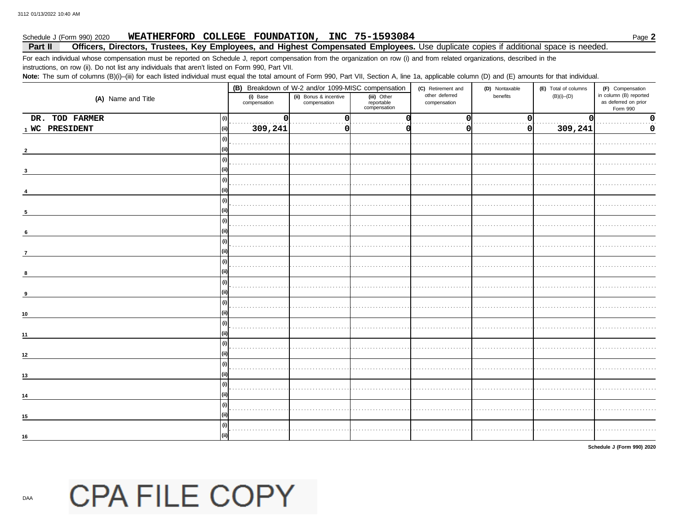#### WEATHERFORD COLLEGE FOUNDATION, INC 75-1593084 Schedule J (Form 990) 2020

#### Officers, Directors, Trustees, Key Employees, and Highest Compensated Employees. Use duplicate copies if additional space is needed. Part II

For each individual whose compensation must be reported on Schedule J, report compensation from the organization on row (i) and from related organizations, described in the instructions, on row (ii). Do not list any individuals that aren't listed on Form 990, Part VII.

Note: The sum of columns (B)(i)-(iii) for each listed individual must equal the total amount of Form 990, Part VII, Section A, line 1a, applicable column (D) and (E) amounts for that individual.

| in column (B) reported<br>other deferred<br>benefits<br>$(B)(i)$ - $(D)$<br>(i) Base<br>compensation<br>(ii) Bonus & incentive<br>compensation<br>(iii) Other<br>reportable<br>compensation<br>(A) Name and Title<br>as deferred on prior<br>compensation<br>Form 990<br>DR. TOD FARMER<br>0<br>0<br>0<br>O<br>309,241<br>309,241<br>1 WC PRESIDENT<br>0<br>0<br>0<br>(ii)<br>0<br>3<br>(i)<br>6<br>(i)<br>$\overline{7}$<br>8<br>9<br>13<br>14<br>(i)<br>15 |    | (B) Breakdown of W-2 and/or 1099-MISC compensation | (C) Retirement and | (D) Nontaxable | (E) Total of columns | (F) Compensation |
|--------------------------------------------------------------------------------------------------------------------------------------------------------------------------------------------------------------------------------------------------------------------------------------------------------------------------------------------------------------------------------------------------------------------------------------------------------------|----|----------------------------------------------------|--------------------|----------------|----------------------|------------------|
|                                                                                                                                                                                                                                                                                                                                                                                                                                                              |    |                                                    |                    |                |                      |                  |
|                                                                                                                                                                                                                                                                                                                                                                                                                                                              |    |                                                    |                    |                |                      |                  |
|                                                                                                                                                                                                                                                                                                                                                                                                                                                              |    |                                                    |                    |                |                      |                  |
|                                                                                                                                                                                                                                                                                                                                                                                                                                                              |    |                                                    |                    |                |                      |                  |
|                                                                                                                                                                                                                                                                                                                                                                                                                                                              |    |                                                    |                    |                |                      |                  |
|                                                                                                                                                                                                                                                                                                                                                                                                                                                              |    |                                                    |                    |                |                      |                  |
|                                                                                                                                                                                                                                                                                                                                                                                                                                                              |    |                                                    |                    |                |                      |                  |
|                                                                                                                                                                                                                                                                                                                                                                                                                                                              |    |                                                    |                    |                |                      |                  |
|                                                                                                                                                                                                                                                                                                                                                                                                                                                              |    |                                                    |                    |                |                      |                  |
|                                                                                                                                                                                                                                                                                                                                                                                                                                                              |    |                                                    |                    |                |                      |                  |
|                                                                                                                                                                                                                                                                                                                                                                                                                                                              |    |                                                    |                    |                |                      |                  |
|                                                                                                                                                                                                                                                                                                                                                                                                                                                              |    |                                                    |                    |                |                      |                  |
|                                                                                                                                                                                                                                                                                                                                                                                                                                                              |    |                                                    |                    |                |                      |                  |
|                                                                                                                                                                                                                                                                                                                                                                                                                                                              |    |                                                    |                    |                |                      |                  |
|                                                                                                                                                                                                                                                                                                                                                                                                                                                              |    |                                                    |                    |                |                      |                  |
|                                                                                                                                                                                                                                                                                                                                                                                                                                                              |    |                                                    |                    |                |                      |                  |
|                                                                                                                                                                                                                                                                                                                                                                                                                                                              |    |                                                    |                    |                |                      |                  |
|                                                                                                                                                                                                                                                                                                                                                                                                                                                              |    |                                                    |                    |                |                      |                  |
|                                                                                                                                                                                                                                                                                                                                                                                                                                                              |    |                                                    |                    |                |                      |                  |
|                                                                                                                                                                                                                                                                                                                                                                                                                                                              |    |                                                    |                    |                |                      |                  |
|                                                                                                                                                                                                                                                                                                                                                                                                                                                              | 10 |                                                    |                    |                |                      |                  |
|                                                                                                                                                                                                                                                                                                                                                                                                                                                              |    |                                                    |                    |                |                      |                  |
|                                                                                                                                                                                                                                                                                                                                                                                                                                                              | 11 |                                                    |                    |                |                      |                  |
|                                                                                                                                                                                                                                                                                                                                                                                                                                                              |    |                                                    |                    |                |                      |                  |
|                                                                                                                                                                                                                                                                                                                                                                                                                                                              | 12 |                                                    |                    |                |                      |                  |
|                                                                                                                                                                                                                                                                                                                                                                                                                                                              |    |                                                    |                    |                |                      |                  |
|                                                                                                                                                                                                                                                                                                                                                                                                                                                              |    |                                                    |                    |                |                      |                  |
|                                                                                                                                                                                                                                                                                                                                                                                                                                                              |    |                                                    |                    |                |                      |                  |
|                                                                                                                                                                                                                                                                                                                                                                                                                                                              |    |                                                    |                    |                |                      |                  |
|                                                                                                                                                                                                                                                                                                                                                                                                                                                              |    |                                                    |                    |                |                      |                  |
|                                                                                                                                                                                                                                                                                                                                                                                                                                                              |    |                                                    |                    |                |                      |                  |
|                                                                                                                                                                                                                                                                                                                                                                                                                                                              |    |                                                    |                    |                |                      |                  |
|                                                                                                                                                                                                                                                                                                                                                                                                                                                              | 16 |                                                    |                    |                |                      |                  |

Schedule J (Form 990) 2020

### **CPA FILE COPY**

DAA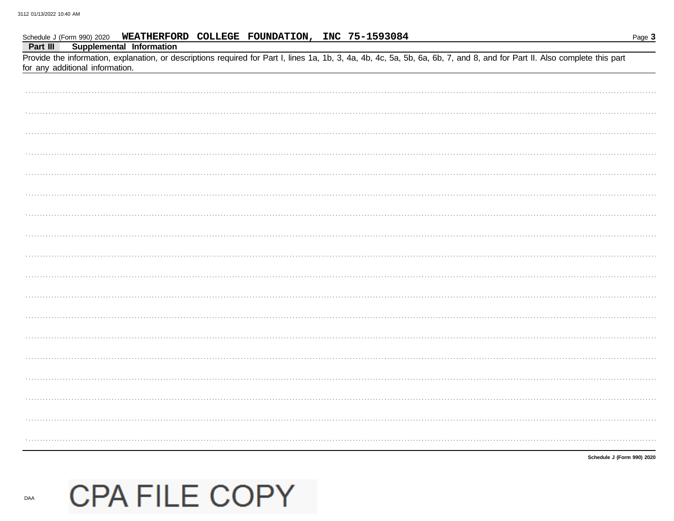#### WEATHERFORD COLLEGE FOUNDATION, INC 75-1593084 Schedule J (Form 990) 2020

Part III **Supplemental Information** 

Provide the information, explanation, or descriptions required for Part I, lines 1a, 1b, 3, 4a, 4b, 4c, 5a, 5b, 6a, 6b, 7, and 8, and for Part II. Also complete this part for any additional information.

| Schedule J (Form 990) 2020 |
|----------------------------|